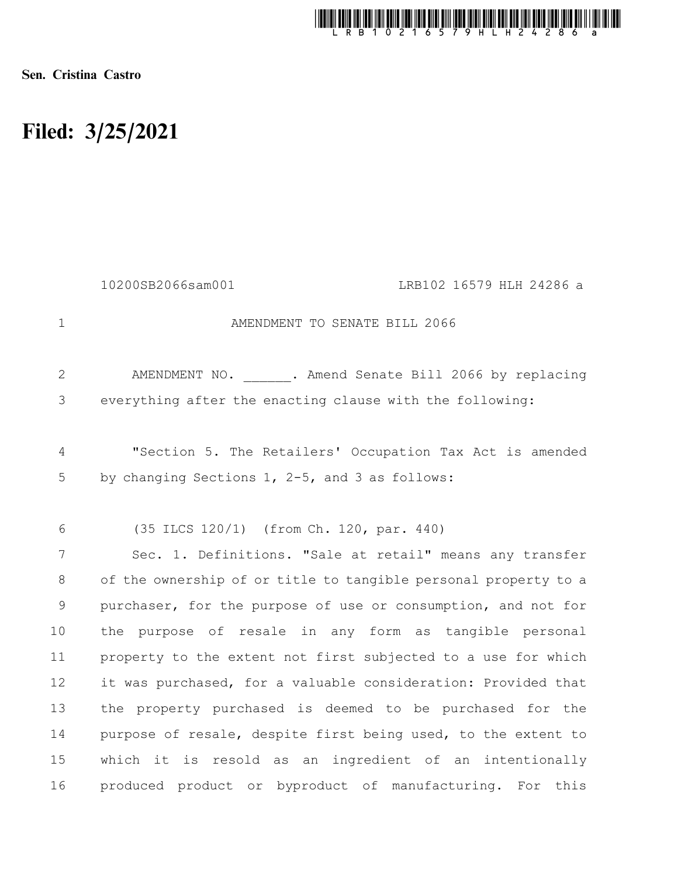

Sen. Cristina Castro

## Filed: 3/25/2021

|                     | 10200SB2066sam001<br>LRB102 16579 HLH 24286 a                                                              |
|---------------------|------------------------------------------------------------------------------------------------------------|
| $\mathbf{1}$        | AMENDMENT TO SENATE BILL 2066                                                                              |
| $\mathbf{2}$        | AMENDMENT NO. . Amend Senate Bill 2066 by replacing                                                        |
| 3                   | everything after the enacting clause with the following:                                                   |
| $\overline{4}$<br>5 | "Section 5. The Retailers' Occupation Tax Act is amended<br>by changing Sections 1, 2-5, and 3 as follows: |
| 6                   | (35 ILCS 120/1) (from Ch. 120, par. 440)                                                                   |
| 7                   | Sec. 1. Definitions. "Sale at retail" means any transfer                                                   |
| 8                   | of the ownership of or title to tangible personal property to a                                            |
| $\mathsf 9$         | purchaser, for the purpose of use or consumption, and not for                                              |
| 10                  | the purpose of resale in any form as tangible personal                                                     |
| 11                  | property to the extent not first subjected to a use for which                                              |
| 12                  | it was purchased, for a valuable consideration: Provided that                                              |
| 13                  | the property purchased is deemed to be purchased for the                                                   |
| 14                  | purpose of resale, despite first being used, to the extent to                                              |
| 15                  | which it is resold as an ingredient of an intentionally                                                    |
| 16                  | produced product or byproduct of manufacturing. For this                                                   |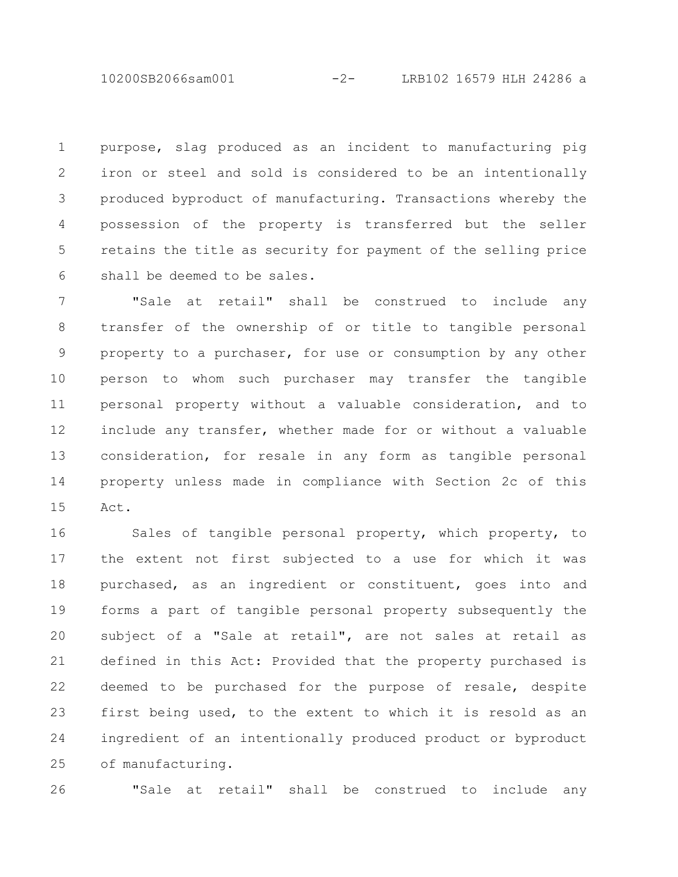10200SB2066sam001 -2- LRB102 16579 HLH 24286 a

purpose, slag produced as an incident to manufacturing pig iron or steel and sold is considered to be an intentionally produced byproduct of manufacturing. Transactions whereby the possession of the property is transferred but the seller retains the title as security for payment of the selling price shall be deemed to be sales. 1 2 3 4 5 6

"Sale at retail" shall be construed to include any transfer of the ownership of or title to tangible personal property to a purchaser, for use or consumption by any other person to whom such purchaser may transfer the tangible personal property without a valuable consideration, and to include any transfer, whether made for or without a valuable consideration, for resale in any form as tangible personal property unless made in compliance with Section 2c of this Act. 7 8 9 10 11 12 13 14 15

Sales of tangible personal property, which property, to the extent not first subjected to a use for which it was purchased, as an ingredient or constituent, goes into and forms a part of tangible personal property subsequently the subject of a "Sale at retail", are not sales at retail as defined in this Act: Provided that the property purchased is deemed to be purchased for the purpose of resale, despite first being used, to the extent to which it is resold as an ingredient of an intentionally produced product or byproduct of manufacturing. 16 17 18 19 20 21 22 23 24 25

26

"Sale at retail" shall be construed to include any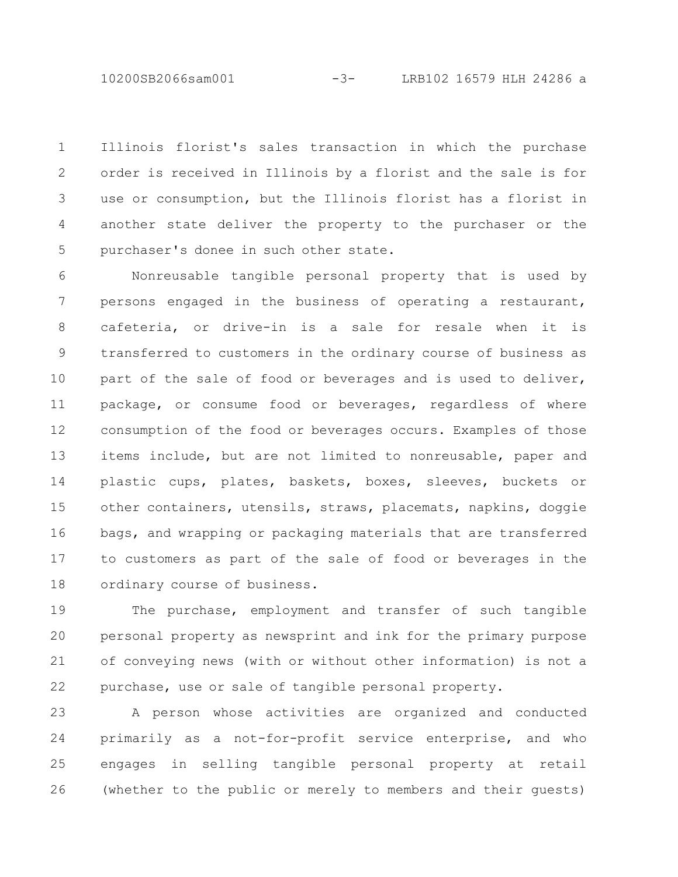10200SB2066sam001 -3- LRB102 16579 HLH 24286 a

Illinois florist's sales transaction in which the purchase order is received in Illinois by a florist and the sale is for use or consumption, but the Illinois florist has a florist in another state deliver the property to the purchaser or the purchaser's donee in such other state. 1 2 3 4 5

Nonreusable tangible personal property that is used by persons engaged in the business of operating a restaurant, cafeteria, or drive-in is a sale for resale when it is transferred to customers in the ordinary course of business as part of the sale of food or beverages and is used to deliver, package, or consume food or beverages, regardless of where consumption of the food or beverages occurs. Examples of those items include, but are not limited to nonreusable, paper and plastic cups, plates, baskets, boxes, sleeves, buckets or other containers, utensils, straws, placemats, napkins, doggie bags, and wrapping or packaging materials that are transferred to customers as part of the sale of food or beverages in the ordinary course of business. 6 7 8 9 10 11 12 13 14 15 16 17 18

The purchase, employment and transfer of such tangible personal property as newsprint and ink for the primary purpose of conveying news (with or without other information) is not a purchase, use or sale of tangible personal property. 19 20 21 22

A person whose activities are organized and conducted primarily as a not-for-profit service enterprise, and who engages in selling tangible personal property at retail (whether to the public or merely to members and their guests) 23 24 25 26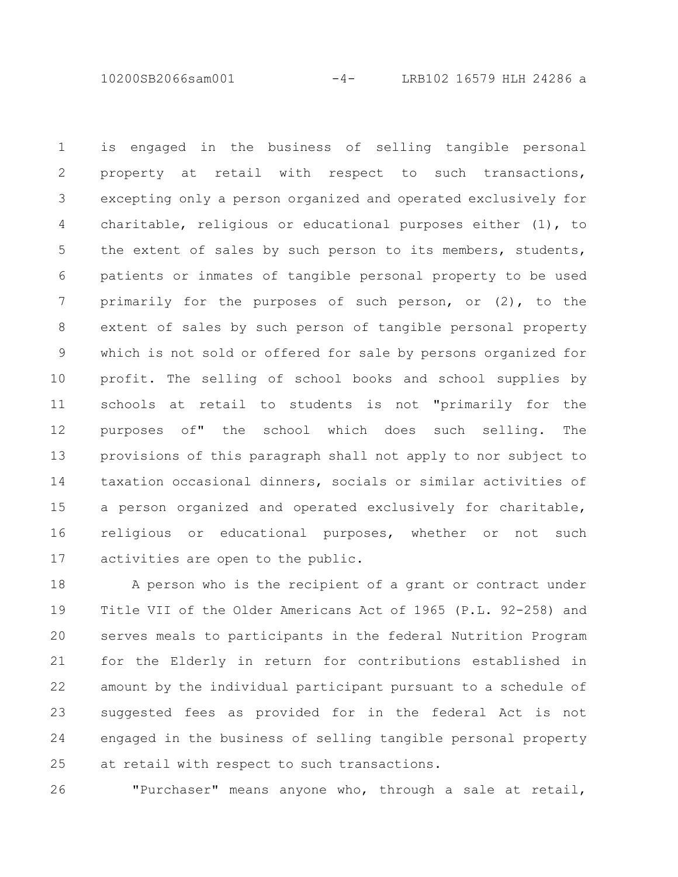10200SB2066sam001 -4- LRB102 16579 HLH 24286 a

is engaged in the business of selling tangible personal property at retail with respect to such transactions, excepting only a person organized and operated exclusively for charitable, religious or educational purposes either (1), to the extent of sales by such person to its members, students, patients or inmates of tangible personal property to be used primarily for the purposes of such person, or (2), to the extent of sales by such person of tangible personal property which is not sold or offered for sale by persons organized for profit. The selling of school books and school supplies by schools at retail to students is not "primarily for the purposes of" the school which does such selling. The provisions of this paragraph shall not apply to nor subject to taxation occasional dinners, socials or similar activities of a person organized and operated exclusively for charitable, religious or educational purposes, whether or not such activities are open to the public. 1 2 3 4 5 6 7 8 9 10 11 12 13 14 15 16 17

A person who is the recipient of a grant or contract under Title VII of the Older Americans Act of 1965 (P.L. 92-258) and serves meals to participants in the federal Nutrition Program for the Elderly in return for contributions established in amount by the individual participant pursuant to a schedule of suggested fees as provided for in the federal Act is not engaged in the business of selling tangible personal property at retail with respect to such transactions. 18 19 20 21 22 23 24 25

"Purchaser" means anyone who, through a sale at retail, 26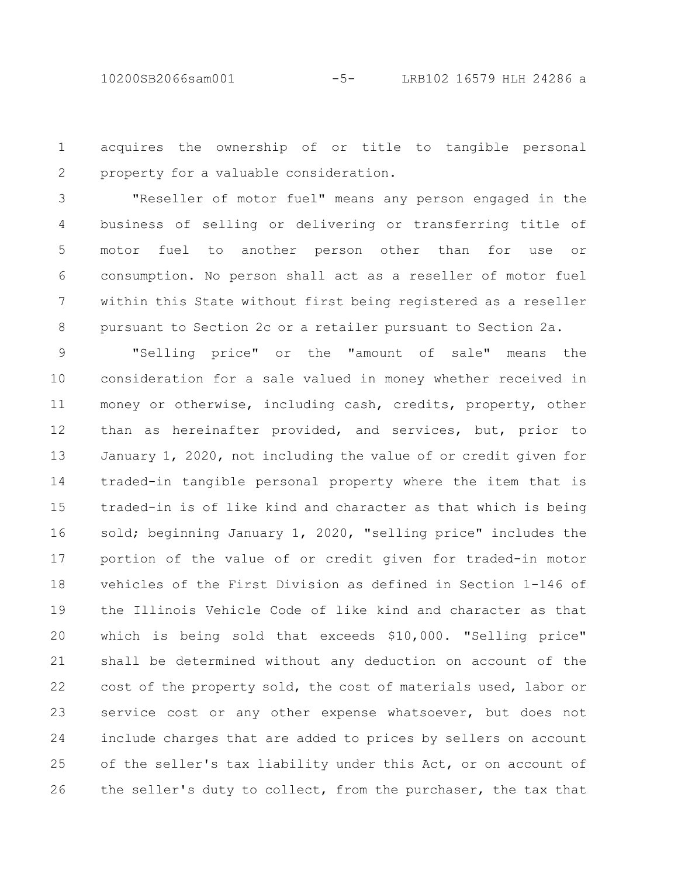## 10200SB2066sam001 -5- LRB102 16579 HLH 24286 a

acquires the ownership of or title to tangible personal property for a valuable consideration. 1 2

"Reseller of motor fuel" means any person engaged in the business of selling or delivering or transferring title of motor fuel to another person other than for use or consumption. No person shall act as a reseller of motor fuel within this State without first being registered as a reseller pursuant to Section 2c or a retailer pursuant to Section 2a. 3 4 5 6 7 8

"Selling price" or the "amount of sale" means the consideration for a sale valued in money whether received in money or otherwise, including cash, credits, property, other than as hereinafter provided, and services, but, prior to January 1, 2020, not including the value of or credit given for traded-in tangible personal property where the item that is traded-in is of like kind and character as that which is being sold; beginning January 1, 2020, "selling price" includes the portion of the value of or credit given for traded-in motor vehicles of the First Division as defined in Section 1-146 of the Illinois Vehicle Code of like kind and character as that which is being sold that exceeds \$10,000. "Selling price" shall be determined without any deduction on account of the cost of the property sold, the cost of materials used, labor or service cost or any other expense whatsoever, but does not include charges that are added to prices by sellers on account of the seller's tax liability under this Act, or on account of the seller's duty to collect, from the purchaser, the tax that 9 10 11 12 13 14 15 16 17 18 19 20 21 22 23 24 25 26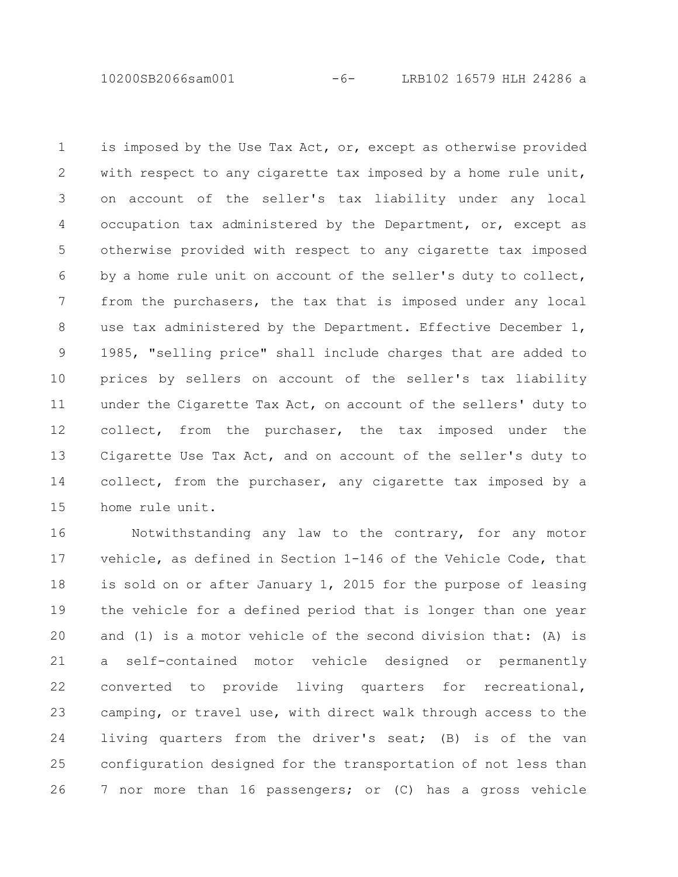10200SB2066sam001 -6- LRB102 16579 HLH 24286 a

is imposed by the Use Tax Act, or, except as otherwise provided with respect to any cigarette tax imposed by a home rule unit, on account of the seller's tax liability under any local occupation tax administered by the Department, or, except as otherwise provided with respect to any cigarette tax imposed by a home rule unit on account of the seller's duty to collect, from the purchasers, the tax that is imposed under any local use tax administered by the Department. Effective December 1, 1985, "selling price" shall include charges that are added to prices by sellers on account of the seller's tax liability under the Cigarette Tax Act, on account of the sellers' duty to collect, from the purchaser, the tax imposed under the Cigarette Use Tax Act, and on account of the seller's duty to collect, from the purchaser, any cigarette tax imposed by a home rule unit. 1 2 3 4 5 6 7 8 9 10 11 12 13 14 15

Notwithstanding any law to the contrary, for any motor vehicle, as defined in Section 1-146 of the Vehicle Code, that is sold on or after January 1, 2015 for the purpose of leasing the vehicle for a defined period that is longer than one year and (1) is a motor vehicle of the second division that: (A) is a self-contained motor vehicle designed or permanently converted to provide living quarters for recreational, camping, or travel use, with direct walk through access to the living quarters from the driver's seat; (B) is of the van configuration designed for the transportation of not less than 7 nor more than 16 passengers; or (C) has a gross vehicle 16 17 18 19 20 21 22 23 24 25 26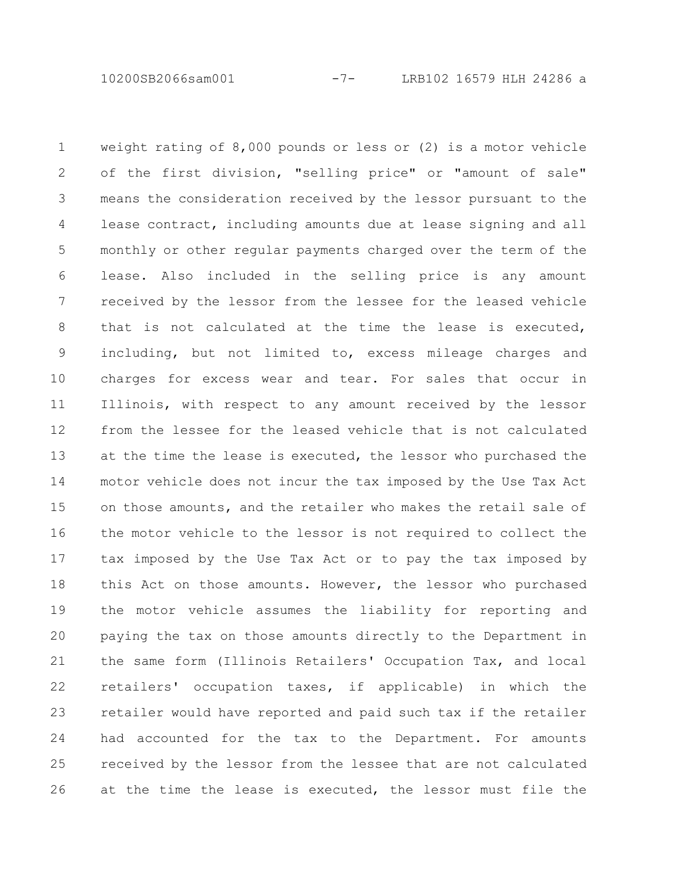10200SB2066sam001 -7- LRB102 16579 HLH 24286 a

weight rating of 8,000 pounds or less or (2) is a motor vehicle of the first division, "selling price" or "amount of sale" means the consideration received by the lessor pursuant to the lease contract, including amounts due at lease signing and all monthly or other regular payments charged over the term of the lease. Also included in the selling price is any amount received by the lessor from the lessee for the leased vehicle that is not calculated at the time the lease is executed, including, but not limited to, excess mileage charges and charges for excess wear and tear. For sales that occur in Illinois, with respect to any amount received by the lessor from the lessee for the leased vehicle that is not calculated at the time the lease is executed, the lessor who purchased the motor vehicle does not incur the tax imposed by the Use Tax Act on those amounts, and the retailer who makes the retail sale of the motor vehicle to the lessor is not required to collect the tax imposed by the Use Tax Act or to pay the tax imposed by this Act on those amounts. However, the lessor who purchased the motor vehicle assumes the liability for reporting and paying the tax on those amounts directly to the Department in the same form (Illinois Retailers' Occupation Tax, and local retailers' occupation taxes, if applicable) in which the retailer would have reported and paid such tax if the retailer had accounted for the tax to the Department. For amounts received by the lessor from the lessee that are not calculated at the time the lease is executed, the lessor must file the 1 2 3 4 5 6 7 8 9 10 11 12 13 14 15 16 17 18 19 20 21 22 23 24 25 26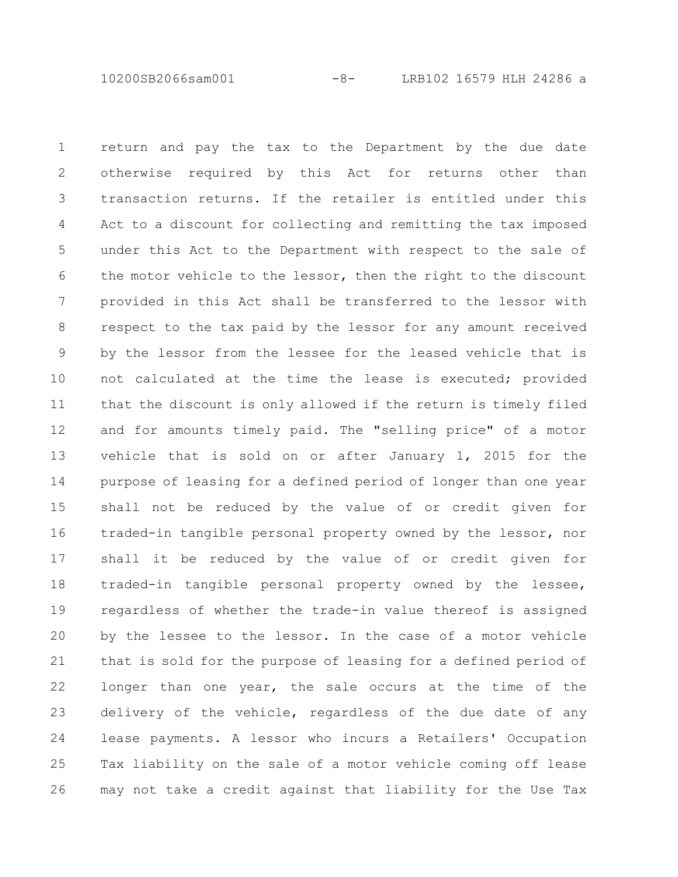10200SB2066sam001 -8- LRB102 16579 HLH 24286 a

return and pay the tax to the Department by the due date otherwise required by this Act for returns other than transaction returns. If the retailer is entitled under this Act to a discount for collecting and remitting the tax imposed under this Act to the Department with respect to the sale of the motor vehicle to the lessor, then the right to the discount provided in this Act shall be transferred to the lessor with respect to the tax paid by the lessor for any amount received by the lessor from the lessee for the leased vehicle that is not calculated at the time the lease is executed; provided that the discount is only allowed if the return is timely filed and for amounts timely paid. The "selling price" of a motor vehicle that is sold on or after January 1, 2015 for the purpose of leasing for a defined period of longer than one year shall not be reduced by the value of or credit given for traded-in tangible personal property owned by the lessor, nor shall it be reduced by the value of or credit given for traded-in tangible personal property owned by the lessee, regardless of whether the trade-in value thereof is assigned by the lessee to the lessor. In the case of a motor vehicle that is sold for the purpose of leasing for a defined period of longer than one year, the sale occurs at the time of the delivery of the vehicle, regardless of the due date of any lease payments. A lessor who incurs a Retailers' Occupation Tax liability on the sale of a motor vehicle coming off lease may not take a credit against that liability for the Use Tax 1 2 3 4 5 6 7 8 9 10 11 12 13 14 15 16 17 18 19 20 21 22 23 24 25 26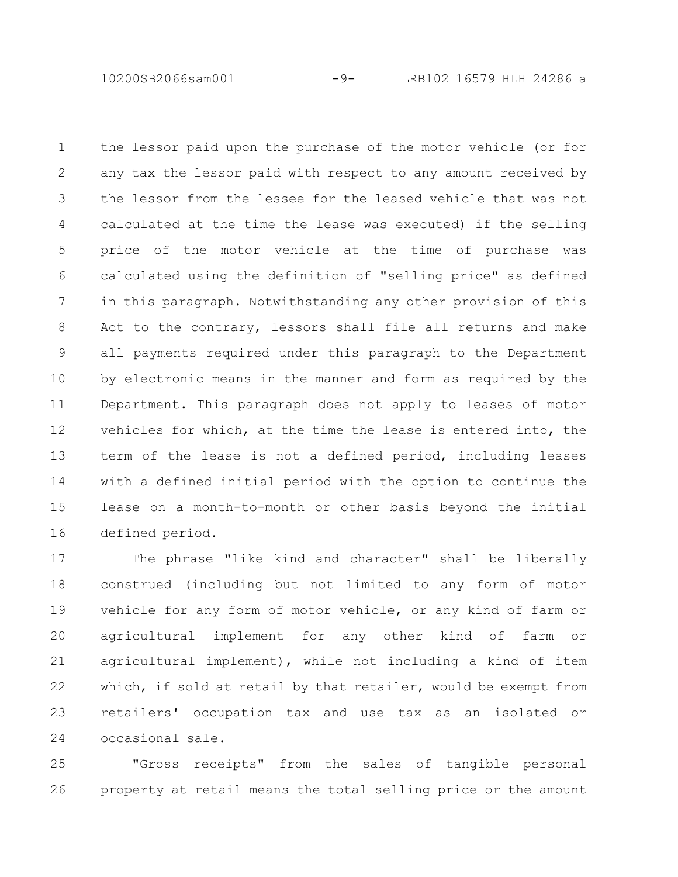10200SB2066sam001 -9- LRB102 16579 HLH 24286 a

the lessor paid upon the purchase of the motor vehicle (or for any tax the lessor paid with respect to any amount received by the lessor from the lessee for the leased vehicle that was not calculated at the time the lease was executed) if the selling price of the motor vehicle at the time of purchase was calculated using the definition of "selling price" as defined in this paragraph. Notwithstanding any other provision of this Act to the contrary, lessors shall file all returns and make all payments required under this paragraph to the Department by electronic means in the manner and form as required by the Department. This paragraph does not apply to leases of motor vehicles for which, at the time the lease is entered into, the term of the lease is not a defined period, including leases with a defined initial period with the option to continue the lease on a month-to-month or other basis beyond the initial defined period. 1 2 3 4 5 6 7 8 9 10 11 12 13 14 15 16

The phrase "like kind and character" shall be liberally construed (including but not limited to any form of motor vehicle for any form of motor vehicle, or any kind of farm or agricultural implement for any other kind of farm or agricultural implement), while not including a kind of item which, if sold at retail by that retailer, would be exempt from retailers' occupation tax and use tax as an isolated or occasional sale. 17 18 19 20 21 22 23 24

"Gross receipts" from the sales of tangible personal property at retail means the total selling price or the amount 25 26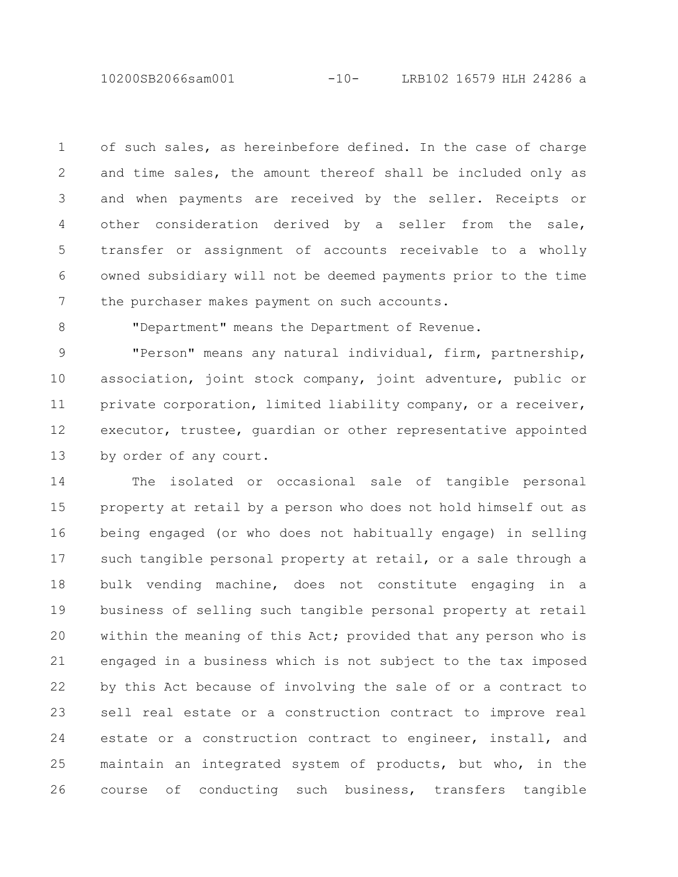10200SB2066sam001 -10- LRB102 16579 HLH 24286 a

of such sales, as hereinbefore defined. In the case of charge and time sales, the amount thereof shall be included only as and when payments are received by the seller. Receipts or other consideration derived by a seller from the sale, transfer or assignment of accounts receivable to a wholly owned subsidiary will not be deemed payments prior to the time the purchaser makes payment on such accounts. 1 2 3 4 5 6 7

8

"Department" means the Department of Revenue.

"Person" means any natural individual, firm, partnership, association, joint stock company, joint adventure, public or private corporation, limited liability company, or a receiver, executor, trustee, guardian or other representative appointed by order of any court. 9 10 11 12 13

The isolated or occasional sale of tangible personal property at retail by a person who does not hold himself out as being engaged (or who does not habitually engage) in selling such tangible personal property at retail, or a sale through a bulk vending machine, does not constitute engaging in a business of selling such tangible personal property at retail within the meaning of this Act; provided that any person who is engaged in a business which is not subject to the tax imposed by this Act because of involving the sale of or a contract to sell real estate or a construction contract to improve real estate or a construction contract to engineer, install, and maintain an integrated system of products, but who, in the course of conducting such business, transfers tangible 14 15 16 17 18 19 20 21 22 23 24 25 26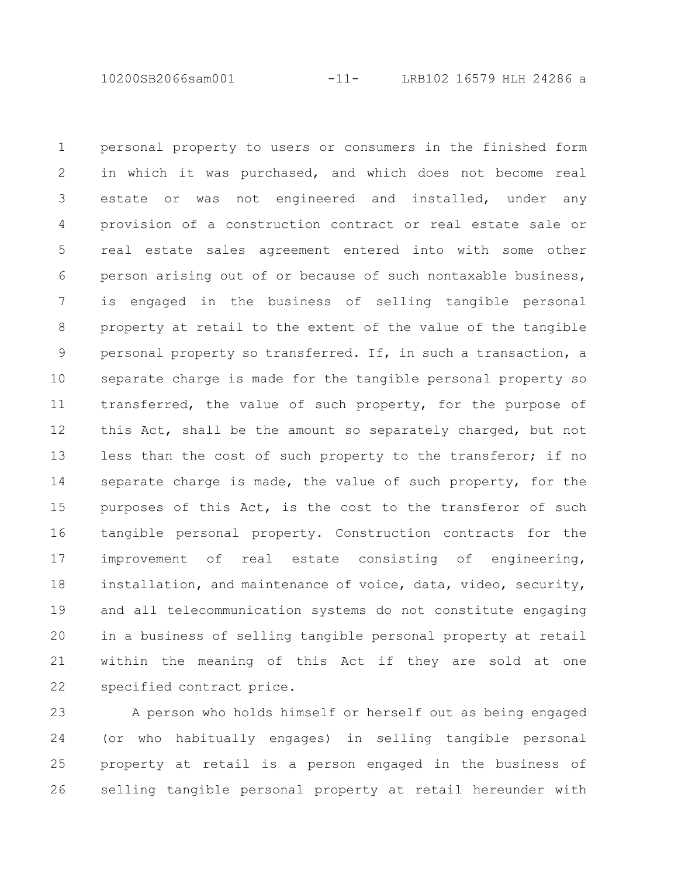10200SB2066sam001 -11- LRB102 16579 HLH 24286 a

personal property to users or consumers in the finished form in which it was purchased, and which does not become real estate or was not engineered and installed, under any provision of a construction contract or real estate sale or real estate sales agreement entered into with some other person arising out of or because of such nontaxable business, is engaged in the business of selling tangible personal property at retail to the extent of the value of the tangible personal property so transferred. If, in such a transaction, a separate charge is made for the tangible personal property so transferred, the value of such property, for the purpose of this Act, shall be the amount so separately charged, but not less than the cost of such property to the transferor; if no separate charge is made, the value of such property, for the purposes of this Act, is the cost to the transferor of such tangible personal property. Construction contracts for the improvement of real estate consisting of engineering, installation, and maintenance of voice, data, video, security, and all telecommunication systems do not constitute engaging in a business of selling tangible personal property at retail within the meaning of this Act if they are sold at one specified contract price. 1 2 3 4 5 6 7 8 9 10 11 12 13 14 15 16 17 18 19 20 21 22

A person who holds himself or herself out as being engaged (or who habitually engages) in selling tangible personal property at retail is a person engaged in the business of selling tangible personal property at retail hereunder with 23 24 25 26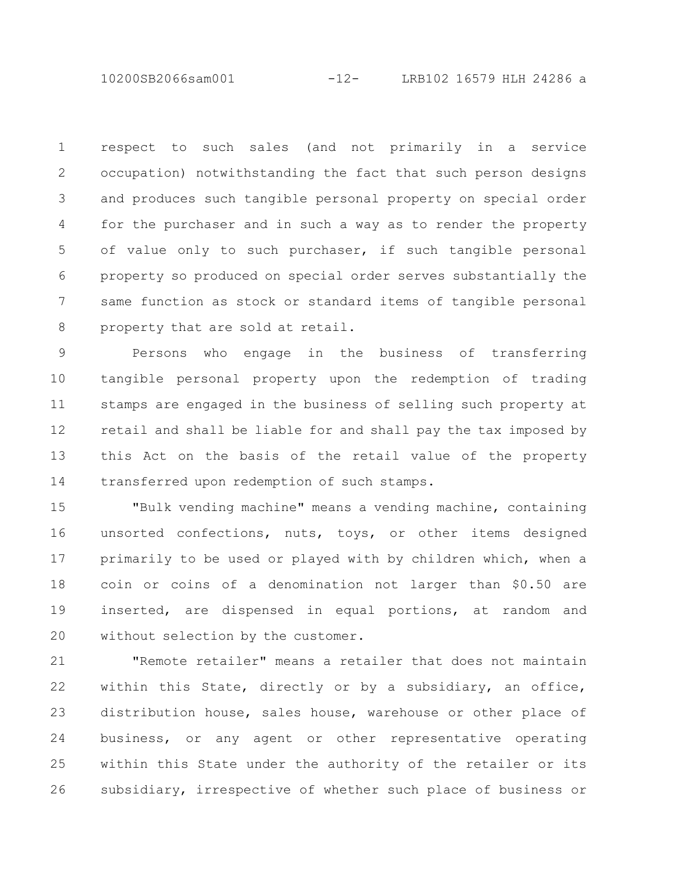10200SB2066sam001 -12- LRB102 16579 HLH 24286 a

respect to such sales (and not primarily in a service occupation) notwithstanding the fact that such person designs and produces such tangible personal property on special order for the purchaser and in such a way as to render the property of value only to such purchaser, if such tangible personal property so produced on special order serves substantially the same function as stock or standard items of tangible personal property that are sold at retail. 1 2 3 4 5 6 7 8

Persons who engage in the business of transferring tangible personal property upon the redemption of trading stamps are engaged in the business of selling such property at retail and shall be liable for and shall pay the tax imposed by this Act on the basis of the retail value of the property transferred upon redemption of such stamps. 9 10 11 12 13 14

"Bulk vending machine" means a vending machine, containing unsorted confections, nuts, toys, or other items designed primarily to be used or played with by children which, when a coin or coins of a denomination not larger than \$0.50 are inserted, are dispensed in equal portions, at random and without selection by the customer. 15 16 17 18 19 20

"Remote retailer" means a retailer that does not maintain within this State, directly or by a subsidiary, an office, distribution house, sales house, warehouse or other place of business, or any agent or other representative operating within this State under the authority of the retailer or its subsidiary, irrespective of whether such place of business or 21 22 23 24 25 26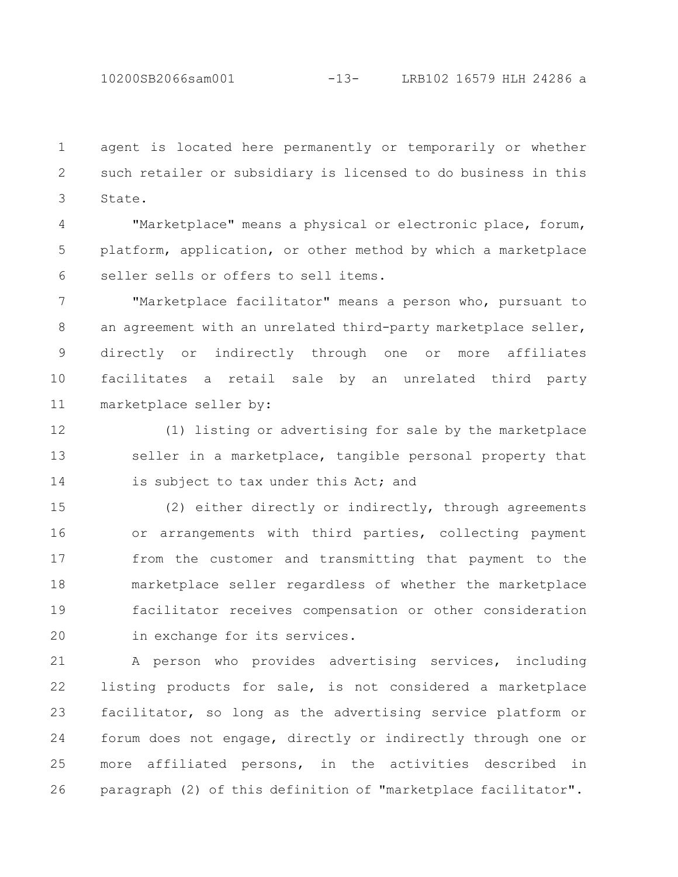10200SB2066sam001 -13- LRB102 16579 HLH 24286 a

agent is located here permanently or temporarily or whether such retailer or subsidiary is licensed to do business in this State. 1 2 3

"Marketplace" means a physical or electronic place, forum, platform, application, or other method by which a marketplace seller sells or offers to sell items. 4 5 6

"Marketplace facilitator" means a person who, pursuant to an agreement with an unrelated third-party marketplace seller, directly or indirectly through one or more affiliates facilitates a retail sale by an unrelated third party marketplace seller by: 7 8 9 10 11

(1) listing or advertising for sale by the marketplace seller in a marketplace, tangible personal property that is subject to tax under this Act; and 12 13 14

(2) either directly or indirectly, through agreements or arrangements with third parties, collecting payment from the customer and transmitting that payment to the marketplace seller regardless of whether the marketplace facilitator receives compensation or other consideration in exchange for its services. 15 16 17 18 19 20

A person who provides advertising services, including listing products for sale, is not considered a marketplace facilitator, so long as the advertising service platform or forum does not engage, directly or indirectly through one or more affiliated persons, in the activities described in paragraph (2) of this definition of "marketplace facilitator". 21 22 23 24 25 26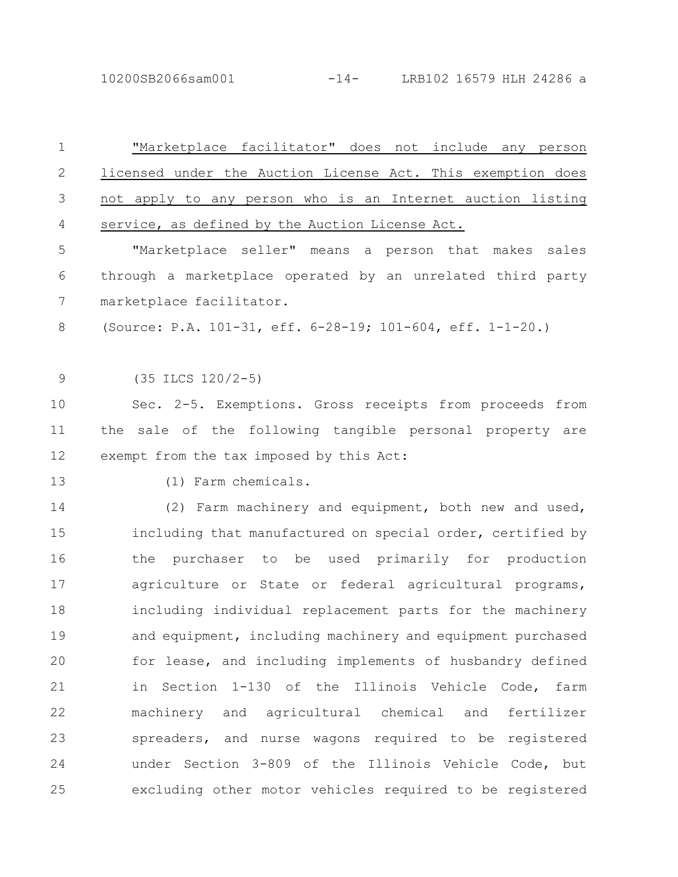10200SB2066sam001 -14- LRB102 16579 HLH 24286 a

| $\mathbf 1$  | "Marketplace facilitator" does not include any person       |
|--------------|-------------------------------------------------------------|
| $\mathbf{2}$ | licensed under the Auction License Act. This exemption does |
| 3            | not apply to any person who is an Internet auction listing  |
| 4            | service, as defined by the Auction License Act.             |
| 5            | "Marketplace seller" means a person that makes sales        |
| 6            | through a marketplace operated by an unrelated third party  |
| 7            | marketplace facilitator.                                    |
| 8            | (Source: P.A. 101-31, eff. 6-28-19; 101-604, eff. 1-1-20.)  |
| $\mathsf 9$  | $(35$ ILCS $120/2-5)$                                       |
| 10           | Sec. 2-5. Exemptions. Gross receipts from proceeds from     |
| 11           | the sale of the following tangible personal property are    |
| 12           | exempt from the tax imposed by this Act:                    |
| 13           | (1) Farm chemicals.                                         |
| 14           | (2) Farm machinery and equipment, both new and used,        |
| 15           | including that manufactured on special order, certified by  |
| 16           | the purchaser to be used primarily for production           |
| 17           | agriculture or State or federal agricultural programs,      |
| 18           | including individual replacement parts for the machinery    |
| 19           | and equipment, including machinery and equipment purchased  |
| 20           | for lease, and including implements of husbandry defined    |
| 21           | in Section 1-130 of the Illinois Vehicle Code, farm         |
| 22           | machinery and agricultural chemical and fertilizer          |
| 23           | spreaders, and nurse wagons required to be registered       |
| 24           | under Section 3-809 of the Illinois Vehicle Code, but       |
| 25           | excluding other motor vehicles required to be registered    |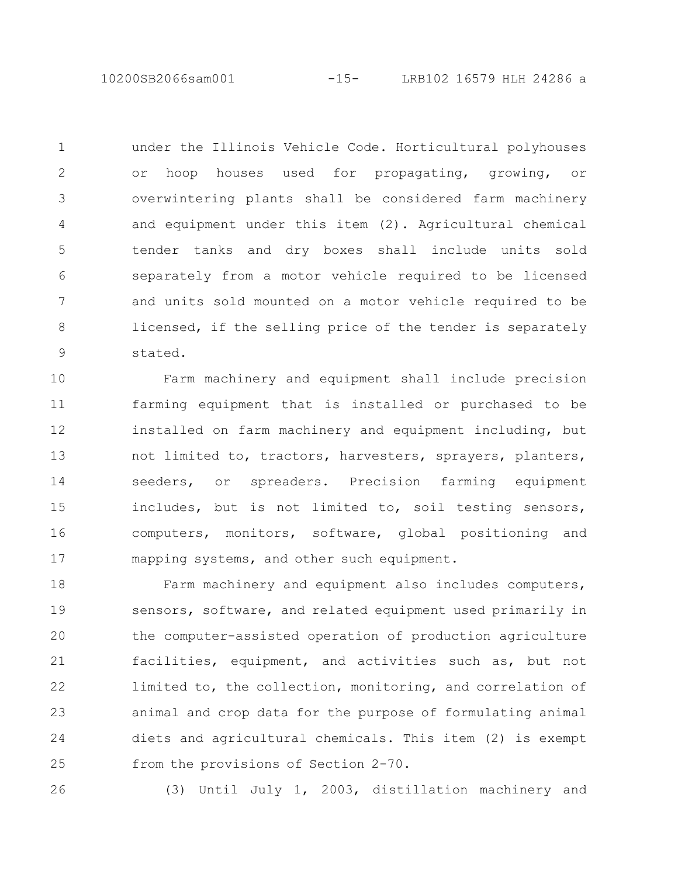10200SB2066sam001 -15- LRB102 16579 HLH 24286 a

under the Illinois Vehicle Code. Horticultural polyhouses or hoop houses used for propagating, growing, or overwintering plants shall be considered farm machinery and equipment under this item (2). Agricultural chemical tender tanks and dry boxes shall include units sold separately from a motor vehicle required to be licensed and units sold mounted on a motor vehicle required to be licensed, if the selling price of the tender is separately stated. 1 2 3 4 5 6 7 8 9

Farm machinery and equipment shall include precision farming equipment that is installed or purchased to be installed on farm machinery and equipment including, but not limited to, tractors, harvesters, sprayers, planters, seeders, or spreaders. Precision farming equipment includes, but is not limited to, soil testing sensors, computers, monitors, software, global positioning and mapping systems, and other such equipment. 10 11 12 13 14 15 16 17

Farm machinery and equipment also includes computers, sensors, software, and related equipment used primarily in the computer-assisted operation of production agriculture facilities, equipment, and activities such as, but not limited to, the collection, monitoring, and correlation of animal and crop data for the purpose of formulating animal diets and agricultural chemicals. This item (2) is exempt from the provisions of Section 2-70. 18 19 20 21 22 23 24 25

26

(3) Until July 1, 2003, distillation machinery and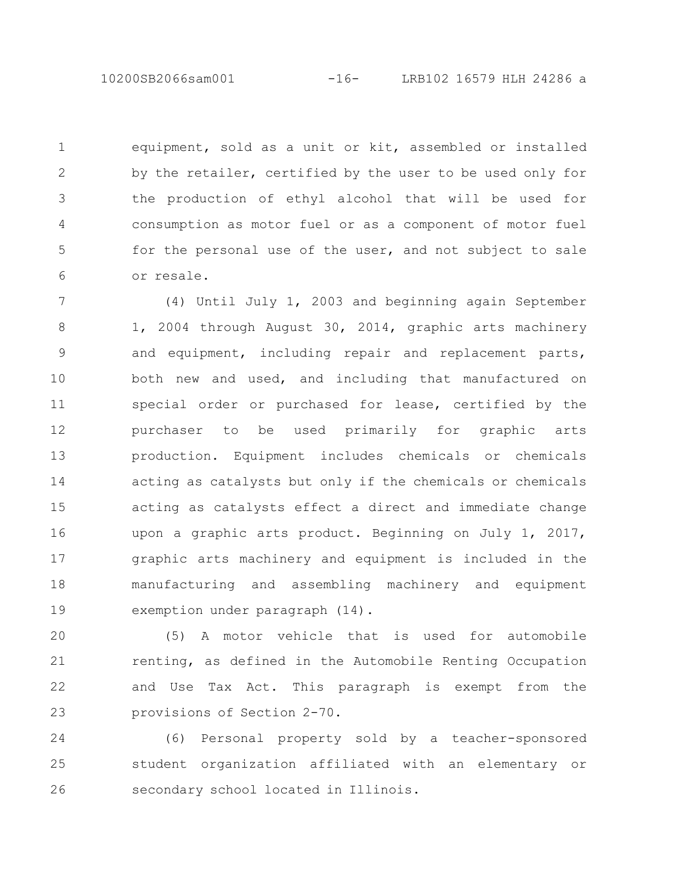10200SB2066sam001 -16- LRB102 16579 HLH 24286 a

equipment, sold as a unit or kit, assembled or installed by the retailer, certified by the user to be used only for the production of ethyl alcohol that will be used for consumption as motor fuel or as a component of motor fuel for the personal use of the user, and not subject to sale or resale. 1 2 3 4 5 6

(4) Until July 1, 2003 and beginning again September 1, 2004 through August 30, 2014, graphic arts machinery and equipment, including repair and replacement parts, both new and used, and including that manufactured on special order or purchased for lease, certified by the purchaser to be used primarily for graphic arts production. Equipment includes chemicals or chemicals acting as catalysts but only if the chemicals or chemicals acting as catalysts effect a direct and immediate change upon a graphic arts product. Beginning on July 1, 2017, graphic arts machinery and equipment is included in the manufacturing and assembling machinery and equipment exemption under paragraph (14). 7 8 9 10 11 12 13 14 15 16 17 18 19

(5) A motor vehicle that is used for automobile renting, as defined in the Automobile Renting Occupation and Use Tax Act. This paragraph is exempt from the provisions of Section 2-70. 20 21 22 23

(6) Personal property sold by a teacher-sponsored student organization affiliated with an elementary or secondary school located in Illinois. 24 25 26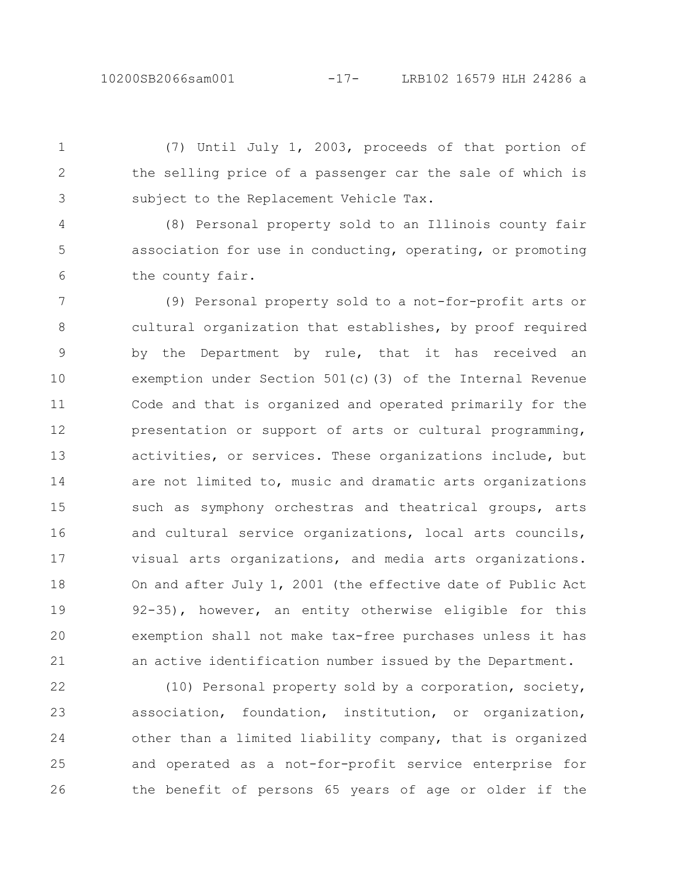(7) Until July 1, 2003, proceeds of that portion of the selling price of a passenger car the sale of which is subject to the Replacement Vehicle Tax. 1 2 3

(8) Personal property sold to an Illinois county fair association for use in conducting, operating, or promoting the county fair. 4 5 6

(9) Personal property sold to a not-for-profit arts or cultural organization that establishes, by proof required by the Department by rule, that it has received an exemption under Section 501(c)(3) of the Internal Revenue Code and that is organized and operated primarily for the presentation or support of arts or cultural programming, activities, or services. These organizations include, but are not limited to, music and dramatic arts organizations such as symphony orchestras and theatrical groups, arts and cultural service organizations, local arts councils, visual arts organizations, and media arts organizations. On and after July 1, 2001 (the effective date of Public Act 92-35), however, an entity otherwise eligible for this exemption shall not make tax-free purchases unless it has an active identification number issued by the Department. 7 8 9 10 11 12 13 14 15 16 17 18 19 20 21

(10) Personal property sold by a corporation, society, association, foundation, institution, or organization, other than a limited liability company, that is organized and operated as a not-for-profit service enterprise for the benefit of persons 65 years of age or older if the 22 23 24 25 26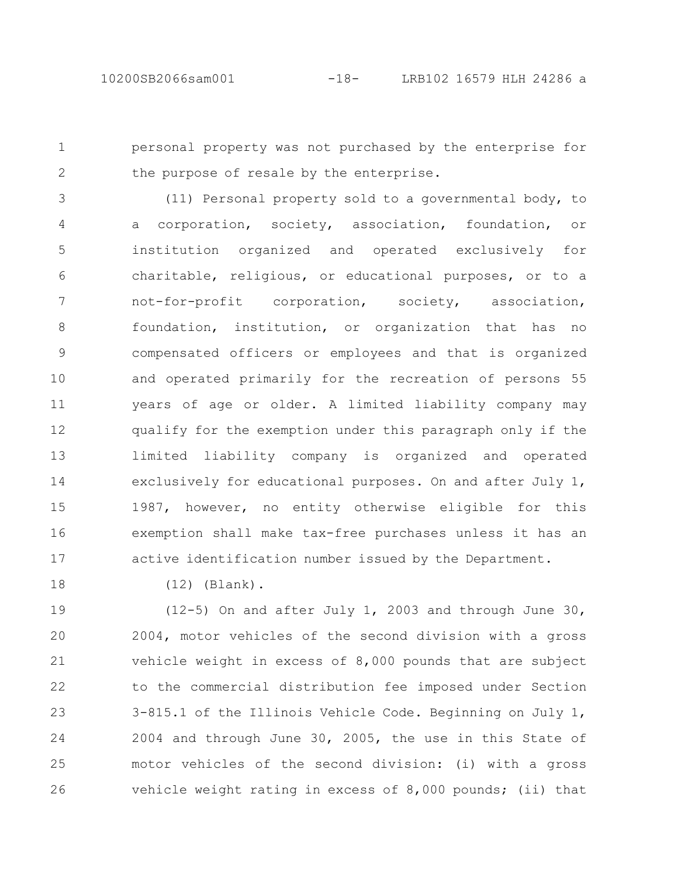personal property was not purchased by the enterprise for the purpose of resale by the enterprise. 1 2

(11) Personal property sold to a governmental body, to a corporation, society, association, foundation, or institution organized and operated exclusively for charitable, religious, or educational purposes, or to a not-for-profit corporation, society, association, foundation, institution, or organization that has no compensated officers or employees and that is organized and operated primarily for the recreation of persons 55 years of age or older. A limited liability company may qualify for the exemption under this paragraph only if the limited liability company is organized and operated exclusively for educational purposes. On and after July 1, 1987, however, no entity otherwise eligible for this exemption shall make tax-free purchases unless it has an active identification number issued by the Department. 3 4 5 6 7 8 9 10 11 12 13 14 15 16 17

18

(12) (Blank).

(12-5) On and after July 1, 2003 and through June 30, 2004, motor vehicles of the second division with a gross vehicle weight in excess of 8,000 pounds that are subject to the commercial distribution fee imposed under Section 3-815.1 of the Illinois Vehicle Code. Beginning on July 1, 2004 and through June 30, 2005, the use in this State of motor vehicles of the second division: (i) with a gross vehicle weight rating in excess of 8,000 pounds; (ii) that 19 20 21 22 23 24 25 26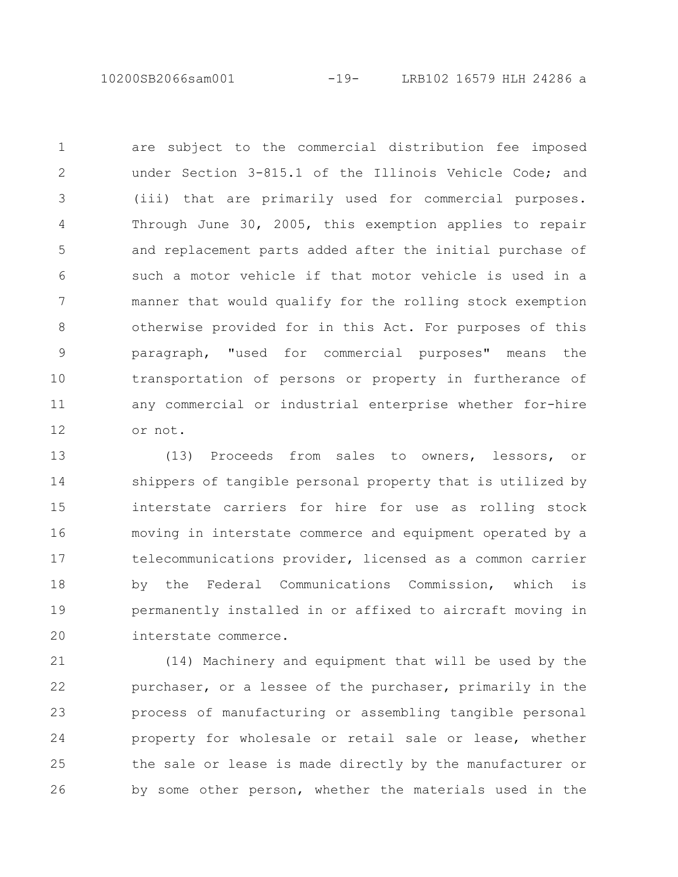10200SB2066sam001 -19- LRB102 16579 HLH 24286 a

are subject to the commercial distribution fee imposed under Section 3-815.1 of the Illinois Vehicle Code; and (iii) that are primarily used for commercial purposes. Through June 30, 2005, this exemption applies to repair and replacement parts added after the initial purchase of such a motor vehicle if that motor vehicle is used in a manner that would qualify for the rolling stock exemption otherwise provided for in this Act. For purposes of this paragraph, "used for commercial purposes" means the transportation of persons or property in furtherance of any commercial or industrial enterprise whether for-hire or not. 1 2 3 4 5 6 7 8 9 10 11 12

(13) Proceeds from sales to owners, lessors, or shippers of tangible personal property that is utilized by interstate carriers for hire for use as rolling stock moving in interstate commerce and equipment operated by a telecommunications provider, licensed as a common carrier by the Federal Communications Commission, which is permanently installed in or affixed to aircraft moving in interstate commerce. 13 14 15 16 17 18 19 20

(14) Machinery and equipment that will be used by the purchaser, or a lessee of the purchaser, primarily in the process of manufacturing or assembling tangible personal property for wholesale or retail sale or lease, whether the sale or lease is made directly by the manufacturer or by some other person, whether the materials used in the 21 22 23 24 25 26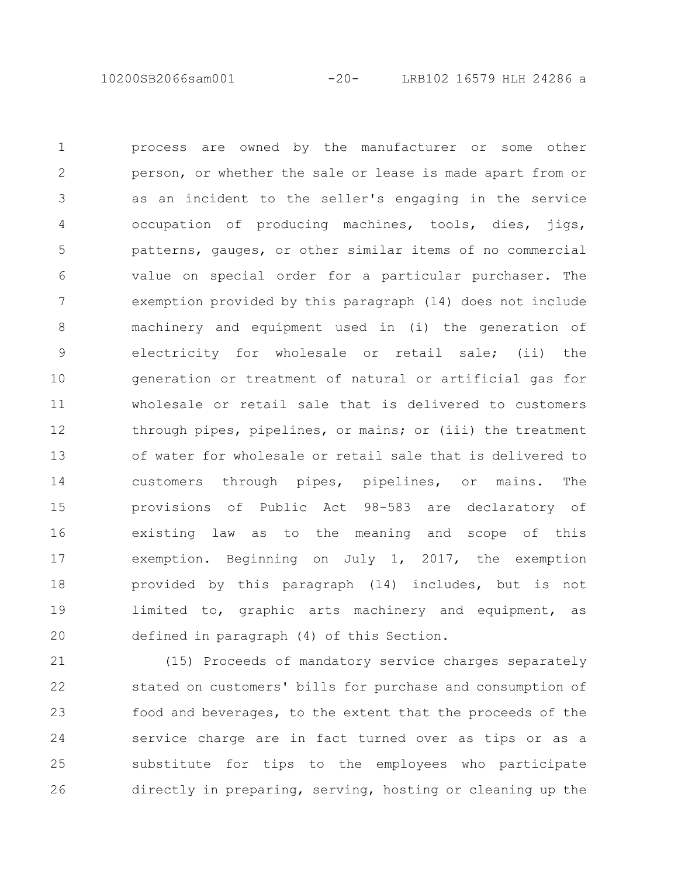10200SB2066sam001 -20- LRB102 16579 HLH 24286 a

process are owned by the manufacturer or some other person, or whether the sale or lease is made apart from or as an incident to the seller's engaging in the service occupation of producing machines, tools, dies, jigs, patterns, gauges, or other similar items of no commercial value on special order for a particular purchaser. The exemption provided by this paragraph (14) does not include machinery and equipment used in (i) the generation of electricity for wholesale or retail sale; (ii) the generation or treatment of natural or artificial gas for wholesale or retail sale that is delivered to customers through pipes, pipelines, or mains; or (iii) the treatment of water for wholesale or retail sale that is delivered to customers through pipes, pipelines, or mains. The provisions of Public Act 98-583 are declaratory of existing law as to the meaning and scope of this exemption. Beginning on July 1, 2017, the exemption provided by this paragraph (14) includes, but is not limited to, graphic arts machinery and equipment, as defined in paragraph (4) of this Section. 1 2 3 4 5 6 7 8 9 10 11 12 13 14 15 16 17 18 19 20

(15) Proceeds of mandatory service charges separately stated on customers' bills for purchase and consumption of food and beverages, to the extent that the proceeds of the service charge are in fact turned over as tips or as a substitute for tips to the employees who participate directly in preparing, serving, hosting or cleaning up the 21 22 23 24 25 26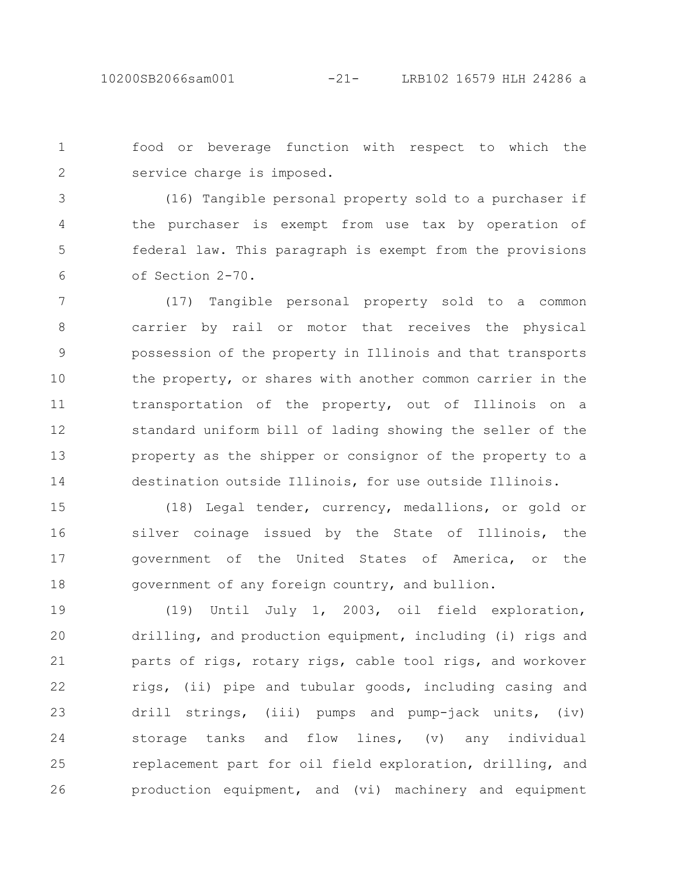food or beverage function with respect to which the service charge is imposed. 1 2

(16) Tangible personal property sold to a purchaser if the purchaser is exempt from use tax by operation of federal law. This paragraph is exempt from the provisions of Section 2-70. 3 4 5 6

(17) Tangible personal property sold to a common carrier by rail or motor that receives the physical possession of the property in Illinois and that transports the property, or shares with another common carrier in the transportation of the property, out of Illinois on a standard uniform bill of lading showing the seller of the property as the shipper or consignor of the property to a destination outside Illinois, for use outside Illinois. 7 8 9 10 11 12 13 14

(18) Legal tender, currency, medallions, or gold or silver coinage issued by the State of Illinois, the government of the United States of America, or the government of any foreign country, and bullion. 15 16 17 18

(19) Until July 1, 2003, oil field exploration, drilling, and production equipment, including (i) rigs and parts of rigs, rotary rigs, cable tool rigs, and workover rigs, (ii) pipe and tubular goods, including casing and drill strings, (iii) pumps and pump-jack units, (iv) storage tanks and flow lines, (v) any individual replacement part for oil field exploration, drilling, and production equipment, and (vi) machinery and equipment 19 20 21 22 23 24 25 26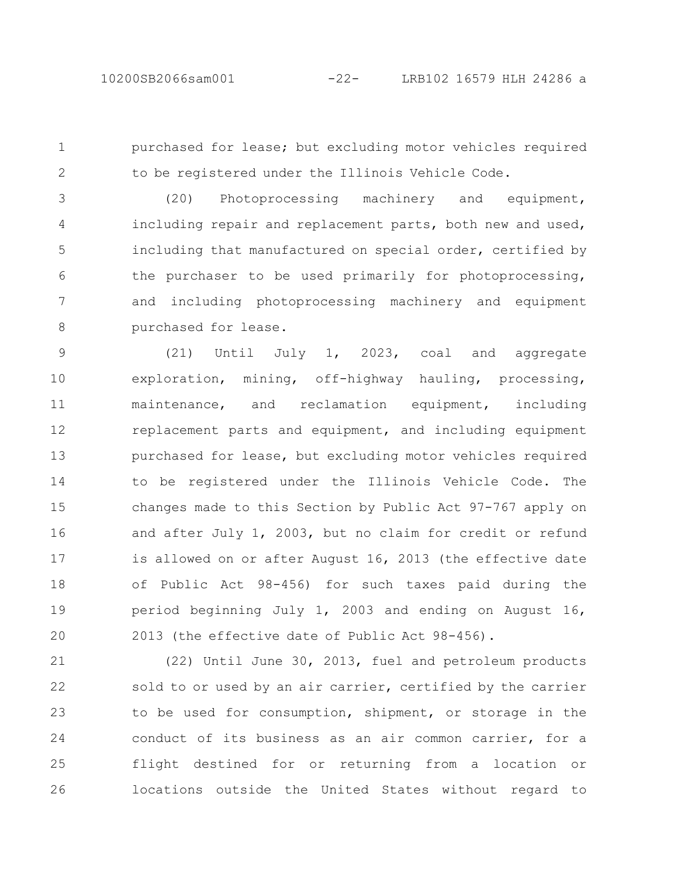1

2

purchased for lease; but excluding motor vehicles required to be registered under the Illinois Vehicle Code.

(20) Photoprocessing machinery and equipment, including repair and replacement parts, both new and used, including that manufactured on special order, certified by the purchaser to be used primarily for photoprocessing, and including photoprocessing machinery and equipment purchased for lease. 3 4 5 6 7 8

(21) Until July 1, 2023, coal and aggregate exploration, mining, off-highway hauling, processing, maintenance, and reclamation equipment, including replacement parts and equipment, and including equipment purchased for lease, but excluding motor vehicles required to be registered under the Illinois Vehicle Code. The changes made to this Section by Public Act 97-767 apply on and after July 1, 2003, but no claim for credit or refund is allowed on or after August 16, 2013 (the effective date of Public Act 98-456) for such taxes paid during the period beginning July 1, 2003 and ending on August 16, 2013 (the effective date of Public Act 98-456). 9 10 11 12 13 14 15 16 17 18 19 20

(22) Until June 30, 2013, fuel and petroleum products sold to or used by an air carrier, certified by the carrier to be used for consumption, shipment, or storage in the conduct of its business as an air common carrier, for a flight destined for or returning from a location or locations outside the United States without regard to 21 22 23 24 25 26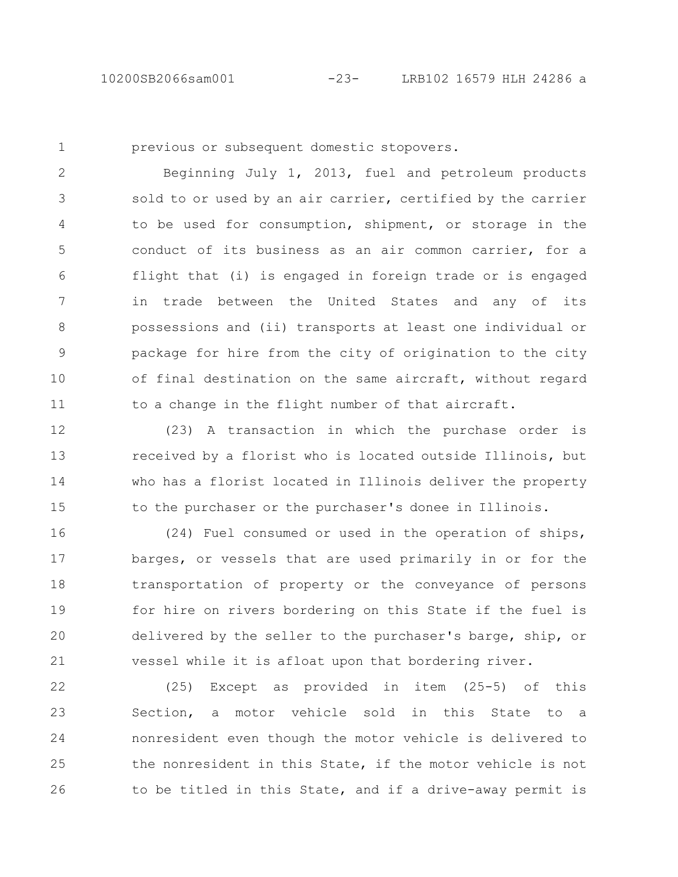1

previous or subsequent domestic stopovers.

Beginning July 1, 2013, fuel and petroleum products sold to or used by an air carrier, certified by the carrier to be used for consumption, shipment, or storage in the conduct of its business as an air common carrier, for a flight that (i) is engaged in foreign trade or is engaged in trade between the United States and any of its possessions and (ii) transports at least one individual or package for hire from the city of origination to the city of final destination on the same aircraft, without regard to a change in the flight number of that aircraft. 2 3 4 5 6 7 8 9 10 11

(23) A transaction in which the purchase order is received by a florist who is located outside Illinois, but who has a florist located in Illinois deliver the property to the purchaser or the purchaser's donee in Illinois. 12 13 14 15

(24) Fuel consumed or used in the operation of ships, barges, or vessels that are used primarily in or for the transportation of property or the conveyance of persons for hire on rivers bordering on this State if the fuel is delivered by the seller to the purchaser's barge, ship, or vessel while it is afloat upon that bordering river. 16 17 18 19 20 21

(25) Except as provided in item (25-5) of this Section, a motor vehicle sold in this State to a nonresident even though the motor vehicle is delivered to the nonresident in this State, if the motor vehicle is not to be titled in this State, and if a drive-away permit is 22 23 24 25 26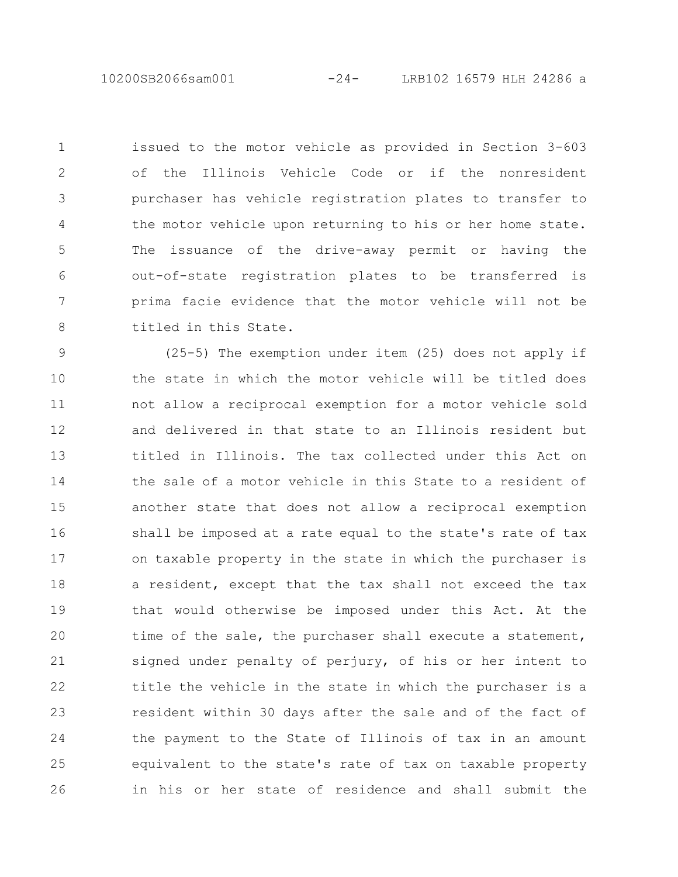10200SB2066sam001 -24- LRB102 16579 HLH 24286 a

issued to the motor vehicle as provided in Section 3-603 of the Illinois Vehicle Code or if the nonresident purchaser has vehicle registration plates to transfer to the motor vehicle upon returning to his or her home state. The issuance of the drive-away permit or having the out-of-state registration plates to be transferred is prima facie evidence that the motor vehicle will not be titled in this State. 1 2 3 4 5 6 7 8

(25-5) The exemption under item (25) does not apply if the state in which the motor vehicle will be titled does not allow a reciprocal exemption for a motor vehicle sold and delivered in that state to an Illinois resident but titled in Illinois. The tax collected under this Act on the sale of a motor vehicle in this State to a resident of another state that does not allow a reciprocal exemption shall be imposed at a rate equal to the state's rate of tax on taxable property in the state in which the purchaser is a resident, except that the tax shall not exceed the tax that would otherwise be imposed under this Act. At the time of the sale, the purchaser shall execute a statement, signed under penalty of perjury, of his or her intent to title the vehicle in the state in which the purchaser is a resident within 30 days after the sale and of the fact of the payment to the State of Illinois of tax in an amount equivalent to the state's rate of tax on taxable property in his or her state of residence and shall submit the 9 10 11 12 13 14 15 16 17 18 19 20 21 22 23 24 25 26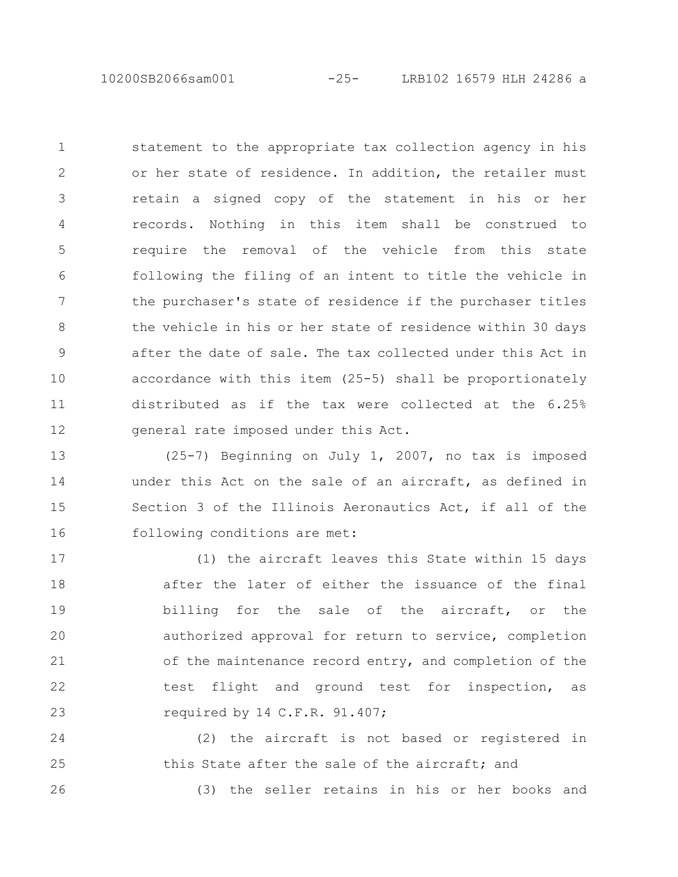10200SB2066sam001 -25- LRB102 16579 HLH 24286 a

statement to the appropriate tax collection agency in his or her state of residence. In addition, the retailer must retain a signed copy of the statement in his or her records. Nothing in this item shall be construed to require the removal of the vehicle from this state following the filing of an intent to title the vehicle in the purchaser's state of residence if the purchaser titles the vehicle in his or her state of residence within 30 days after the date of sale. The tax collected under this Act in accordance with this item (25-5) shall be proportionately distributed as if the tax were collected at the 6.25% general rate imposed under this Act. 1 2 3 4 5 6 7 8 9 10 11 12

(25-7) Beginning on July 1, 2007, no tax is imposed under this Act on the sale of an aircraft, as defined in Section 3 of the Illinois Aeronautics Act, if all of the following conditions are met: 13 14 15 16

(1) the aircraft leaves this State within 15 days after the later of either the issuance of the final billing for the sale of the aircraft, or the authorized approval for return to service, completion of the maintenance record entry, and completion of the test flight and ground test for inspection, as required by 14 C.F.R. 91.407; 17 18 19 20 21 22 23

(2) the aircraft is not based or registered in this State after the sale of the aircraft; and 24 25

26

(3) the seller retains in his or her books and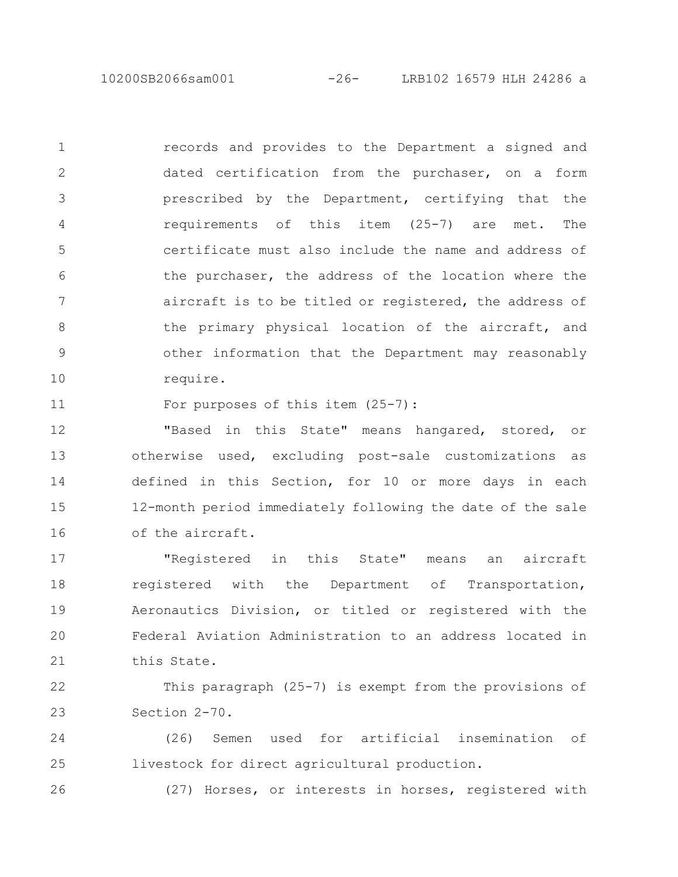10200SB2066sam001 -26- LRB102 16579 HLH 24286 a

records and provides to the Department a signed and dated certification from the purchaser, on a form prescribed by the Department, certifying that the requirements of this item (25-7) are met. The certificate must also include the name and address of the purchaser, the address of the location where the aircraft is to be titled or registered, the address of the primary physical location of the aircraft, and other information that the Department may reasonably require. 1 2 3 4 5 6 7 8 9 10

For purposes of this item (25-7): 11

"Based in this State" means hangared, stored, or otherwise used, excluding post-sale customizations as defined in this Section, for 10 or more days in each 12-month period immediately following the date of the sale of the aircraft. 12 13 14 15 16

"Registered in this State" means an aircraft registered with the Department of Transportation, Aeronautics Division, or titled or registered with the Federal Aviation Administration to an address located in this State. 17 18 19 20 21

This paragraph (25-7) is exempt from the provisions of Section 2-70. 22 23

(26) Semen used for artificial insemination of livestock for direct agricultural production. 24 25

26

(27) Horses, or interests in horses, registered with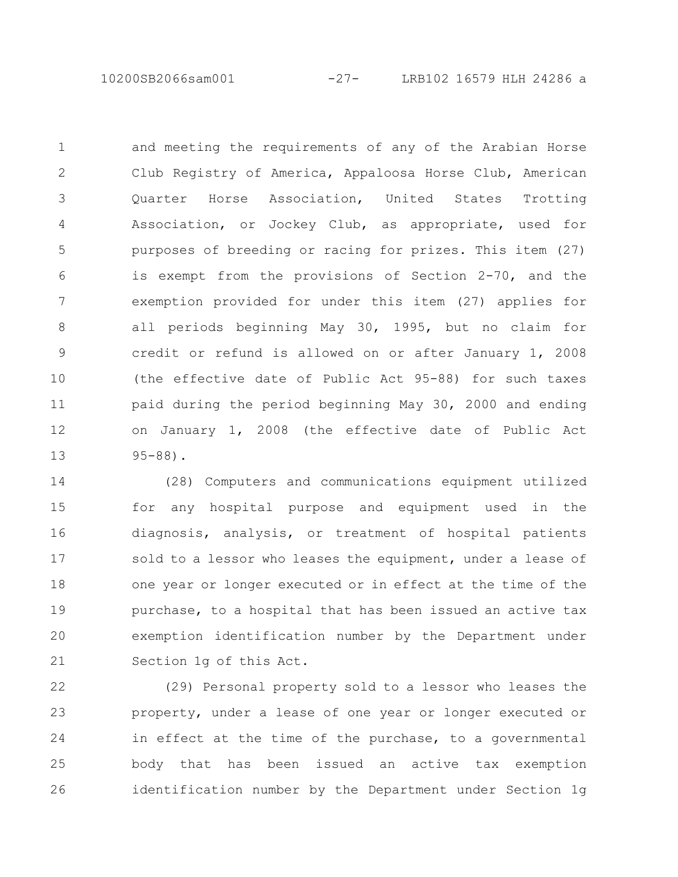10200SB2066sam001 -27- LRB102 16579 HLH 24286 a

and meeting the requirements of any of the Arabian Horse Club Registry of America, Appaloosa Horse Club, American Quarter Horse Association, United States Trotting Association, or Jockey Club, as appropriate, used for purposes of breeding or racing for prizes. This item (27) is exempt from the provisions of Section 2-70, and the exemption provided for under this item (27) applies for all periods beginning May 30, 1995, but no claim for credit or refund is allowed on or after January 1, 2008 (the effective date of Public Act 95-88) for such taxes paid during the period beginning May 30, 2000 and ending on January 1, 2008 (the effective date of Public Act 95-88). 1 2 3 4 5 6 7 8 9 10 11 12 13

(28) Computers and communications equipment utilized for any hospital purpose and equipment used in the diagnosis, analysis, or treatment of hospital patients sold to a lessor who leases the equipment, under a lease of one year or longer executed or in effect at the time of the purchase, to a hospital that has been issued an active tax exemption identification number by the Department under Section 1g of this Act. 14 15 16 17 18 19 20 21

(29) Personal property sold to a lessor who leases the property, under a lease of one year or longer executed or in effect at the time of the purchase, to a governmental body that has been issued an active tax exemption identification number by the Department under Section 1g 22 23 24 25 26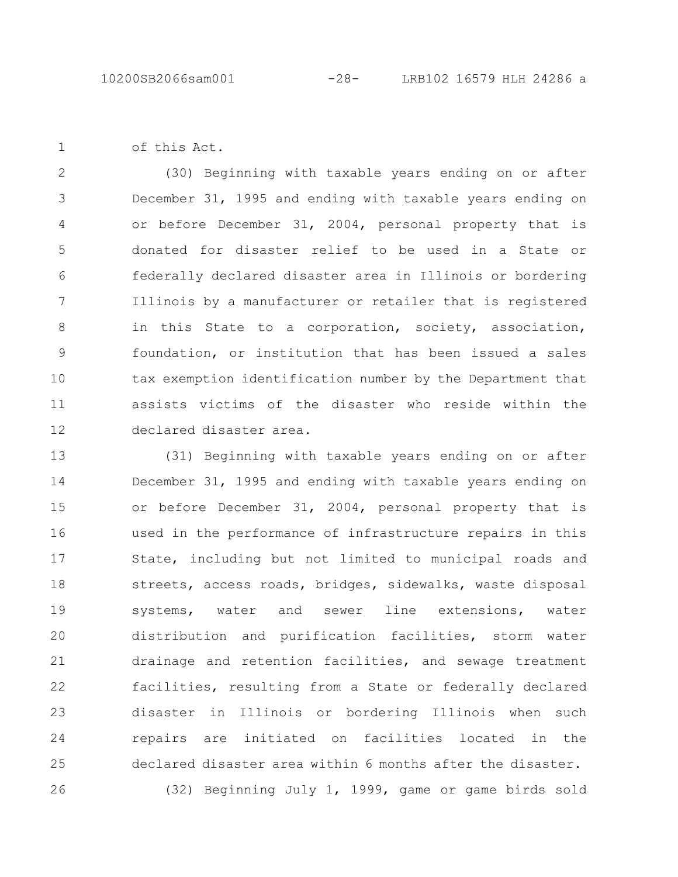of this Act.

1

(30) Beginning with taxable years ending on or after December 31, 1995 and ending with taxable years ending on or before December 31, 2004, personal property that is donated for disaster relief to be used in a State or federally declared disaster area in Illinois or bordering Illinois by a manufacturer or retailer that is registered in this State to a corporation, society, association, foundation, or institution that has been issued a sales tax exemption identification number by the Department that assists victims of the disaster who reside within the declared disaster area. 2 3 4 5 6 7 8 9 10 11 12

(31) Beginning with taxable years ending on or after December 31, 1995 and ending with taxable years ending on or before December 31, 2004, personal property that is used in the performance of infrastructure repairs in this State, including but not limited to municipal roads and streets, access roads, bridges, sidewalks, waste disposal systems, water and sewer line extensions, water distribution and purification facilities, storm water drainage and retention facilities, and sewage treatment facilities, resulting from a State or federally declared disaster in Illinois or bordering Illinois when such repairs are initiated on facilities located in the declared disaster area within 6 months after the disaster. (32) Beginning July 1, 1999, game or game birds sold 13 14 15 16 17 18 19 20 21 22 23 24 25 26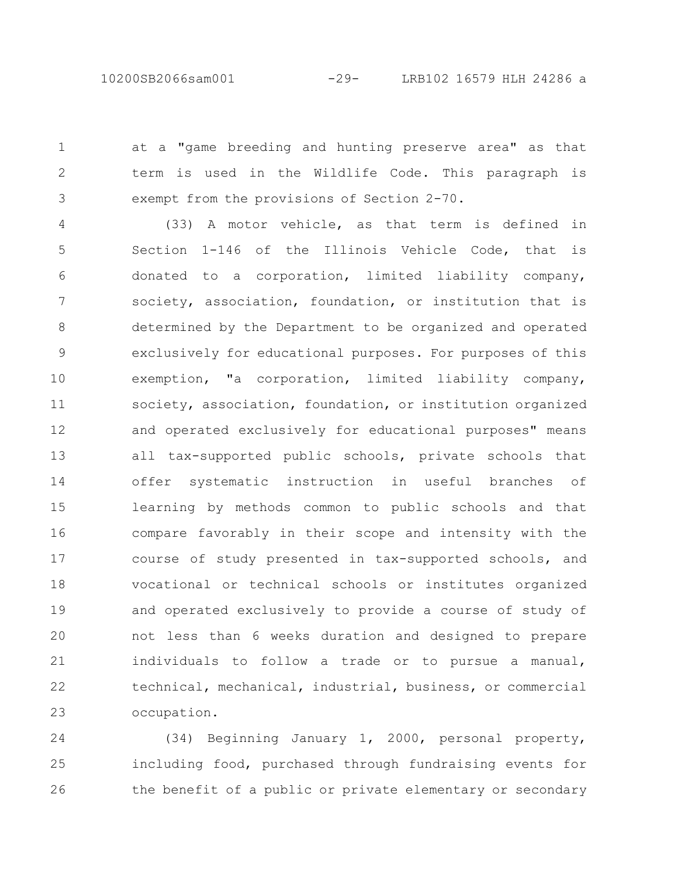10200SB2066sam001 -29- LRB102 16579 HLH 24286 a

1

2

3

at a "game breeding and hunting preserve area" as that term is used in the Wildlife Code. This paragraph is exempt from the provisions of Section 2-70.

(33) A motor vehicle, as that term is defined in Section 1-146 of the Illinois Vehicle Code, that is donated to a corporation, limited liability company, society, association, foundation, or institution that is determined by the Department to be organized and operated exclusively for educational purposes. For purposes of this exemption, "a corporation, limited liability company, society, association, foundation, or institution organized and operated exclusively for educational purposes" means all tax-supported public schools, private schools that offer systematic instruction in useful branches of learning by methods common to public schools and that compare favorably in their scope and intensity with the course of study presented in tax-supported schools, and vocational or technical schools or institutes organized and operated exclusively to provide a course of study of not less than 6 weeks duration and designed to prepare individuals to follow a trade or to pursue a manual, technical, mechanical, industrial, business, or commercial occupation. 4 5 6 7 8 9 10 11 12 13 14 15 16 17 18 19 20 21 22 23

(34) Beginning January 1, 2000, personal property, including food, purchased through fundraising events for the benefit of a public or private elementary or secondary 24 25 26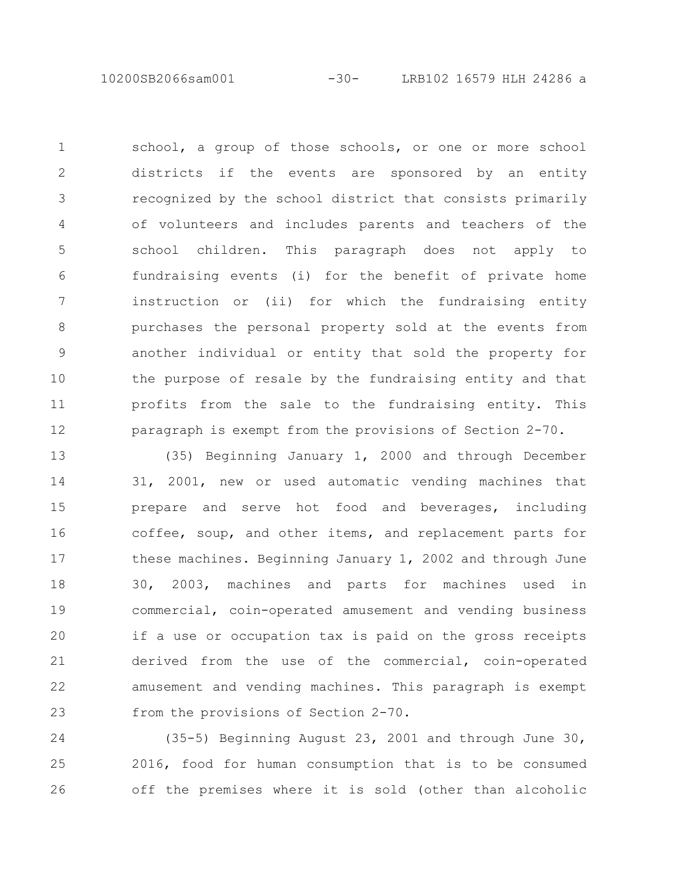10200SB2066sam001 -30- LRB102 16579 HLH 24286 a

school, a group of those schools, or one or more school districts if the events are sponsored by an entity recognized by the school district that consists primarily of volunteers and includes parents and teachers of the school children. This paragraph does not apply to fundraising events (i) for the benefit of private home instruction or (ii) for which the fundraising entity purchases the personal property sold at the events from another individual or entity that sold the property for the purpose of resale by the fundraising entity and that profits from the sale to the fundraising entity. This paragraph is exempt from the provisions of Section 2-70. 1 2 3 4 5 6 7 8 9 10 11 12

(35) Beginning January 1, 2000 and through December 31, 2001, new or used automatic vending machines that prepare and serve hot food and beverages, including coffee, soup, and other items, and replacement parts for these machines. Beginning January 1, 2002 and through June 30, 2003, machines and parts for machines used in commercial, coin-operated amusement and vending business if a use or occupation tax is paid on the gross receipts derived from the use of the commercial, coin-operated amusement and vending machines. This paragraph is exempt from the provisions of Section 2-70. 13 14 15 16 17 18 19 20 21 22 23

(35-5) Beginning August 23, 2001 and through June 30, 2016, food for human consumption that is to be consumed off the premises where it is sold (other than alcoholic 24 25 26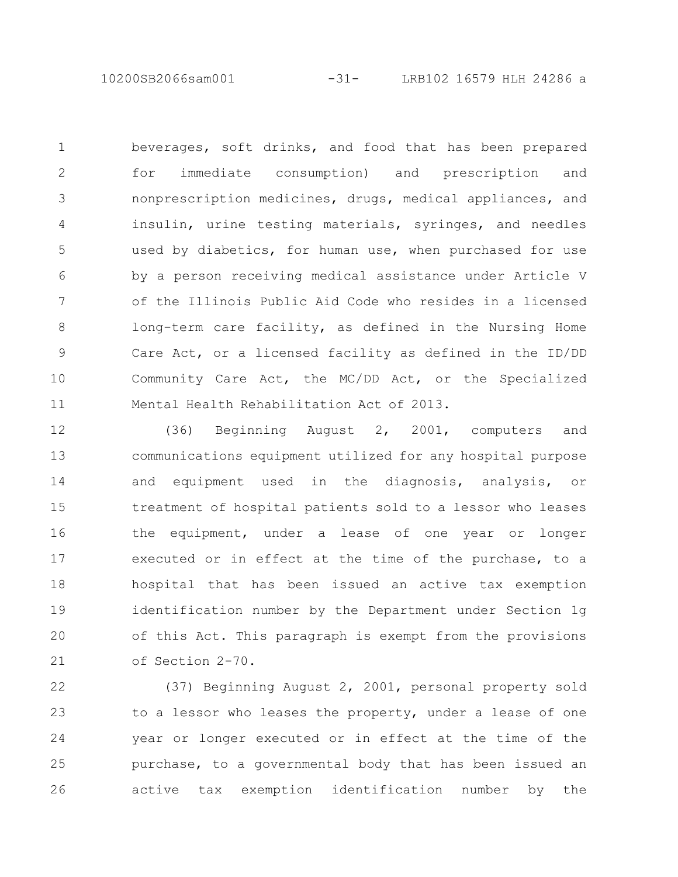10200SB2066sam001 -31- LRB102 16579 HLH 24286 a

beverages, soft drinks, and food that has been prepared for immediate consumption) and prescription and nonprescription medicines, drugs, medical appliances, and insulin, urine testing materials, syringes, and needles used by diabetics, for human use, when purchased for use by a person receiving medical assistance under Article V of the Illinois Public Aid Code who resides in a licensed long-term care facility, as defined in the Nursing Home Care Act, or a licensed facility as defined in the ID/DD Community Care Act, the MC/DD Act, or the Specialized Mental Health Rehabilitation Act of 2013. 1 2 3 4 5 6 7 8 9 10 11

(36) Beginning August 2, 2001, computers and communications equipment utilized for any hospital purpose and equipment used in the diagnosis, analysis, or treatment of hospital patients sold to a lessor who leases the equipment, under a lease of one year or longer executed or in effect at the time of the purchase, to a hospital that has been issued an active tax exemption identification number by the Department under Section 1g of this Act. This paragraph is exempt from the provisions of Section 2-70. 12 13 14 15 16 17 18 19 20 21

(37) Beginning August 2, 2001, personal property sold to a lessor who leases the property, under a lease of one year or longer executed or in effect at the time of the purchase, to a governmental body that has been issued an active tax exemption identification number by the 22 23 24 25 26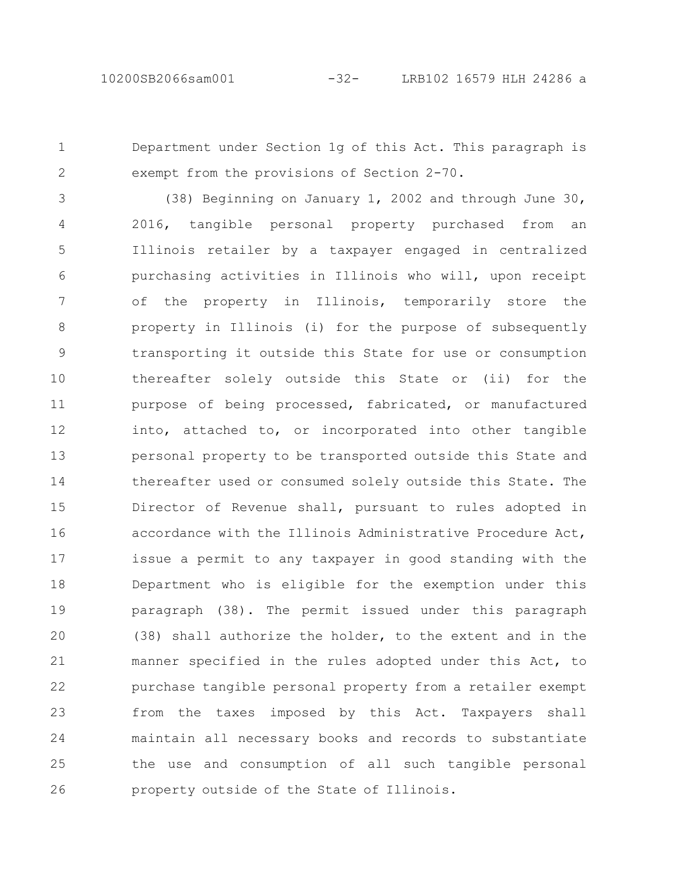1

2

Department under Section 1g of this Act. This paragraph is exempt from the provisions of Section 2-70.

(38) Beginning on January 1, 2002 and through June 30, 2016, tangible personal property purchased from an Illinois retailer by a taxpayer engaged in centralized purchasing activities in Illinois who will, upon receipt of the property in Illinois, temporarily store the property in Illinois (i) for the purpose of subsequently transporting it outside this State for use or consumption thereafter solely outside this State or (ii) for the purpose of being processed, fabricated, or manufactured into, attached to, or incorporated into other tangible personal property to be transported outside this State and thereafter used or consumed solely outside this State. The Director of Revenue shall, pursuant to rules adopted in accordance with the Illinois Administrative Procedure Act, issue a permit to any taxpayer in good standing with the Department who is eligible for the exemption under this paragraph (38). The permit issued under this paragraph (38) shall authorize the holder, to the extent and in the manner specified in the rules adopted under this Act, to purchase tangible personal property from a retailer exempt from the taxes imposed by this Act. Taxpayers shall maintain all necessary books and records to substantiate the use and consumption of all such tangible personal property outside of the State of Illinois. 3 4 5 6 7 8 9 10 11 12 13 14 15 16 17 18 19 20 21 22 23 24 25 26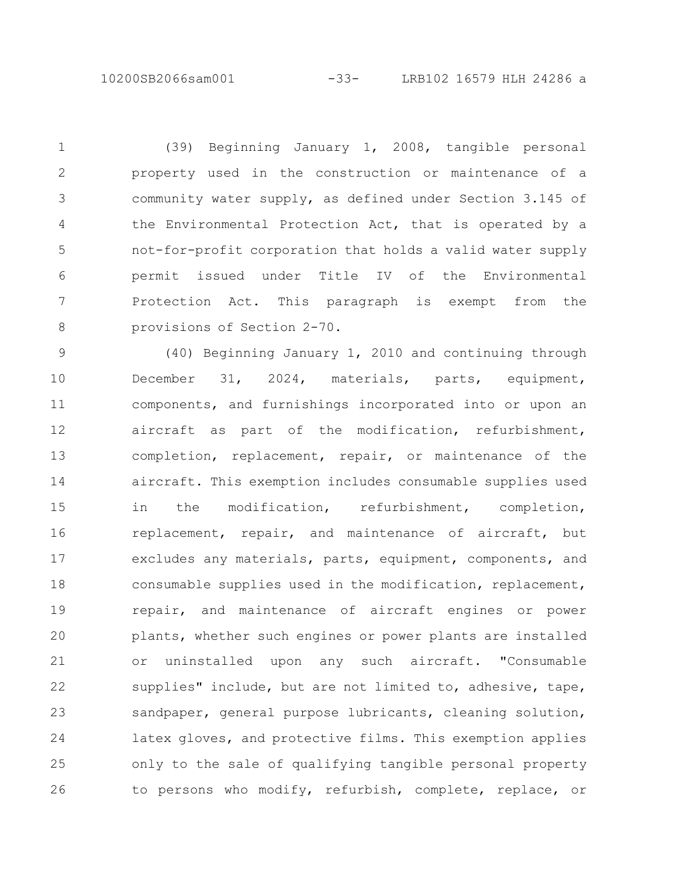(39) Beginning January 1, 2008, tangible personal property used in the construction or maintenance of a community water supply, as defined under Section 3.145 of the Environmental Protection Act, that is operated by a not-for-profit corporation that holds a valid water supply permit issued under Title IV of the Environmental Protection Act. This paragraph is exempt from the provisions of Section 2-70. 1 2 3 4 5 6 7 8

(40) Beginning January 1, 2010 and continuing through December 31, 2024, materials, parts, equipment, components, and furnishings incorporated into or upon an aircraft as part of the modification, refurbishment, completion, replacement, repair, or maintenance of the aircraft. This exemption includes consumable supplies used in the modification, refurbishment, completion, replacement, repair, and maintenance of aircraft, but excludes any materials, parts, equipment, components, and consumable supplies used in the modification, replacement, repair, and maintenance of aircraft engines or power plants, whether such engines or power plants are installed or uninstalled upon any such aircraft. "Consumable supplies" include, but are not limited to, adhesive, tape, sandpaper, general purpose lubricants, cleaning solution, latex gloves, and protective films. This exemption applies only to the sale of qualifying tangible personal property to persons who modify, refurbish, complete, replace, or 9 10 11 12 13 14 15 16 17 18 19 20 21 22 23 24 25 26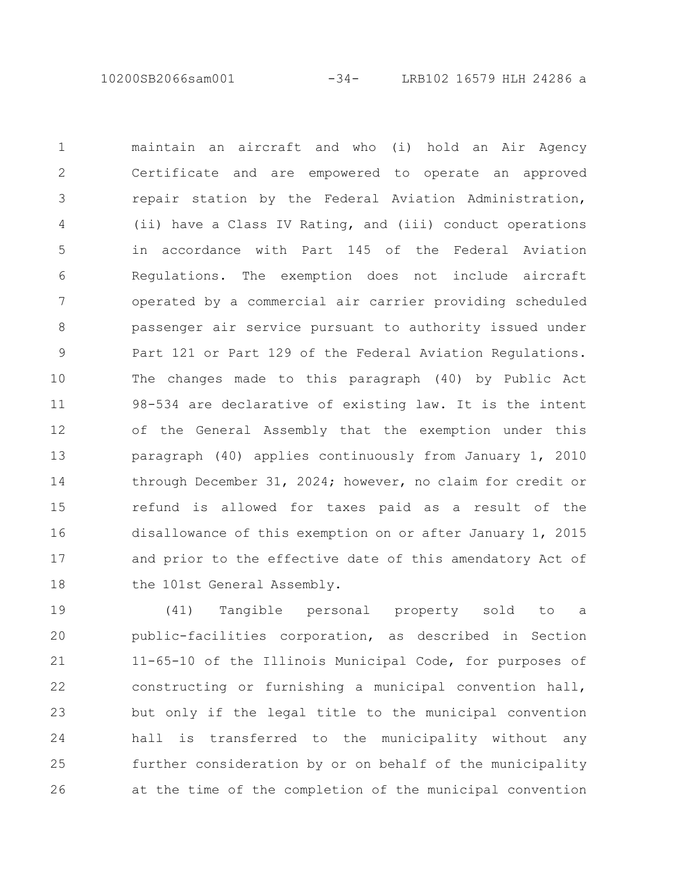10200SB2066sam001 -34- LRB102 16579 HLH 24286 a

maintain an aircraft and who (i) hold an Air Agency Certificate and are empowered to operate an approved repair station by the Federal Aviation Administration, (ii) have a Class IV Rating, and (iii) conduct operations in accordance with Part 145 of the Federal Aviation Regulations. The exemption does not include aircraft operated by a commercial air carrier providing scheduled passenger air service pursuant to authority issued under Part 121 or Part 129 of the Federal Aviation Regulations. The changes made to this paragraph (40) by Public Act 98-534 are declarative of existing law. It is the intent of the General Assembly that the exemption under this paragraph (40) applies continuously from January 1, 2010 through December 31, 2024; however, no claim for credit or refund is allowed for taxes paid as a result of the disallowance of this exemption on or after January 1, 2015 and prior to the effective date of this amendatory Act of the 101st General Assembly. 1 2 3 4 5 6 7 8 9 10 11 12 13 14 15 16 17 18

(41) Tangible personal property sold to a public-facilities corporation, as described in Section 11-65-10 of the Illinois Municipal Code, for purposes of constructing or furnishing a municipal convention hall, but only if the legal title to the municipal convention hall is transferred to the municipality without any further consideration by or on behalf of the municipality at the time of the completion of the municipal convention 19 20 21 22 23 24 25 26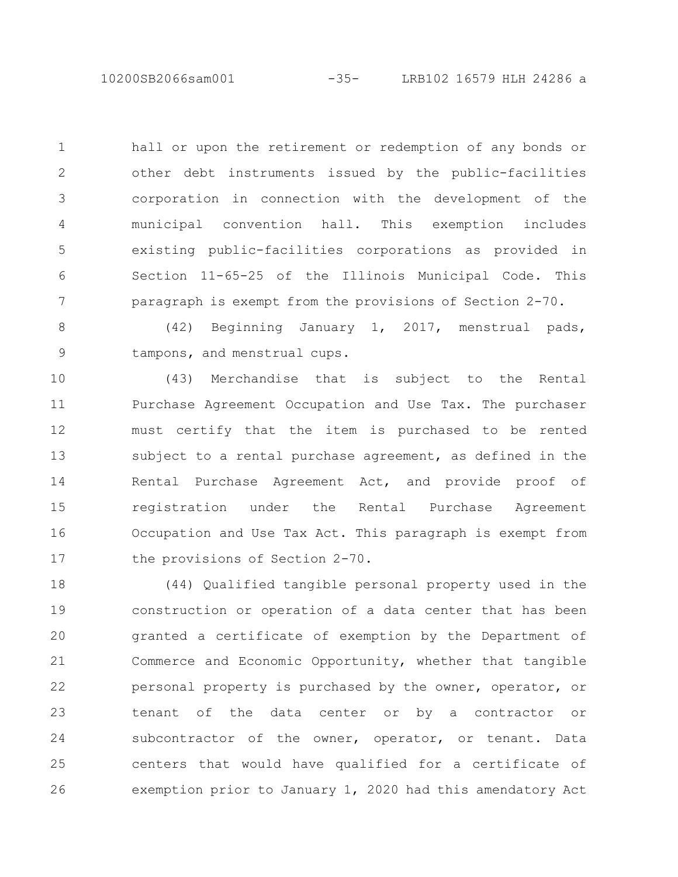hall or upon the retirement or redemption of any bonds or other debt instruments issued by the public-facilities corporation in connection with the development of the municipal convention hall. This exemption includes existing public-facilities corporations as provided in Section 11-65-25 of the Illinois Municipal Code. This paragraph is exempt from the provisions of Section 2-70. 1 2 3 4 5 6 7

(42) Beginning January 1, 2017, menstrual pads, tampons, and menstrual cups. 8 9

(43) Merchandise that is subject to the Rental Purchase Agreement Occupation and Use Tax. The purchaser must certify that the item is purchased to be rented subject to a rental purchase agreement, as defined in the Rental Purchase Agreement Act, and provide proof of registration under the Rental Purchase Agreement Occupation and Use Tax Act. This paragraph is exempt from the provisions of Section 2-70. 10 11 12 13 14 15 16 17

(44) Qualified tangible personal property used in the construction or operation of a data center that has been granted a certificate of exemption by the Department of Commerce and Economic Opportunity, whether that tangible personal property is purchased by the owner, operator, or tenant of the data center or by a contractor or subcontractor of the owner, operator, or tenant. Data centers that would have qualified for a certificate of exemption prior to January 1, 2020 had this amendatory Act 18 19 20 21 22 23 24 25 26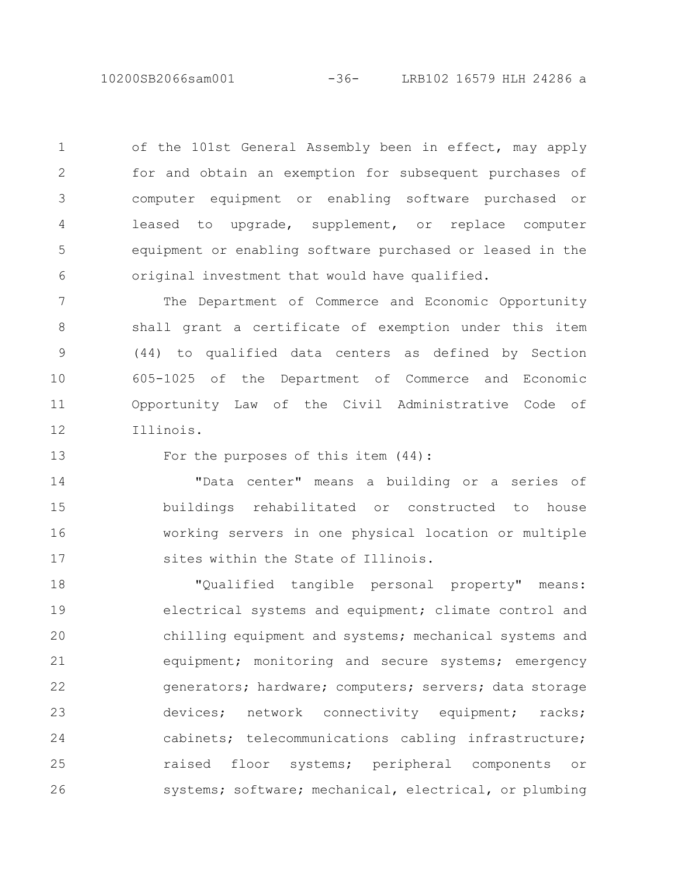10200SB2066sam001 -36- LRB102 16579 HLH 24286 a

of the 101st General Assembly been in effect, may apply for and obtain an exemption for subsequent purchases of computer equipment or enabling software purchased or leased to upgrade, supplement, or replace computer equipment or enabling software purchased or leased in the original investment that would have qualified. 1 2 3 4 5 6

The Department of Commerce and Economic Opportunity shall grant a certificate of exemption under this item (44) to qualified data centers as defined by Section 605-1025 of the Department of Commerce and Economic Opportunity Law of the Civil Administrative Code of Illinois. 7 8 9 10 11 12

13

For the purposes of this item (44):

"Data center" means a building or a series of buildings rehabilitated or constructed to house working servers in one physical location or multiple sites within the State of Illinois. 14 15 16 17

"Qualified tangible personal property" means: electrical systems and equipment; climate control and chilling equipment and systems; mechanical systems and equipment; monitoring and secure systems; emergency generators; hardware; computers; servers; data storage devices; network connectivity equipment; racks; cabinets; telecommunications cabling infrastructure; raised floor systems; peripheral components or systems; software; mechanical, electrical, or plumbing 18 19 20 21 22 23 24 25 26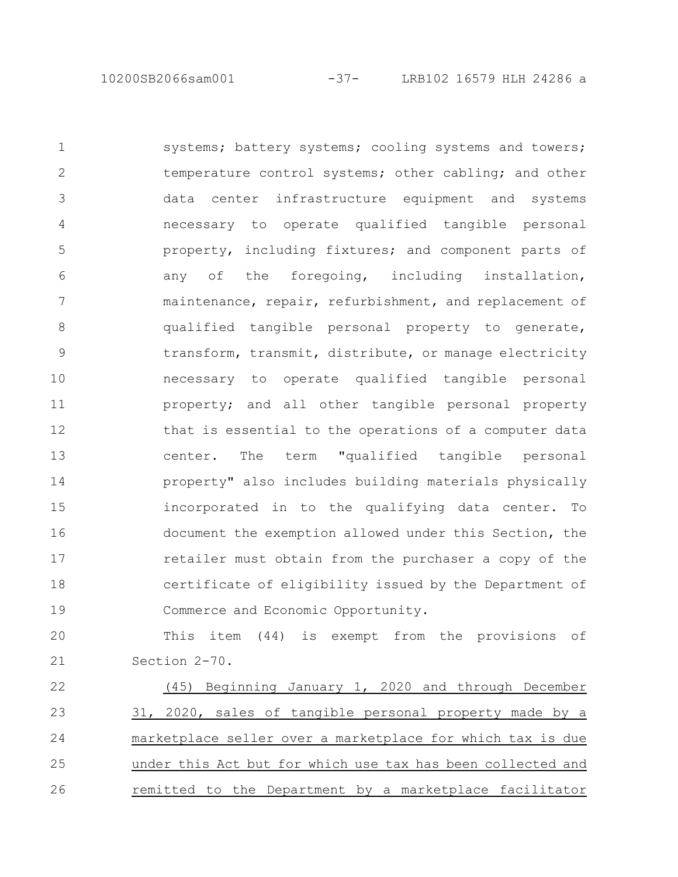10200SB2066sam001 -37- LRB102 16579 HLH 24286 a

systems; battery systems; cooling systems and towers; temperature control systems; other cabling; and other data center infrastructure equipment and systems necessary to operate qualified tangible personal property, including fixtures; and component parts of any of the foregoing, including installation, maintenance, repair, refurbishment, and replacement of qualified tangible personal property to generate, transform, transmit, distribute, or manage electricity necessary to operate qualified tangible personal property; and all other tangible personal property that is essential to the operations of a computer data center. The term "qualified tangible personal property" also includes building materials physically incorporated in to the qualifying data center. To document the exemption allowed under this Section, the retailer must obtain from the purchaser a copy of the certificate of eligibility issued by the Department of Commerce and Economic Opportunity. 1 2 3 4 5 6 7 8 9 10 11 12 13 14 15 16 17 18 19

This item (44) is exempt from the provisions of Section 2-70. 20 21

(45) Beginning January 1, 2020 and through December 31, 2020, sales of tangible personal property made by a marketplace seller over a marketplace for which tax is due under this Act but for which use tax has been collected and remitted to the Department by a marketplace facilitator 22 23 24 25 26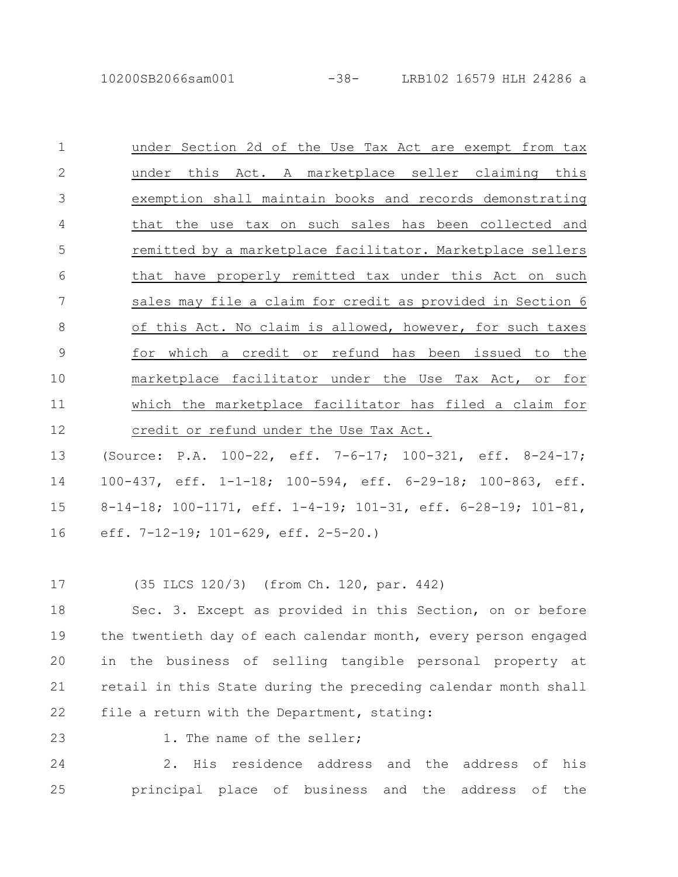under Section 2d of the Use Tax Act are exempt from tax under this Act. A marketplace seller claiming this exemption shall maintain books and records demonstrating that the use tax on such sales has been collected and remitted by a marketplace facilitator. Marketplace sellers that have properly remitted tax under this Act on such sales may file a claim for credit as provided in Section 6 of this Act. No claim is allowed, however, for such taxes for which a credit or refund has been issued to the marketplace facilitator under the Use Tax Act, or for which the marketplace facilitator has filed a claim for credit or refund under the Use Tax Act. 1 2 3 4 5 6 7 8 9 10 11 12

(Source: P.A. 100-22, eff. 7-6-17; 100-321, eff. 8-24-17; 100-437, eff. 1-1-18; 100-594, eff. 6-29-18; 100-863, eff. 8-14-18; 100-1171, eff. 1-4-19; 101-31, eff. 6-28-19; 101-81, eff. 7-12-19; 101-629, eff. 2-5-20.) 13 14 15 16

(35 ILCS 120/3) (from Ch. 120, par. 442) 17

Sec. 3. Except as provided in this Section, on or before the twentieth day of each calendar month, every person engaged in the business of selling tangible personal property at retail in this State during the preceding calendar month shall file a return with the Department, stating: 18 19 20 21 22

23

1. The name of the seller;

2. His residence address and the address of his principal place of business and the address of the 24 25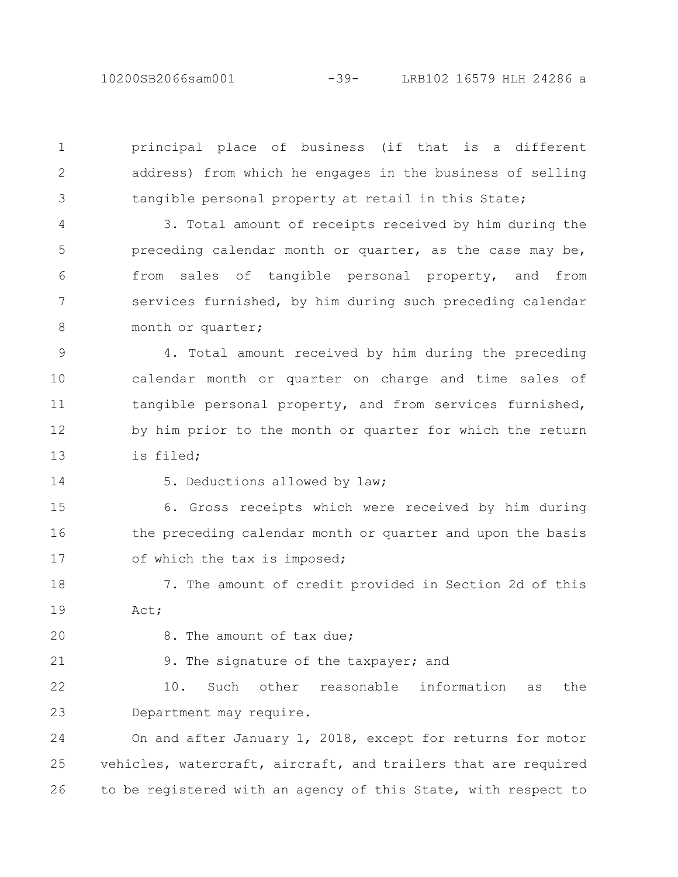10200SB2066sam001 -39- LRB102 16579 HLH 24286 a

principal place of business (if that is a different address) from which he engages in the business of selling tangible personal property at retail in this State;

3. Total amount of receipts received by him during the preceding calendar month or quarter, as the case may be, from sales of tangible personal property, and from services furnished, by him during such preceding calendar month or quarter; 4 5 6 7 8

4. Total amount received by him during the preceding calendar month or quarter on charge and time sales of tangible personal property, and from services furnished, by him prior to the month or quarter for which the return is filed; 9 10 11 12 13

14

1

2

3

5. Deductions allowed by law;

6. Gross receipts which were received by him during the preceding calendar month or quarter and upon the basis of which the tax is imposed; 15 16 17

7. The amount of credit provided in Section 2d of this Act; 18 19

20 21 8. The amount of tax due;

9. The signature of the taxpayer; and

10. Such other reasonable information as the Department may require. 22 23

On and after January 1, 2018, except for returns for motor vehicles, watercraft, aircraft, and trailers that are required to be registered with an agency of this State, with respect to 24 25 26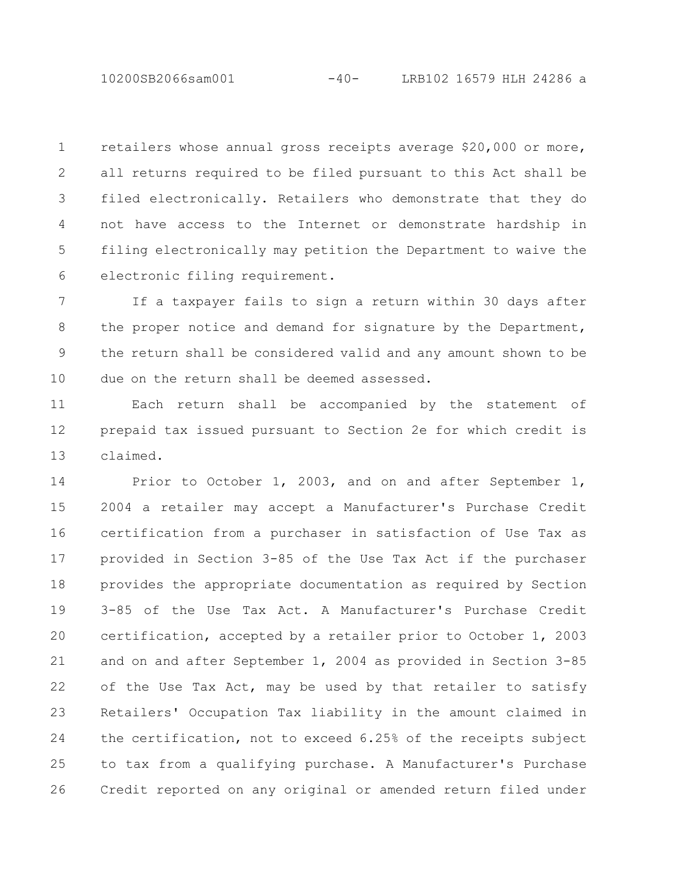10200SB2066sam001 -40- LRB102 16579 HLH 24286 a

retailers whose annual gross receipts average \$20,000 or more, all returns required to be filed pursuant to this Act shall be filed electronically. Retailers who demonstrate that they do not have access to the Internet or demonstrate hardship in filing electronically may petition the Department to waive the electronic filing requirement. 1 2 3 4 5 6

If a taxpayer fails to sign a return within 30 days after the proper notice and demand for signature by the Department, the return shall be considered valid and any amount shown to be due on the return shall be deemed assessed. 7 8 9 10

Each return shall be accompanied by the statement of prepaid tax issued pursuant to Section 2e for which credit is claimed. 11 12 13

Prior to October 1, 2003, and on and after September 1, 2004 a retailer may accept a Manufacturer's Purchase Credit certification from a purchaser in satisfaction of Use Tax as provided in Section 3-85 of the Use Tax Act if the purchaser provides the appropriate documentation as required by Section 3-85 of the Use Tax Act. A Manufacturer's Purchase Credit certification, accepted by a retailer prior to October 1, 2003 and on and after September 1, 2004 as provided in Section 3-85 of the Use Tax Act, may be used by that retailer to satisfy Retailers' Occupation Tax liability in the amount claimed in the certification, not to exceed 6.25% of the receipts subject to tax from a qualifying purchase. A Manufacturer's Purchase Credit reported on any original or amended return filed under 14 15 16 17 18 19 20 21 22 23 24 25 26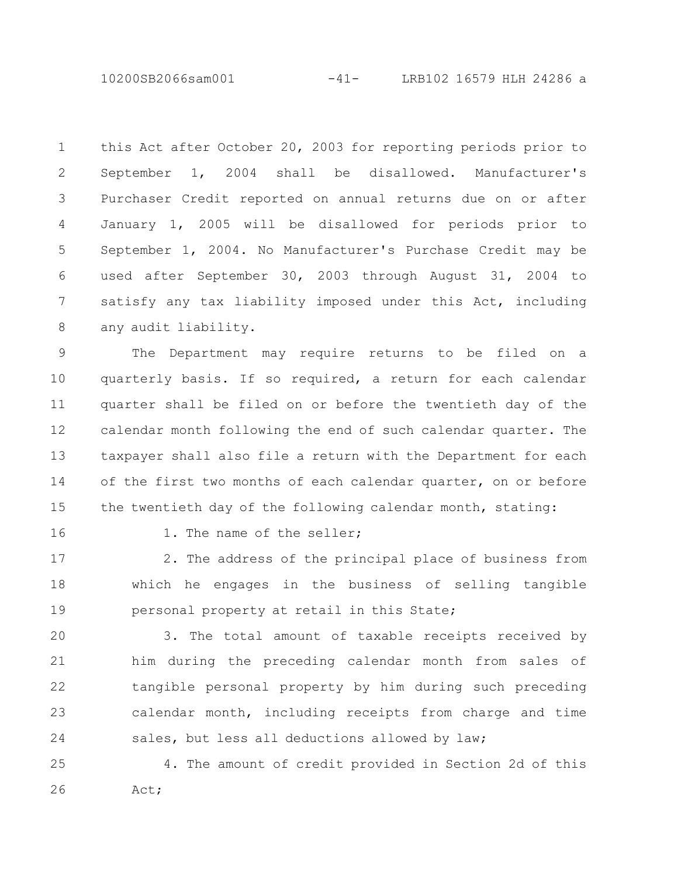10200SB2066sam001 -41- LRB102 16579 HLH 24286 a

this Act after October 20, 2003 for reporting periods prior to September 1, 2004 shall be disallowed. Manufacturer's Purchaser Credit reported on annual returns due on or after January 1, 2005 will be disallowed for periods prior to September 1, 2004. No Manufacturer's Purchase Credit may be used after September 30, 2003 through August 31, 2004 to satisfy any tax liability imposed under this Act, including any audit liability. 1 2 3 4 5 6 7 8

The Department may require returns to be filed on a quarterly basis. If so required, a return for each calendar quarter shall be filed on or before the twentieth day of the calendar month following the end of such calendar quarter. The taxpayer shall also file a return with the Department for each of the first two months of each calendar quarter, on or before the twentieth day of the following calendar month, stating: 9 10 11 12 13 14 15

16

1. The name of the seller;

2. The address of the principal place of business from which he engages in the business of selling tangible personal property at retail in this State; 17 18 19

3. The total amount of taxable receipts received by him during the preceding calendar month from sales of tangible personal property by him during such preceding calendar month, including receipts from charge and time sales, but less all deductions allowed by law; 20 21 22 23 24

4. The amount of credit provided in Section 2d of this Act; 25 26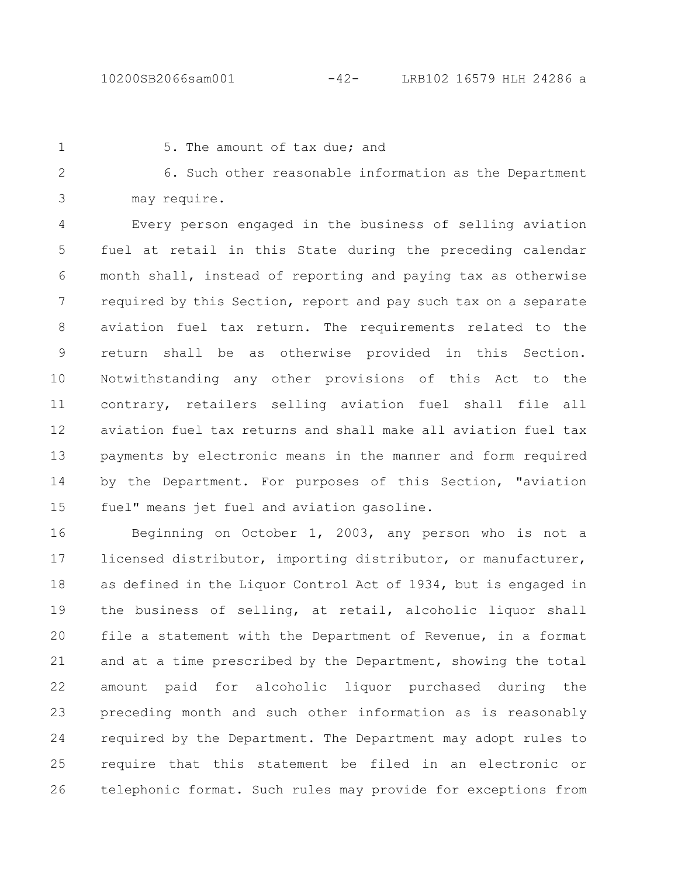1

5. The amount of tax due; and

6. Such other reasonable information as the Department may require. 2 3

Every person engaged in the business of selling aviation fuel at retail in this State during the preceding calendar month shall, instead of reporting and paying tax as otherwise required by this Section, report and pay such tax on a separate aviation fuel tax return. The requirements related to the return shall be as otherwise provided in this Section. Notwithstanding any other provisions of this Act to the contrary, retailers selling aviation fuel shall file all aviation fuel tax returns and shall make all aviation fuel tax payments by electronic means in the manner and form required by the Department. For purposes of this Section, "aviation fuel" means jet fuel and aviation gasoline. 4 5 6 7 8 9 10 11 12 13 14 15

Beginning on October 1, 2003, any person who is not a licensed distributor, importing distributor, or manufacturer, as defined in the Liquor Control Act of 1934, but is engaged in the business of selling, at retail, alcoholic liquor shall file a statement with the Department of Revenue, in a format and at a time prescribed by the Department, showing the total amount paid for alcoholic liquor purchased during the preceding month and such other information as is reasonably required by the Department. The Department may adopt rules to require that this statement be filed in an electronic or telephonic format. Such rules may provide for exceptions from 16 17 18 19 20 21 22 23 24 25 26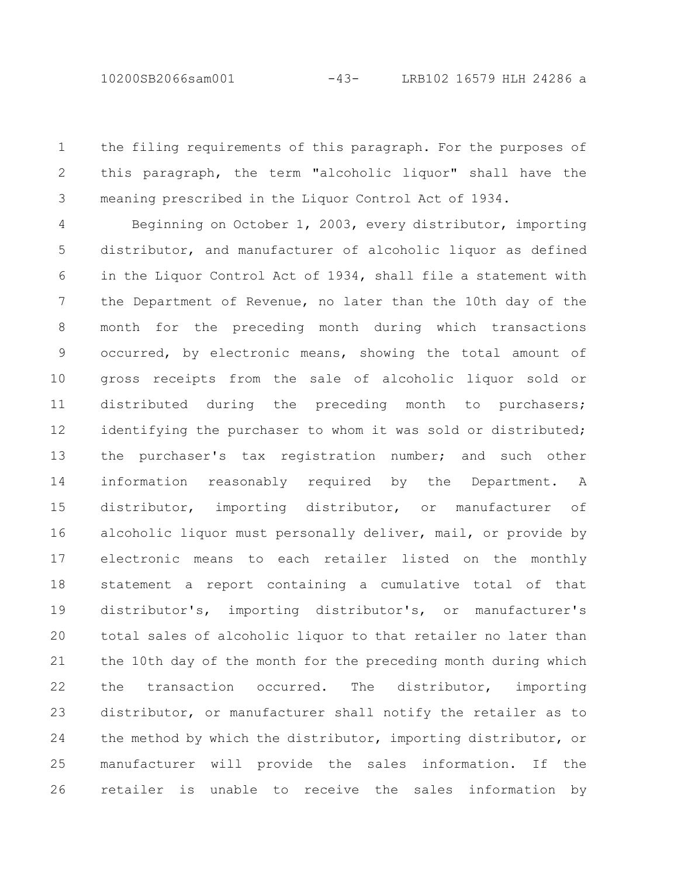the filing requirements of this paragraph. For the purposes of this paragraph, the term "alcoholic liquor" shall have the meaning prescribed in the Liquor Control Act of 1934. 1 2 3

Beginning on October 1, 2003, every distributor, importing distributor, and manufacturer of alcoholic liquor as defined in the Liquor Control Act of 1934, shall file a statement with the Department of Revenue, no later than the 10th day of the month for the preceding month during which transactions occurred, by electronic means, showing the total amount of gross receipts from the sale of alcoholic liquor sold or distributed during the preceding month to purchasers; identifying the purchaser to whom it was sold or distributed; the purchaser's tax registration number; and such other information reasonably required by the Department. A distributor, importing distributor, or manufacturer of alcoholic liquor must personally deliver, mail, or provide by electronic means to each retailer listed on the monthly statement a report containing a cumulative total of that distributor's, importing distributor's, or manufacturer's total sales of alcoholic liquor to that retailer no later than the 10th day of the month for the preceding month during which the transaction occurred. The distributor, importing distributor, or manufacturer shall notify the retailer as to the method by which the distributor, importing distributor, or manufacturer will provide the sales information. If the retailer is unable to receive the sales information by 4 5 6 7 8 9 10 11 12 13 14 15 16 17 18 19 20 21 22 23 24 25 26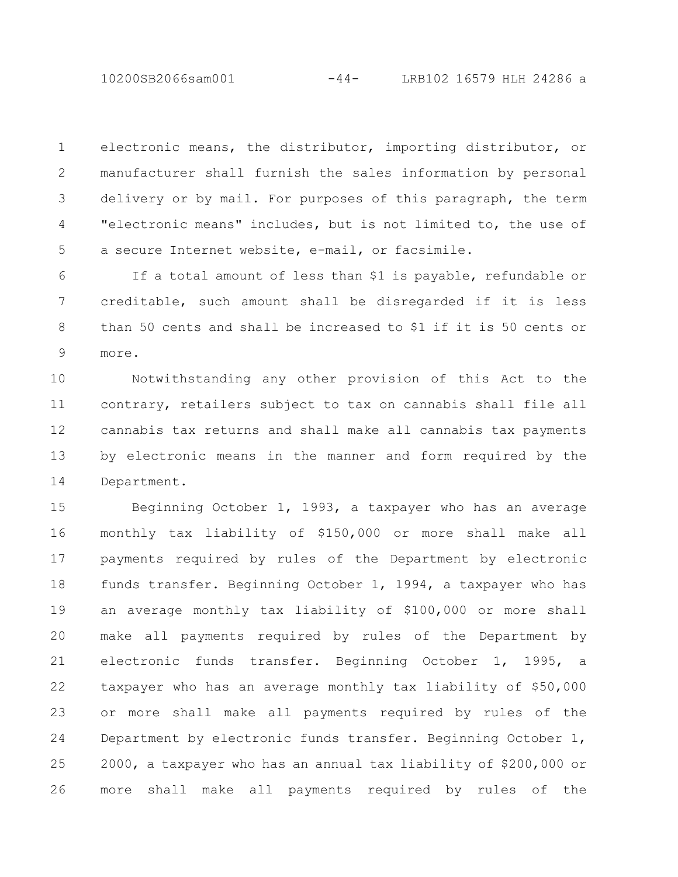10200SB2066sam001 -44- LRB102 16579 HLH 24286 a

electronic means, the distributor, importing distributor, or manufacturer shall furnish the sales information by personal delivery or by mail. For purposes of this paragraph, the term "electronic means" includes, but is not limited to, the use of a secure Internet website, e-mail, or facsimile. 1 2 3 4 5

If a total amount of less than \$1 is payable, refundable or creditable, such amount shall be disregarded if it is less than 50 cents and shall be increased to \$1 if it is 50 cents or more. 6 7 8 9

Notwithstanding any other provision of this Act to the contrary, retailers subject to tax on cannabis shall file all cannabis tax returns and shall make all cannabis tax payments by electronic means in the manner and form required by the Department. 10 11 12 13 14

Beginning October 1, 1993, a taxpayer who has an average monthly tax liability of \$150,000 or more shall make all payments required by rules of the Department by electronic funds transfer. Beginning October 1, 1994, a taxpayer who has an average monthly tax liability of \$100,000 or more shall make all payments required by rules of the Department by electronic funds transfer. Beginning October 1, 1995, a taxpayer who has an average monthly tax liability of \$50,000 or more shall make all payments required by rules of the Department by electronic funds transfer. Beginning October 1, 2000, a taxpayer who has an annual tax liability of \$200,000 or more shall make all payments required by rules of the 15 16 17 18 19 20 21 22 23 24 25 26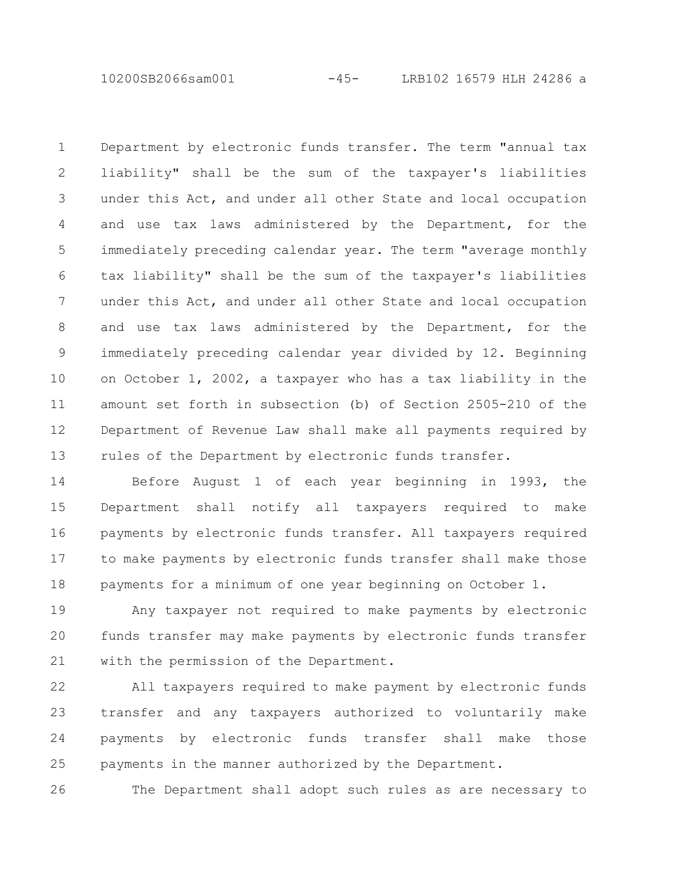10200SB2066sam001 -45- LRB102 16579 HLH 24286 a

Department by electronic funds transfer. The term "annual tax liability" shall be the sum of the taxpayer's liabilities under this Act, and under all other State and local occupation and use tax laws administered by the Department, for the immediately preceding calendar year. The term "average monthly tax liability" shall be the sum of the taxpayer's liabilities under this Act, and under all other State and local occupation and use tax laws administered by the Department, for the immediately preceding calendar year divided by 12. Beginning on October 1, 2002, a taxpayer who has a tax liability in the amount set forth in subsection (b) of Section 2505-210 of the Department of Revenue Law shall make all payments required by rules of the Department by electronic funds transfer. 1 2 3 4 5 6 7 8 9 10 11 12 13

Before August 1 of each year beginning in 1993, the Department shall notify all taxpayers required to make payments by electronic funds transfer. All taxpayers required to make payments by electronic funds transfer shall make those payments for a minimum of one year beginning on October 1. 14 15 16 17 18

Any taxpayer not required to make payments by electronic funds transfer may make payments by electronic funds transfer with the permission of the Department. 19 20 21

All taxpayers required to make payment by electronic funds transfer and any taxpayers authorized to voluntarily make payments by electronic funds transfer shall make those payments in the manner authorized by the Department. 22 23 24 25

The Department shall adopt such rules as are necessary to 26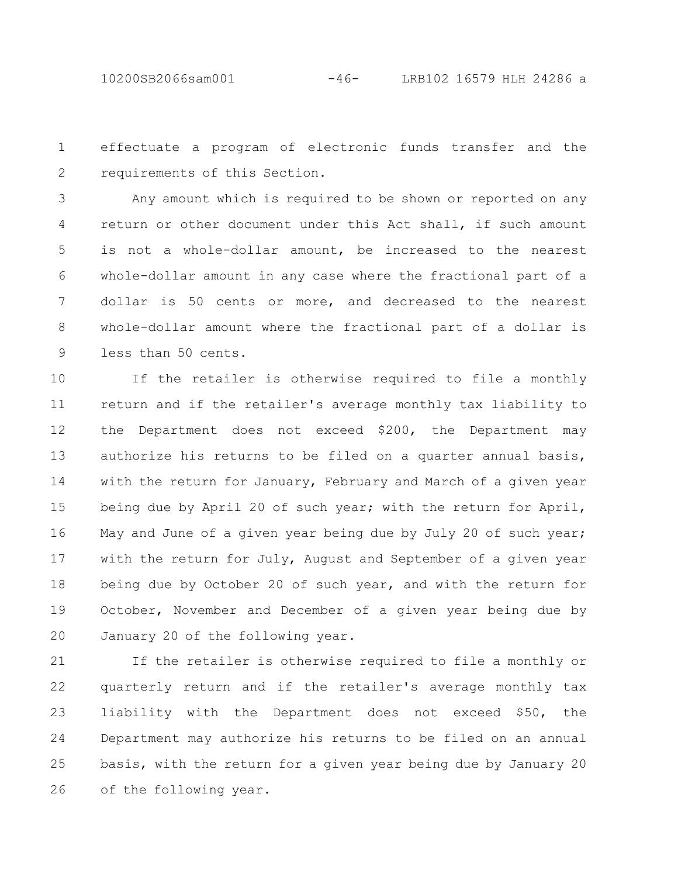effectuate a program of electronic funds transfer and the requirements of this Section. 1 2

Any amount which is required to be shown or reported on any return or other document under this Act shall, if such amount is not a whole-dollar amount, be increased to the nearest whole-dollar amount in any case where the fractional part of a dollar is 50 cents or more, and decreased to the nearest whole-dollar amount where the fractional part of a dollar is less than 50 cents. 3 4 5 6 7 8 9

If the retailer is otherwise required to file a monthly return and if the retailer's average monthly tax liability to the Department does not exceed \$200, the Department may authorize his returns to be filed on a quarter annual basis, with the return for January, February and March of a given year being due by April 20 of such year; with the return for April, May and June of a given year being due by July 20 of such year; with the return for July, August and September of a given year being due by October 20 of such year, and with the return for October, November and December of a given year being due by January 20 of the following year. 10 11 12 13 14 15 16 17 18 19 20

If the retailer is otherwise required to file a monthly or quarterly return and if the retailer's average monthly tax liability with the Department does not exceed \$50, the Department may authorize his returns to be filed on an annual basis, with the return for a given year being due by January 20 of the following year. 21 22 23 24 25 26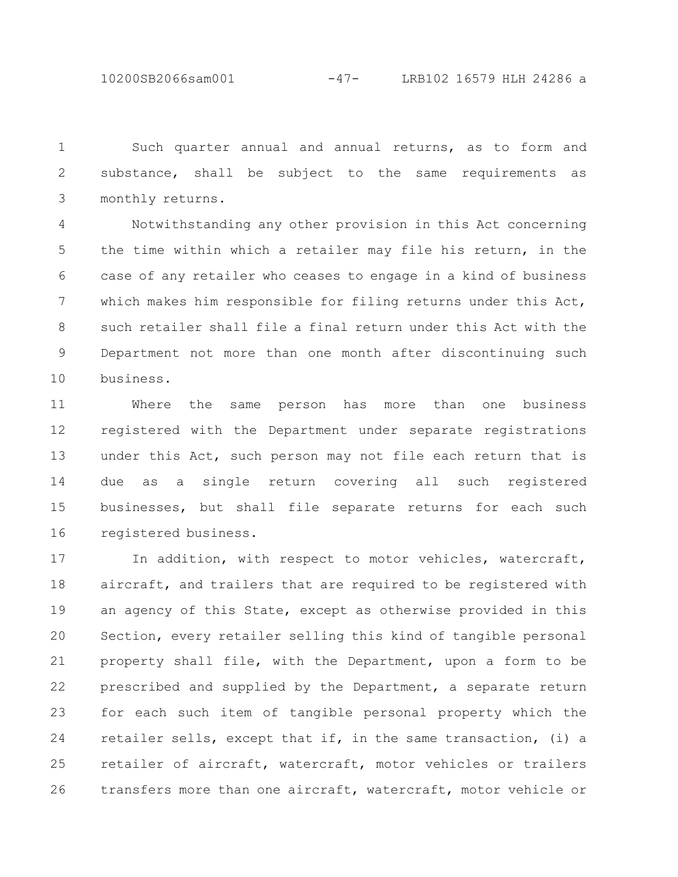10200SB2066sam001 -47- LRB102 16579 HLH 24286 a

Such quarter annual and annual returns, as to form and substance, shall be subject to the same requirements as monthly returns. 1 2 3

Notwithstanding any other provision in this Act concerning the time within which a retailer may file his return, in the case of any retailer who ceases to engage in a kind of business which makes him responsible for filing returns under this Act, such retailer shall file a final return under this Act with the Department not more than one month after discontinuing such business. 4 5 6 7 8 9 10

Where the same person has more than one business registered with the Department under separate registrations under this Act, such person may not file each return that is due as a single return covering all such registered businesses, but shall file separate returns for each such registered business. 11 12 13 14 15 16

In addition, with respect to motor vehicles, watercraft, aircraft, and trailers that are required to be registered with an agency of this State, except as otherwise provided in this Section, every retailer selling this kind of tangible personal property shall file, with the Department, upon a form to be prescribed and supplied by the Department, a separate return for each such item of tangible personal property which the retailer sells, except that if, in the same transaction, (i) a retailer of aircraft, watercraft, motor vehicles or trailers transfers more than one aircraft, watercraft, motor vehicle or 17 18 19 20 21 22 23 24 25 26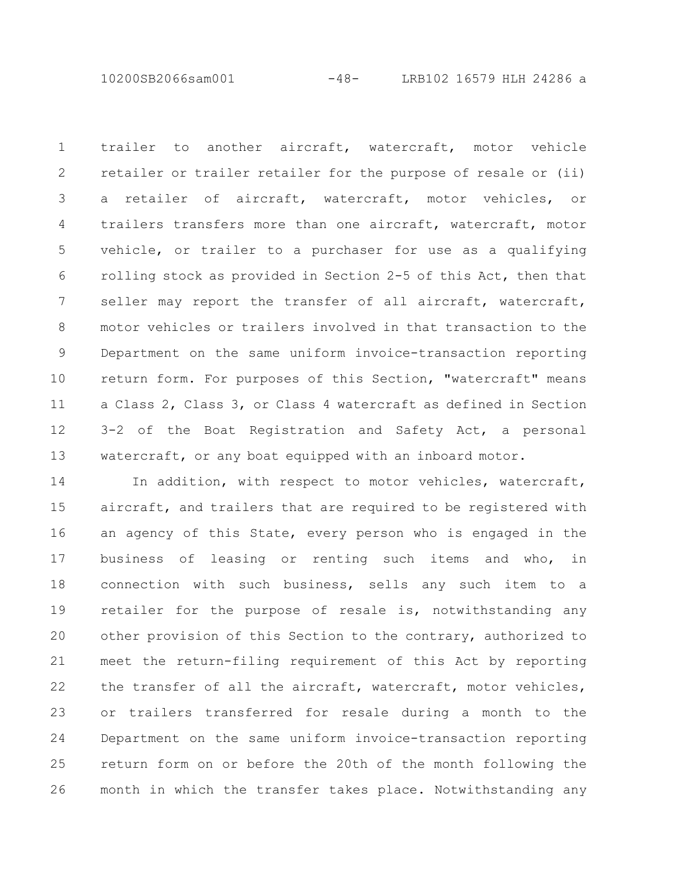10200SB2066sam001 -48- LRB102 16579 HLH 24286 a

trailer to another aircraft, watercraft, motor vehicle retailer or trailer retailer for the purpose of resale or (ii) a retailer of aircraft, watercraft, motor vehicles, or trailers transfers more than one aircraft, watercraft, motor vehicle, or trailer to a purchaser for use as a qualifying rolling stock as provided in Section 2-5 of this Act, then that seller may report the transfer of all aircraft, watercraft, motor vehicles or trailers involved in that transaction to the Department on the same uniform invoice-transaction reporting return form. For purposes of this Section, "watercraft" means a Class 2, Class 3, or Class 4 watercraft as defined in Section 3-2 of the Boat Registration and Safety Act, a personal watercraft, or any boat equipped with an inboard motor. 1 2 3 4 5 6 7 8 9 10 11 12 13

In addition, with respect to motor vehicles, watercraft, aircraft, and trailers that are required to be registered with an agency of this State, every person who is engaged in the business of leasing or renting such items and who, in connection with such business, sells any such item to a retailer for the purpose of resale is, notwithstanding any other provision of this Section to the contrary, authorized to meet the return-filing requirement of this Act by reporting the transfer of all the aircraft, watercraft, motor vehicles, or trailers transferred for resale during a month to the Department on the same uniform invoice-transaction reporting return form on or before the 20th of the month following the month in which the transfer takes place. Notwithstanding any 14 15 16 17 18 19 20 21 22 23 24 25 26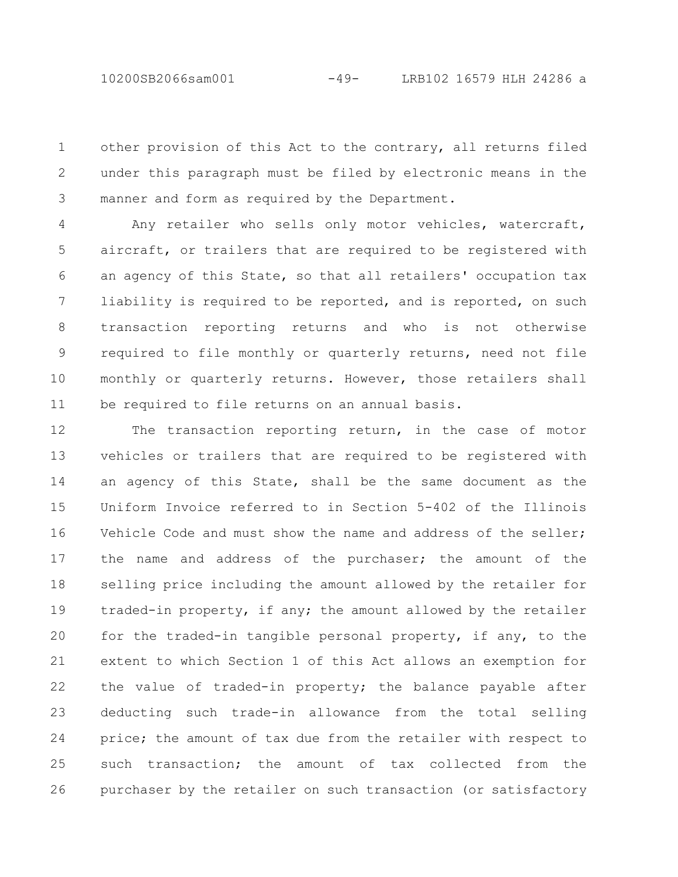10200SB2066sam001 -49- LRB102 16579 HLH 24286 a

other provision of this Act to the contrary, all returns filed under this paragraph must be filed by electronic means in the manner and form as required by the Department. 1 2 3

Any retailer who sells only motor vehicles, watercraft, aircraft, or trailers that are required to be registered with an agency of this State, so that all retailers' occupation tax liability is required to be reported, and is reported, on such transaction reporting returns and who is not otherwise required to file monthly or quarterly returns, need not file monthly or quarterly returns. However, those retailers shall be required to file returns on an annual basis. 4 5 6 7 8 9 10 11

The transaction reporting return, in the case of motor vehicles or trailers that are required to be registered with an agency of this State, shall be the same document as the Uniform Invoice referred to in Section 5-402 of the Illinois Vehicle Code and must show the name and address of the seller; the name and address of the purchaser; the amount of the selling price including the amount allowed by the retailer for traded-in property, if any; the amount allowed by the retailer for the traded-in tangible personal property, if any, to the extent to which Section 1 of this Act allows an exemption for the value of traded-in property; the balance payable after deducting such trade-in allowance from the total selling price; the amount of tax due from the retailer with respect to such transaction; the amount of tax collected from the purchaser by the retailer on such transaction (or satisfactory 12 13 14 15 16 17 18 19 20 21 22 23 24 25 26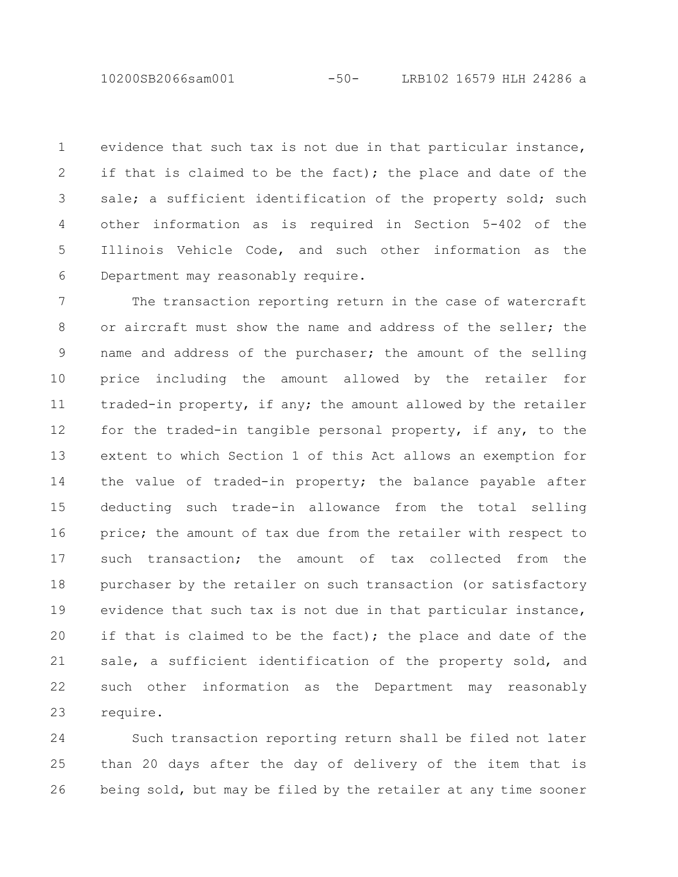10200SB2066sam001 -50- LRB102 16579 HLH 24286 a

evidence that such tax is not due in that particular instance, if that is claimed to be the fact); the place and date of the sale; a sufficient identification of the property sold; such other information as is required in Section 5-402 of the Illinois Vehicle Code, and such other information as the Department may reasonably require. 1 2 3 4 5 6

The transaction reporting return in the case of watercraft or aircraft must show the name and address of the seller; the name and address of the purchaser; the amount of the selling price including the amount allowed by the retailer for traded-in property, if any; the amount allowed by the retailer for the traded-in tangible personal property, if any, to the extent to which Section 1 of this Act allows an exemption for the value of traded-in property; the balance payable after deducting such trade-in allowance from the total selling price; the amount of tax due from the retailer with respect to such transaction; the amount of tax collected from the purchaser by the retailer on such transaction (or satisfactory evidence that such tax is not due in that particular instance, if that is claimed to be the fact); the place and date of the sale, a sufficient identification of the property sold, and such other information as the Department may reasonably require. 7 8 9 10 11 12 13 14 15 16 17 18 19 20 21 22 23

Such transaction reporting return shall be filed not later than 20 days after the day of delivery of the item that is being sold, but may be filed by the retailer at any time sooner 24 25 26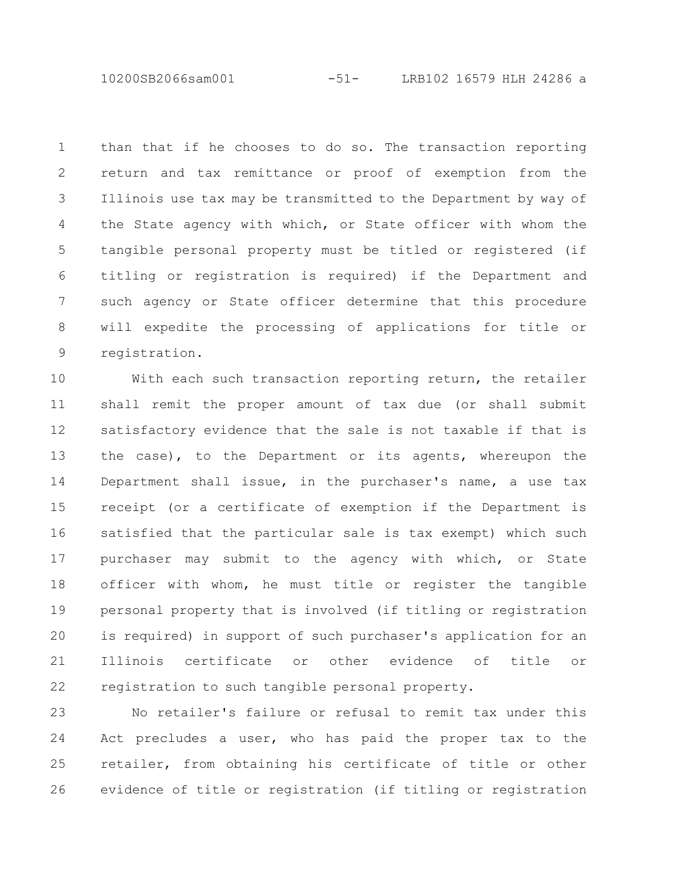10200SB2066sam001 -51- LRB102 16579 HLH 24286 a

than that if he chooses to do so. The transaction reporting return and tax remittance or proof of exemption from the Illinois use tax may be transmitted to the Department by way of the State agency with which, or State officer with whom the tangible personal property must be titled or registered (if titling or registration is required) if the Department and such agency or State officer determine that this procedure will expedite the processing of applications for title or registration. 1 2 3 4 5 6 7 8 9

With each such transaction reporting return, the retailer shall remit the proper amount of tax due (or shall submit satisfactory evidence that the sale is not taxable if that is the case), to the Department or its agents, whereupon the Department shall issue, in the purchaser's name, a use tax receipt (or a certificate of exemption if the Department is satisfied that the particular sale is tax exempt) which such purchaser may submit to the agency with which, or State officer with whom, he must title or register the tangible personal property that is involved (if titling or registration is required) in support of such purchaser's application for an Illinois certificate or other evidence of title or registration to such tangible personal property. 10 11 12 13 14 15 16 17 18 19 20 21 22

No retailer's failure or refusal to remit tax under this Act precludes a user, who has paid the proper tax to the retailer, from obtaining his certificate of title or other evidence of title or registration (if titling or registration 23 24 25 26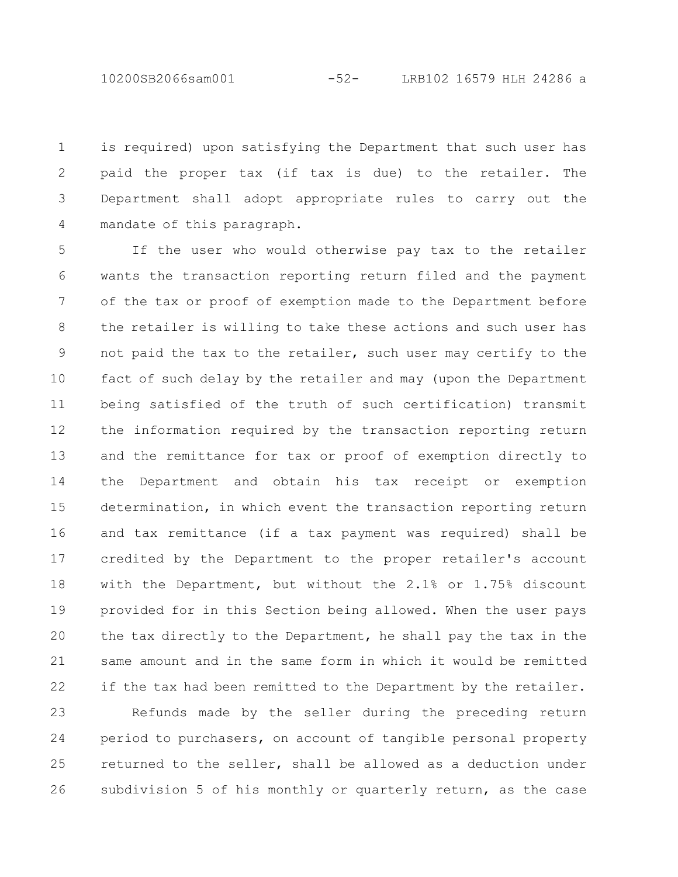10200SB2066sam001 -52- LRB102 16579 HLH 24286 a

is required) upon satisfying the Department that such user has paid the proper tax (if tax is due) to the retailer. The Department shall adopt appropriate rules to carry out the mandate of this paragraph. 1 2 3 4

If the user who would otherwise pay tax to the retailer wants the transaction reporting return filed and the payment of the tax or proof of exemption made to the Department before the retailer is willing to take these actions and such user has not paid the tax to the retailer, such user may certify to the fact of such delay by the retailer and may (upon the Department being satisfied of the truth of such certification) transmit the information required by the transaction reporting return and the remittance for tax or proof of exemption directly to the Department and obtain his tax receipt or exemption determination, in which event the transaction reporting return and tax remittance (if a tax payment was required) shall be credited by the Department to the proper retailer's account with the Department, but without the 2.1% or 1.75% discount provided for in this Section being allowed. When the user pays the tax directly to the Department, he shall pay the tax in the same amount and in the same form in which it would be remitted if the tax had been remitted to the Department by the retailer. 5 6 7 8 9 10 11 12 13 14 15 16 17 18 19 20 21 22

Refunds made by the seller during the preceding return period to purchasers, on account of tangible personal property returned to the seller, shall be allowed as a deduction under subdivision 5 of his monthly or quarterly return, as the case 23 24 25 26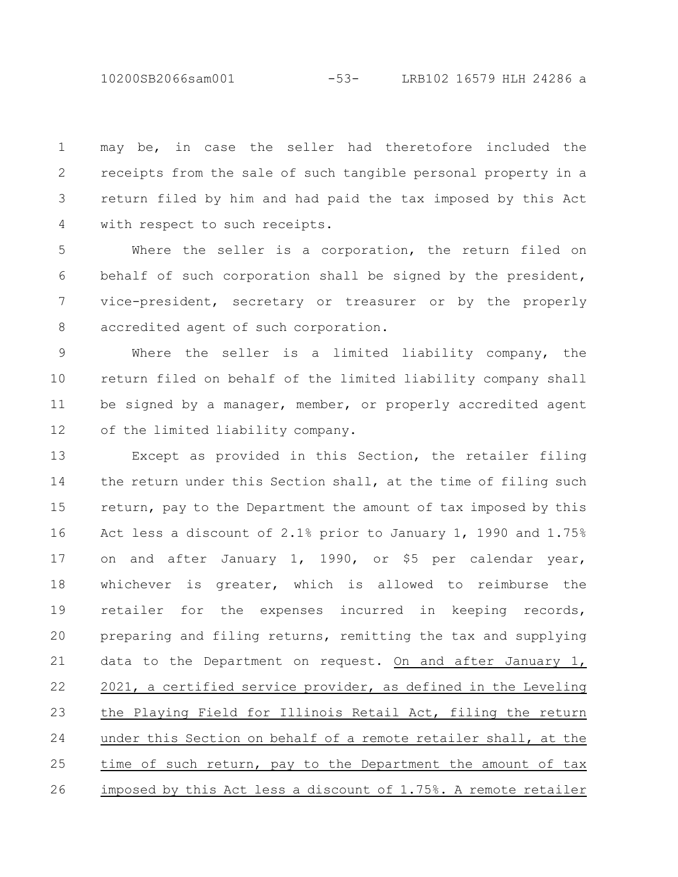10200SB2066sam001 -53- LRB102 16579 HLH 24286 a

may be, in case the seller had theretofore included the receipts from the sale of such tangible personal property in a return filed by him and had paid the tax imposed by this Act with respect to such receipts. 1 2 3 4

Where the seller is a corporation, the return filed on behalf of such corporation shall be signed by the president, vice-president, secretary or treasurer or by the properly accredited agent of such corporation. 5 6 7 8

Where the seller is a limited liability company, the return filed on behalf of the limited liability company shall be signed by a manager, member, or properly accredited agent of the limited liability company. 9 10 11 12

Except as provided in this Section, the retailer filing the return under this Section shall, at the time of filing such return, pay to the Department the amount of tax imposed by this Act less a discount of 2.1% prior to January 1, 1990 and 1.75% on and after January 1, 1990, or \$5 per calendar year, whichever is greater, which is allowed to reimburse the retailer for the expenses incurred in keeping records, preparing and filing returns, remitting the tax and supplying data to the Department on request. On and after January 1, 2021, a certified service provider, as defined in the Leveling the Playing Field for Illinois Retail Act, filing the return under this Section on behalf of a remote retailer shall, at the time of such return, pay to the Department the amount of tax imposed by this Act less a discount of 1.75%. A remote retailer 13 14 15 16 17 18 19 20 21 22 23 24 25 26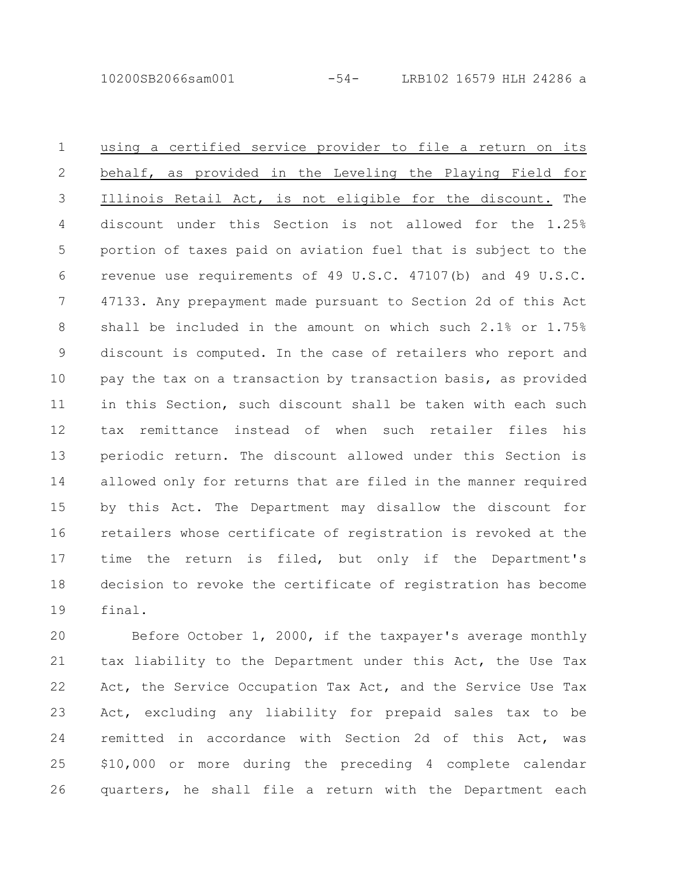10200SB2066sam001 -54- LRB102 16579 HLH 24286 a

using a certified service provider to file a return on its behalf, as provided in the Leveling the Playing Field for Illinois Retail Act, is not eligible for the discount. The discount under this Section is not allowed for the 1.25% portion of taxes paid on aviation fuel that is subject to the revenue use requirements of 49 U.S.C. 47107(b) and 49 U.S.C. 47133. Any prepayment made pursuant to Section 2d of this Act shall be included in the amount on which such 2.1% or 1.75% discount is computed. In the case of retailers who report and pay the tax on a transaction by transaction basis, as provided in this Section, such discount shall be taken with each such tax remittance instead of when such retailer files his periodic return. The discount allowed under this Section is allowed only for returns that are filed in the manner required by this Act. The Department may disallow the discount for retailers whose certificate of registration is revoked at the time the return is filed, but only if the Department's decision to revoke the certificate of registration has become final. 1 2 3 4 5 6 7 8 9 10 11 12 13 14 15 16 17 18 19

Before October 1, 2000, if the taxpayer's average monthly tax liability to the Department under this Act, the Use Tax Act, the Service Occupation Tax Act, and the Service Use Tax Act, excluding any liability for prepaid sales tax to be remitted in accordance with Section 2d of this Act, was \$10,000 or more during the preceding 4 complete calendar quarters, he shall file a return with the Department each 20 21 22 23 24 25 26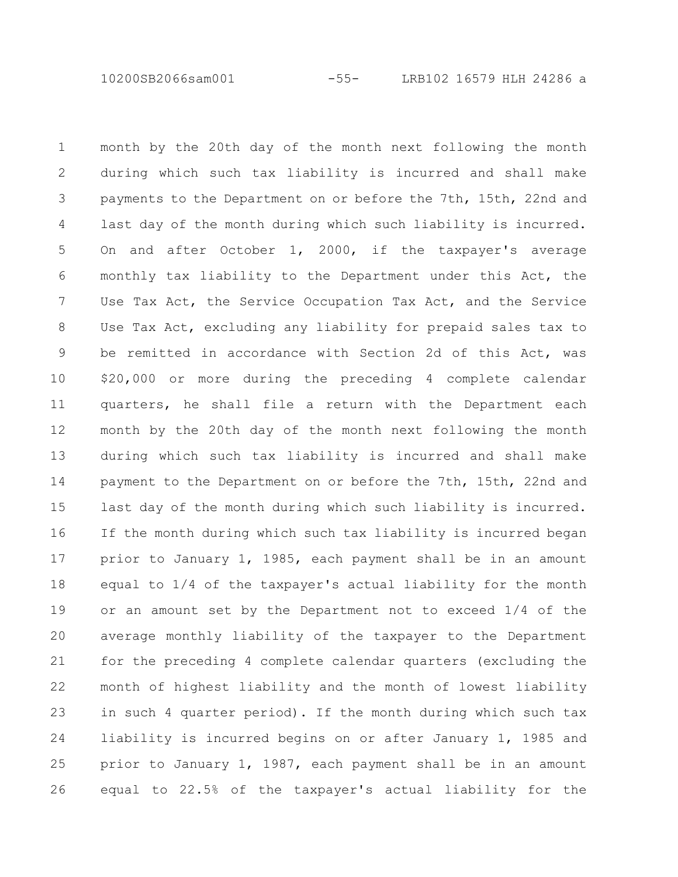10200SB2066sam001 -55- LRB102 16579 HLH 24286 a

month by the 20th day of the month next following the month during which such tax liability is incurred and shall make payments to the Department on or before the 7th, 15th, 22nd and last day of the month during which such liability is incurred. On and after October 1, 2000, if the taxpayer's average monthly tax liability to the Department under this Act, the Use Tax Act, the Service Occupation Tax Act, and the Service Use Tax Act, excluding any liability for prepaid sales tax to be remitted in accordance with Section 2d of this Act, was \$20,000 or more during the preceding 4 complete calendar quarters, he shall file a return with the Department each month by the 20th day of the month next following the month during which such tax liability is incurred and shall make payment to the Department on or before the 7th, 15th, 22nd and last day of the month during which such liability is incurred. If the month during which such tax liability is incurred began prior to January 1, 1985, each payment shall be in an amount equal to 1/4 of the taxpayer's actual liability for the month or an amount set by the Department not to exceed 1/4 of the average monthly liability of the taxpayer to the Department for the preceding 4 complete calendar quarters (excluding the month of highest liability and the month of lowest liability in such 4 quarter period). If the month during which such tax liability is incurred begins on or after January 1, 1985 and prior to January 1, 1987, each payment shall be in an amount equal to 22.5% of the taxpayer's actual liability for the 1 2 3 4 5 6 7 8 9 10 11 12 13 14 15 16 17 18 19 20 21 22 23 24 25 26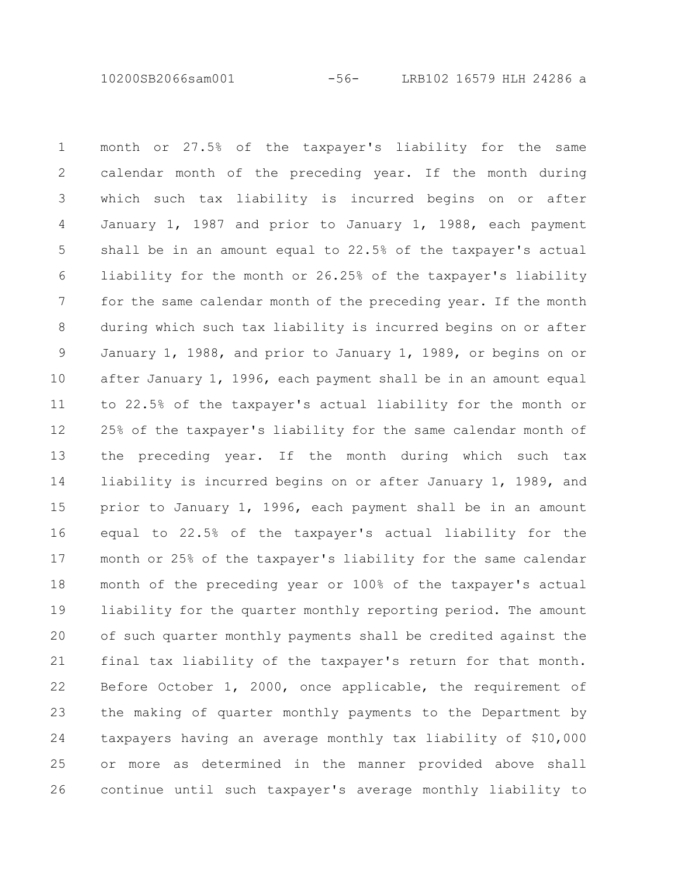10200SB2066sam001 -56- LRB102 16579 HLH 24286 a

month or 27.5% of the taxpayer's liability for the same calendar month of the preceding year. If the month during which such tax liability is incurred begins on or after January 1, 1987 and prior to January 1, 1988, each payment shall be in an amount equal to 22.5% of the taxpayer's actual liability for the month or 26.25% of the taxpayer's liability for the same calendar month of the preceding year. If the month during which such tax liability is incurred begins on or after January 1, 1988, and prior to January 1, 1989, or begins on or after January 1, 1996, each payment shall be in an amount equal to 22.5% of the taxpayer's actual liability for the month or 25% of the taxpayer's liability for the same calendar month of the preceding year. If the month during which such tax liability is incurred begins on or after January 1, 1989, and prior to January 1, 1996, each payment shall be in an amount equal to 22.5% of the taxpayer's actual liability for the month or 25% of the taxpayer's liability for the same calendar month of the preceding year or 100% of the taxpayer's actual liability for the quarter monthly reporting period. The amount of such quarter monthly payments shall be credited against the final tax liability of the taxpayer's return for that month. Before October 1, 2000, once applicable, the requirement of the making of quarter monthly payments to the Department by taxpayers having an average monthly tax liability of \$10,000 or more as determined in the manner provided above shall continue until such taxpayer's average monthly liability to 1 2 3 4 5 6 7 8 9 10 11 12 13 14 15 16 17 18 19 20 21 22 23 24 25 26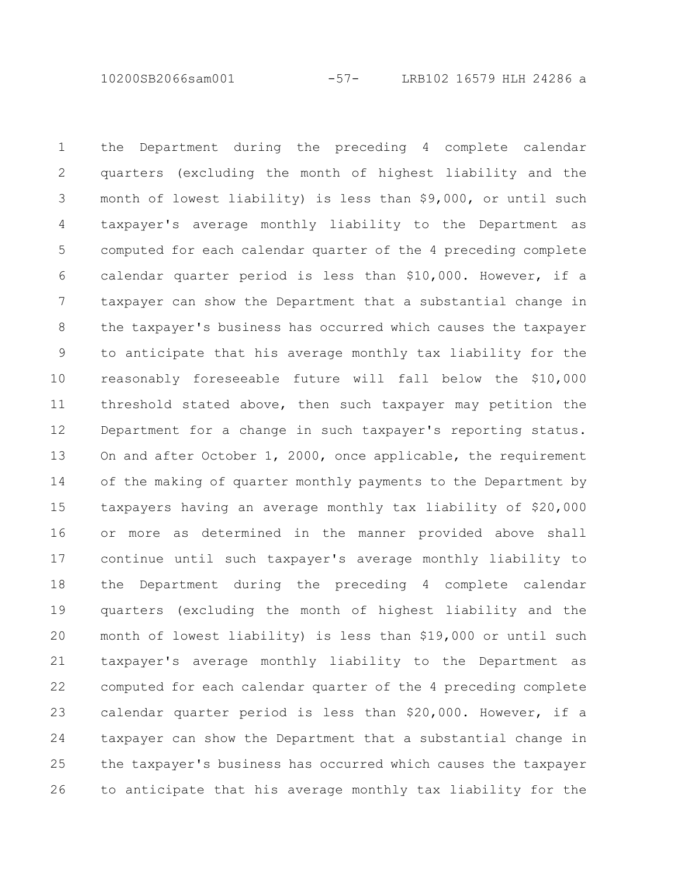10200SB2066sam001 -57- LRB102 16579 HLH 24286 a

the Department during the preceding 4 complete calendar quarters (excluding the month of highest liability and the month of lowest liability) is less than \$9,000, or until such taxpayer's average monthly liability to the Department as computed for each calendar quarter of the 4 preceding complete calendar quarter period is less than \$10,000. However, if a taxpayer can show the Department that a substantial change in the taxpayer's business has occurred which causes the taxpayer to anticipate that his average monthly tax liability for the reasonably foreseeable future will fall below the \$10,000 threshold stated above, then such taxpayer may petition the Department for a change in such taxpayer's reporting status. On and after October 1, 2000, once applicable, the requirement of the making of quarter monthly payments to the Department by taxpayers having an average monthly tax liability of \$20,000 or more as determined in the manner provided above shall continue until such taxpayer's average monthly liability to the Department during the preceding 4 complete calendar quarters (excluding the month of highest liability and the month of lowest liability) is less than \$19,000 or until such taxpayer's average monthly liability to the Department as computed for each calendar quarter of the 4 preceding complete calendar quarter period is less than \$20,000. However, if a taxpayer can show the Department that a substantial change in the taxpayer's business has occurred which causes the taxpayer to anticipate that his average monthly tax liability for the 1 2 3 4 5 6 7 8 9 10 11 12 13 14 15 16 17 18 19 20 21 22 23 24 25 26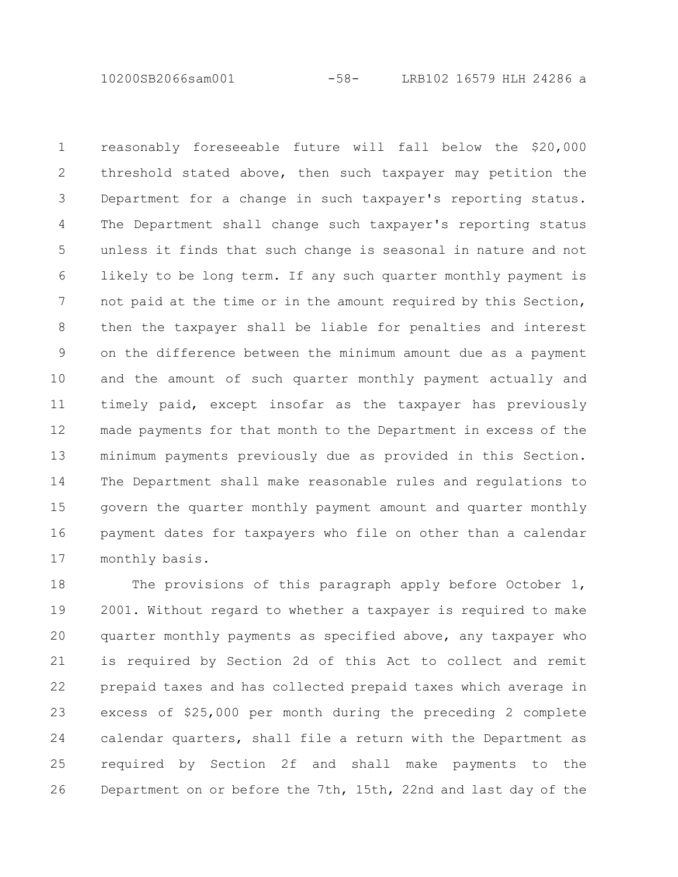10200SB2066sam001 -58- LRB102 16579 HLH 24286 a

reasonably foreseeable future will fall below the \$20,000 threshold stated above, then such taxpayer may petition the Department for a change in such taxpayer's reporting status. The Department shall change such taxpayer's reporting status unless it finds that such change is seasonal in nature and not likely to be long term. If any such quarter monthly payment is not paid at the time or in the amount required by this Section, then the taxpayer shall be liable for penalties and interest on the difference between the minimum amount due as a payment and the amount of such quarter monthly payment actually and timely paid, except insofar as the taxpayer has previously made payments for that month to the Department in excess of the minimum payments previously due as provided in this Section. The Department shall make reasonable rules and regulations to govern the quarter monthly payment amount and quarter monthly payment dates for taxpayers who file on other than a calendar monthly basis. 1 2 3 4 5 6 7 8 9 10 11 12 13 14 15 16 17

The provisions of this paragraph apply before October 1, 2001. Without regard to whether a taxpayer is required to make quarter monthly payments as specified above, any taxpayer who is required by Section 2d of this Act to collect and remit prepaid taxes and has collected prepaid taxes which average in excess of \$25,000 per month during the preceding 2 complete calendar quarters, shall file a return with the Department as required by Section 2f and shall make payments to the Department on or before the 7th, 15th, 22nd and last day of the 18 19 20 21 22 23 24 25 26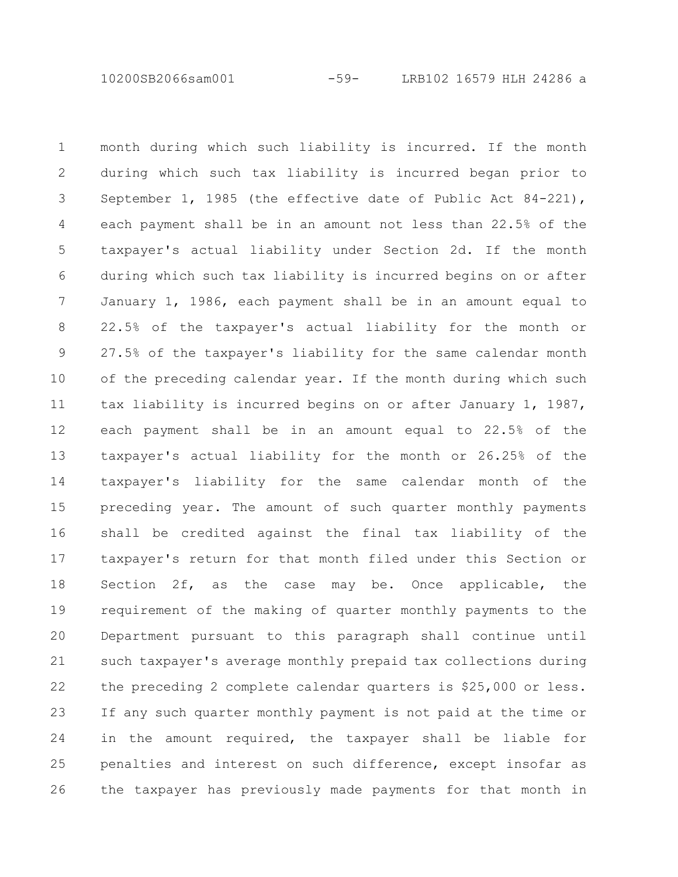10200SB2066sam001 -59- LRB102 16579 HLH 24286 a

month during which such liability is incurred. If the month during which such tax liability is incurred began prior to September 1, 1985 (the effective date of Public Act 84-221), each payment shall be in an amount not less than 22.5% of the taxpayer's actual liability under Section 2d. If the month during which such tax liability is incurred begins on or after January 1, 1986, each payment shall be in an amount equal to 22.5% of the taxpayer's actual liability for the month or 27.5% of the taxpayer's liability for the same calendar month of the preceding calendar year. If the month during which such tax liability is incurred begins on or after January 1, 1987, each payment shall be in an amount equal to 22.5% of the taxpayer's actual liability for the month or 26.25% of the taxpayer's liability for the same calendar month of the preceding year. The amount of such quarter monthly payments shall be credited against the final tax liability of the taxpayer's return for that month filed under this Section or Section 2f, as the case may be. Once applicable, the requirement of the making of quarter monthly payments to the Department pursuant to this paragraph shall continue until such taxpayer's average monthly prepaid tax collections during the preceding 2 complete calendar quarters is \$25,000 or less. If any such quarter monthly payment is not paid at the time or in the amount required, the taxpayer shall be liable for penalties and interest on such difference, except insofar as the taxpayer has previously made payments for that month in 1 2 3 4 5 6 7 8 9 10 11 12 13 14 15 16 17 18 19 20 21 22 23 24 25 26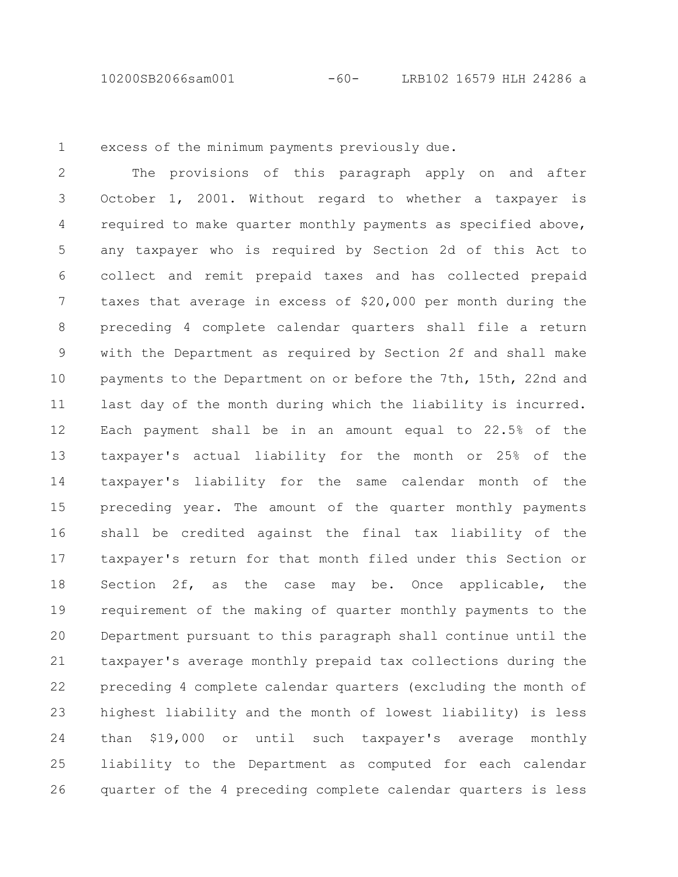10200SB2066sam001 -60- LRB102 16579 HLH 24286 a

1

excess of the minimum payments previously due.

The provisions of this paragraph apply on and after October 1, 2001. Without regard to whether a taxpayer is required to make quarter monthly payments as specified above, any taxpayer who is required by Section 2d of this Act to collect and remit prepaid taxes and has collected prepaid taxes that average in excess of \$20,000 per month during the preceding 4 complete calendar quarters shall file a return with the Department as required by Section 2f and shall make payments to the Department on or before the 7th, 15th, 22nd and last day of the month during which the liability is incurred. Each payment shall be in an amount equal to 22.5% of the taxpayer's actual liability for the month or 25% of the taxpayer's liability for the same calendar month of the preceding year. The amount of the quarter monthly payments shall be credited against the final tax liability of the taxpayer's return for that month filed under this Section or Section 2f, as the case may be. Once applicable, the requirement of the making of quarter monthly payments to the Department pursuant to this paragraph shall continue until the taxpayer's average monthly prepaid tax collections during the preceding 4 complete calendar quarters (excluding the month of highest liability and the month of lowest liability) is less than \$19,000 or until such taxpayer's average monthly liability to the Department as computed for each calendar quarter of the 4 preceding complete calendar quarters is less 2 3 4 5 6 7 8 9 10 11 12 13 14 15 16 17 18 19 20 21 22 23 24 25 26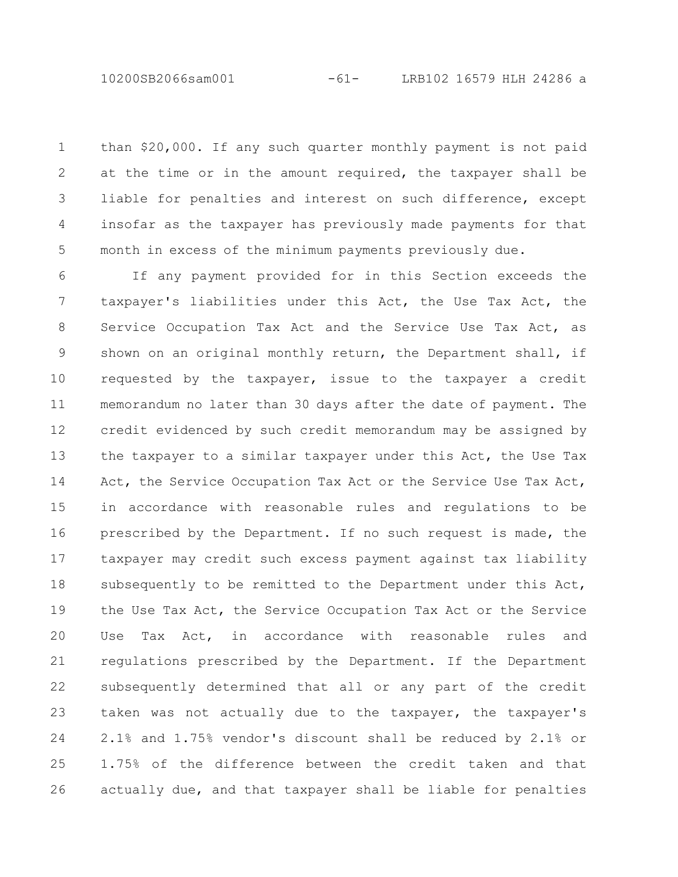10200SB2066sam001 -61- LRB102 16579 HLH 24286 a

than \$20,000. If any such quarter monthly payment is not paid at the time or in the amount required, the taxpayer shall be liable for penalties and interest on such difference, except insofar as the taxpayer has previously made payments for that month in excess of the minimum payments previously due. 1 2 3 4 5

If any payment provided for in this Section exceeds the taxpayer's liabilities under this Act, the Use Tax Act, the Service Occupation Tax Act and the Service Use Tax Act, as shown on an original monthly return, the Department shall, if requested by the taxpayer, issue to the taxpayer a credit memorandum no later than 30 days after the date of payment. The credit evidenced by such credit memorandum may be assigned by the taxpayer to a similar taxpayer under this Act, the Use Tax Act, the Service Occupation Tax Act or the Service Use Tax Act, in accordance with reasonable rules and regulations to be prescribed by the Department. If no such request is made, the taxpayer may credit such excess payment against tax liability subsequently to be remitted to the Department under this Act, the Use Tax Act, the Service Occupation Tax Act or the Service Use Tax Act, in accordance with reasonable rules and regulations prescribed by the Department. If the Department subsequently determined that all or any part of the credit taken was not actually due to the taxpayer, the taxpayer's 2.1% and 1.75% vendor's discount shall be reduced by 2.1% or 1.75% of the difference between the credit taken and that actually due, and that taxpayer shall be liable for penalties 6 7 8 9 10 11 12 13 14 15 16 17 18 19 20 21 22 23 24 25 26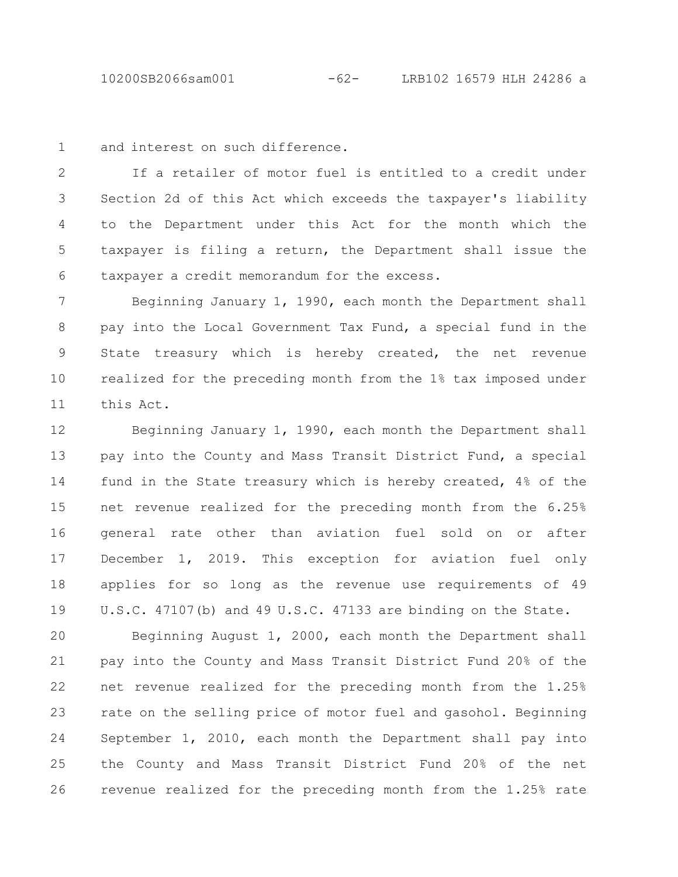10200SB2066sam001 -62- LRB102 16579 HLH 24286 a

and interest on such difference. 1

If a retailer of motor fuel is entitled to a credit under Section 2d of this Act which exceeds the taxpayer's liability to the Department under this Act for the month which the taxpayer is filing a return, the Department shall issue the taxpayer a credit memorandum for the excess. 2 3 4 5 6

Beginning January 1, 1990, each month the Department shall pay into the Local Government Tax Fund, a special fund in the State treasury which is hereby created, the net revenue realized for the preceding month from the 1% tax imposed under this Act. 7 8 9 10 11

Beginning January 1, 1990, each month the Department shall pay into the County and Mass Transit District Fund, a special fund in the State treasury which is hereby created, 4% of the net revenue realized for the preceding month from the 6.25% general rate other than aviation fuel sold on or after December 1, 2019. This exception for aviation fuel only applies for so long as the revenue use requirements of 49 U.S.C. 47107(b) and 49 U.S.C. 47133 are binding on the State. 12 13 14 15 16 17 18 19

Beginning August 1, 2000, each month the Department shall pay into the County and Mass Transit District Fund 20% of the net revenue realized for the preceding month from the 1.25% rate on the selling price of motor fuel and gasohol. Beginning September 1, 2010, each month the Department shall pay into the County and Mass Transit District Fund 20% of the net revenue realized for the preceding month from the 1.25% rate 20 21 22 23 24 25 26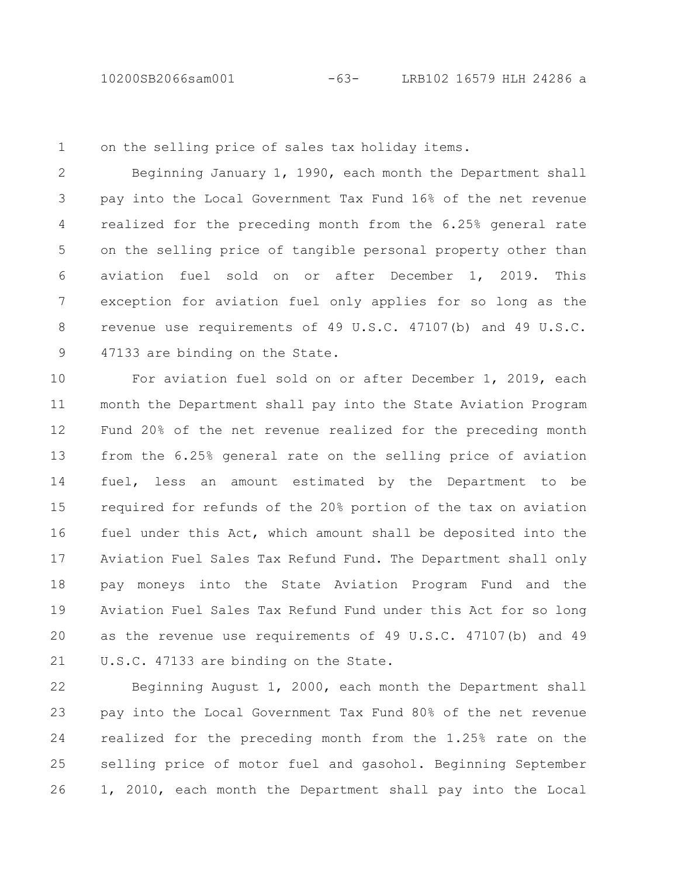on the selling price of sales tax holiday items. 1

Beginning January 1, 1990, each month the Department shall pay into the Local Government Tax Fund 16% of the net revenue realized for the preceding month from the 6.25% general rate on the selling price of tangible personal property other than aviation fuel sold on or after December 1, 2019. This exception for aviation fuel only applies for so long as the revenue use requirements of 49 U.S.C. 47107(b) and 49 U.S.C. 47133 are binding on the State. 2 3 4 5 6 7 8 9

For aviation fuel sold on or after December 1, 2019, each month the Department shall pay into the State Aviation Program Fund 20% of the net revenue realized for the preceding month from the 6.25% general rate on the selling price of aviation fuel, less an amount estimated by the Department to be required for refunds of the 20% portion of the tax on aviation fuel under this Act, which amount shall be deposited into the Aviation Fuel Sales Tax Refund Fund. The Department shall only pay moneys into the State Aviation Program Fund and the Aviation Fuel Sales Tax Refund Fund under this Act for so long as the revenue use requirements of 49 U.S.C. 47107(b) and 49 U.S.C. 47133 are binding on the State. 10 11 12 13 14 15 16 17 18 19 20 21

Beginning August 1, 2000, each month the Department shall pay into the Local Government Tax Fund 80% of the net revenue realized for the preceding month from the 1.25% rate on the selling price of motor fuel and gasohol. Beginning September 1, 2010, each month the Department shall pay into the Local 22 23 24 25 26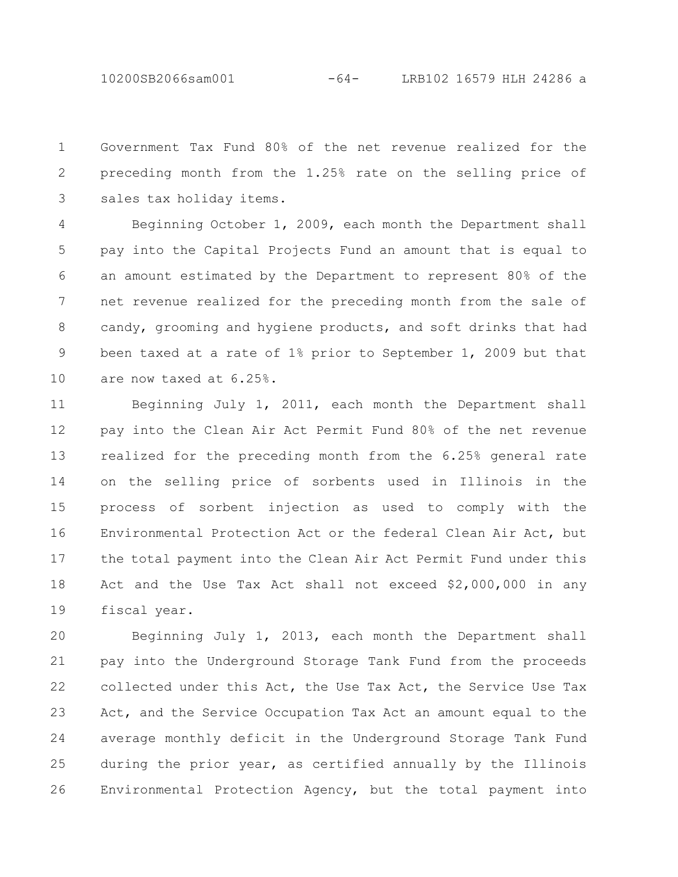10200SB2066sam001 -64- LRB102 16579 HLH 24286 a

Government Tax Fund 80% of the net revenue realized for the preceding month from the 1.25% rate on the selling price of sales tax holiday items. 1 2 3

Beginning October 1, 2009, each month the Department shall pay into the Capital Projects Fund an amount that is equal to an amount estimated by the Department to represent 80% of the net revenue realized for the preceding month from the sale of candy, grooming and hygiene products, and soft drinks that had been taxed at a rate of 1% prior to September 1, 2009 but that are now taxed at 6.25%. 4 5 6 7 8 9 10

Beginning July 1, 2011, each month the Department shall pay into the Clean Air Act Permit Fund 80% of the net revenue realized for the preceding month from the 6.25% general rate on the selling price of sorbents used in Illinois in the process of sorbent injection as used to comply with the Environmental Protection Act or the federal Clean Air Act, but the total payment into the Clean Air Act Permit Fund under this Act and the Use Tax Act shall not exceed \$2,000,000 in any fiscal year. 11 12 13 14 15 16 17 18 19

Beginning July 1, 2013, each month the Department shall pay into the Underground Storage Tank Fund from the proceeds collected under this Act, the Use Tax Act, the Service Use Tax Act, and the Service Occupation Tax Act an amount equal to the average monthly deficit in the Underground Storage Tank Fund during the prior year, as certified annually by the Illinois Environmental Protection Agency, but the total payment into 20 21 22 23 24 25 26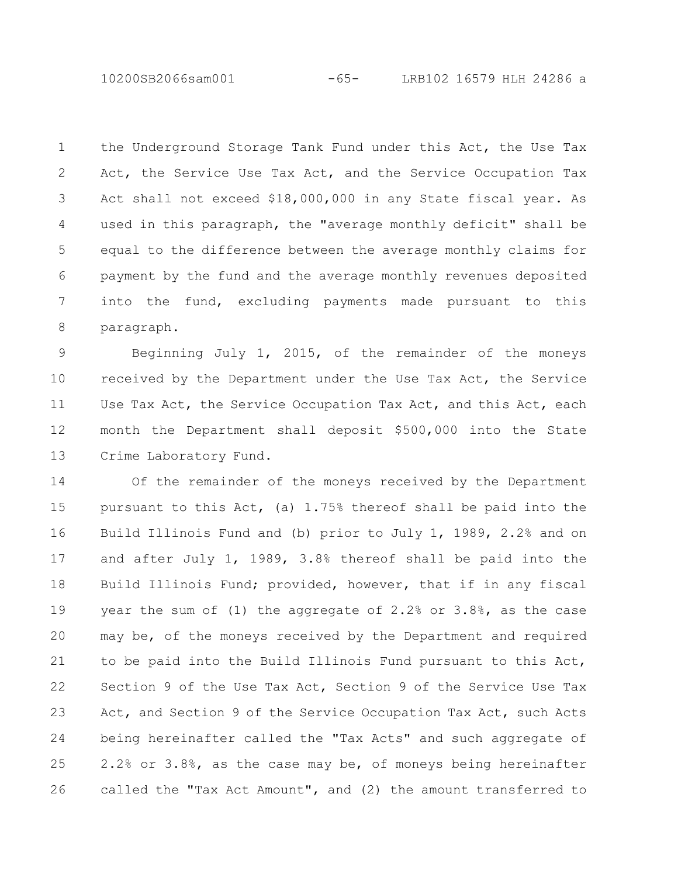10200SB2066sam001 -65- LRB102 16579 HLH 24286 a

the Underground Storage Tank Fund under this Act, the Use Tax Act, the Service Use Tax Act, and the Service Occupation Tax Act shall not exceed \$18,000,000 in any State fiscal year. As used in this paragraph, the "average monthly deficit" shall be equal to the difference between the average monthly claims for payment by the fund and the average monthly revenues deposited into the fund, excluding payments made pursuant to this paragraph. 1 2 3 4 5 6 7 8

Beginning July 1, 2015, of the remainder of the moneys received by the Department under the Use Tax Act, the Service Use Tax Act, the Service Occupation Tax Act, and this Act, each month the Department shall deposit \$500,000 into the State Crime Laboratory Fund. 9 10 11 12 13

Of the remainder of the moneys received by the Department pursuant to this Act, (a) 1.75% thereof shall be paid into the Build Illinois Fund and (b) prior to July 1, 1989, 2.2% and on and after July 1, 1989, 3.8% thereof shall be paid into the Build Illinois Fund; provided, however, that if in any fiscal year the sum of (1) the aggregate of 2.2% or 3.8%, as the case may be, of the moneys received by the Department and required to be paid into the Build Illinois Fund pursuant to this Act, Section 9 of the Use Tax Act, Section 9 of the Service Use Tax Act, and Section 9 of the Service Occupation Tax Act, such Acts being hereinafter called the "Tax Acts" and such aggregate of 2.2% or 3.8%, as the case may be, of moneys being hereinafter called the "Tax Act Amount", and (2) the amount transferred to 14 15 16 17 18 19 20 21 22 23 24 25 26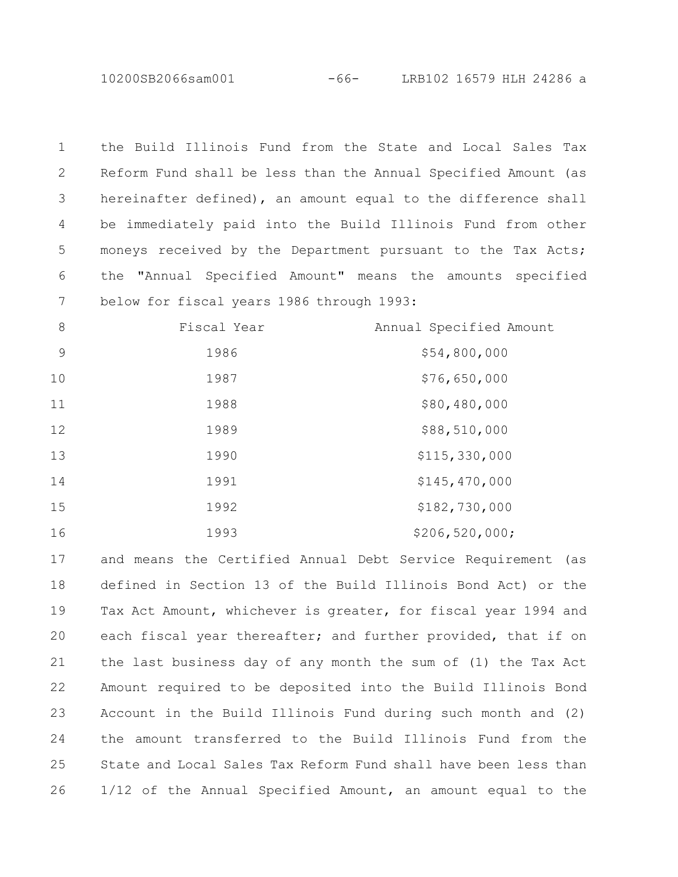10200SB2066sam001 -66- LRB102 16579 HLH 24286 a

the Build Illinois Fund from the State and Local Sales Tax Reform Fund shall be less than the Annual Specified Amount (as hereinafter defined), an amount equal to the difference shall be immediately paid into the Build Illinois Fund from other moneys received by the Department pursuant to the Tax Acts; the "Annual Specified Amount" means the amounts specified below for fiscal years 1986 through 1993: 

| 8  | Fiscal Year | Annual Specified Amount |
|----|-------------|-------------------------|
| 9  | 1986        | \$54,800,000            |
| 10 | 1987        | \$76,650,000            |
| 11 | 1988        | \$80,480,000            |
| 12 | 1989        | \$88,510,000            |
| 13 | 1990        | \$115,330,000           |
| 14 | 1991        | \$145,470,000           |
| 15 | 1992        | \$182,730,000           |
| 16 | 1993        | \$206, 520, 000;        |

and means the Certified Annual Debt Service Requirement (as defined in Section 13 of the Build Illinois Bond Act) or the Tax Act Amount, whichever is greater, for fiscal year 1994 and each fiscal year thereafter; and further provided, that if on the last business day of any month the sum of (1) the Tax Act Amount required to be deposited into the Build Illinois Bond Account in the Build Illinois Fund during such month and (2) the amount transferred to the Build Illinois Fund from the State and Local Sales Tax Reform Fund shall have been less than 1/12 of the Annual Specified Amount, an amount equal to the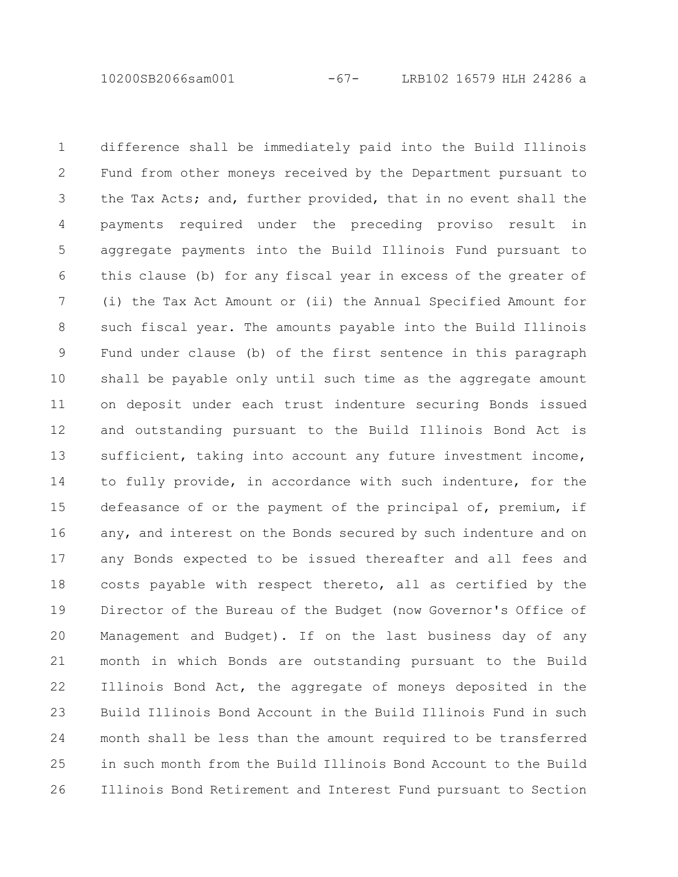10200SB2066sam001 -67- LRB102 16579 HLH 24286 a

difference shall be immediately paid into the Build Illinois Fund from other moneys received by the Department pursuant to the Tax Acts; and, further provided, that in no event shall the payments required under the preceding proviso result in aggregate payments into the Build Illinois Fund pursuant to this clause (b) for any fiscal year in excess of the greater of (i) the Tax Act Amount or (ii) the Annual Specified Amount for such fiscal year. The amounts payable into the Build Illinois Fund under clause (b) of the first sentence in this paragraph shall be payable only until such time as the aggregate amount on deposit under each trust indenture securing Bonds issued and outstanding pursuant to the Build Illinois Bond Act is sufficient, taking into account any future investment income, to fully provide, in accordance with such indenture, for the defeasance of or the payment of the principal of, premium, if any, and interest on the Bonds secured by such indenture and on any Bonds expected to be issued thereafter and all fees and costs payable with respect thereto, all as certified by the Director of the Bureau of the Budget (now Governor's Office of Management and Budget). If on the last business day of any month in which Bonds are outstanding pursuant to the Build Illinois Bond Act, the aggregate of moneys deposited in the Build Illinois Bond Account in the Build Illinois Fund in such month shall be less than the amount required to be transferred in such month from the Build Illinois Bond Account to the Build Illinois Bond Retirement and Interest Fund pursuant to Section 1 2 3 4 5 6 7 8 9 10 11 12 13 14 15 16 17 18 19 20 21 22 23 24 25 26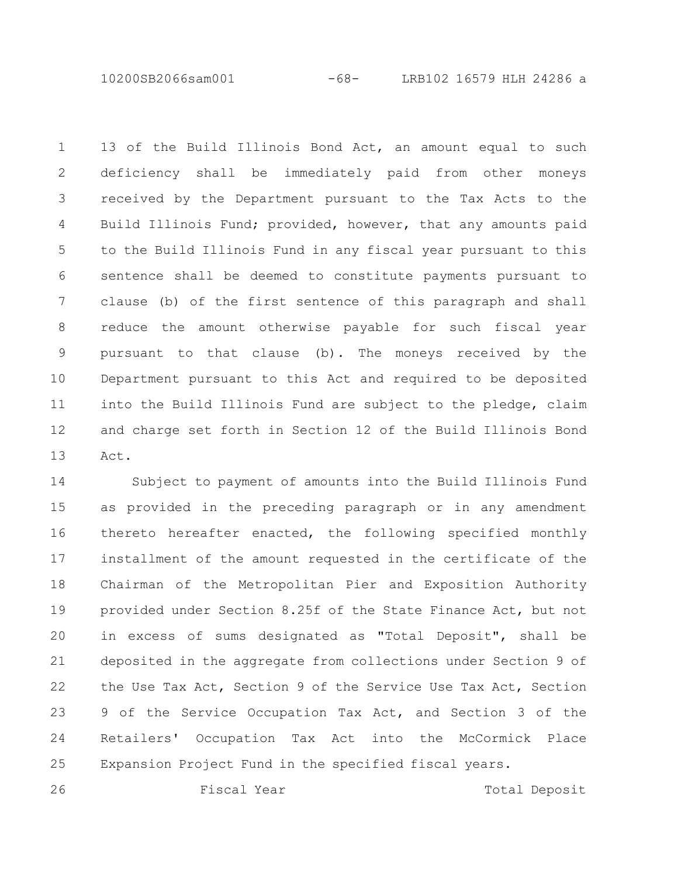10200SB2066sam001 -68- LRB102 16579 HLH 24286 a

13 of the Build Illinois Bond Act, an amount equal to such deficiency shall be immediately paid from other moneys received by the Department pursuant to the Tax Acts to the Build Illinois Fund; provided, however, that any amounts paid to the Build Illinois Fund in any fiscal year pursuant to this sentence shall be deemed to constitute payments pursuant to clause (b) of the first sentence of this paragraph and shall reduce the amount otherwise payable for such fiscal year pursuant to that clause (b). The moneys received by the Department pursuant to this Act and required to be deposited into the Build Illinois Fund are subject to the pledge, claim and charge set forth in Section 12 of the Build Illinois Bond Act. 1 2 3 4 5 6 7 8 9 10 11 12 13

Subject to payment of amounts into the Build Illinois Fund as provided in the preceding paragraph or in any amendment thereto hereafter enacted, the following specified monthly installment of the amount requested in the certificate of the Chairman of the Metropolitan Pier and Exposition Authority provided under Section 8.25f of the State Finance Act, but not in excess of sums designated as "Total Deposit", shall be deposited in the aggregate from collections under Section 9 of the Use Tax Act, Section 9 of the Service Use Tax Act, Section 9 of the Service Occupation Tax Act, and Section 3 of the Retailers' Occupation Tax Act into the McCormick Place Expansion Project Fund in the specified fiscal years. 14 15 16 17 18 19 20 21 22 23 24 25

26

Fiscal Year Total Deposit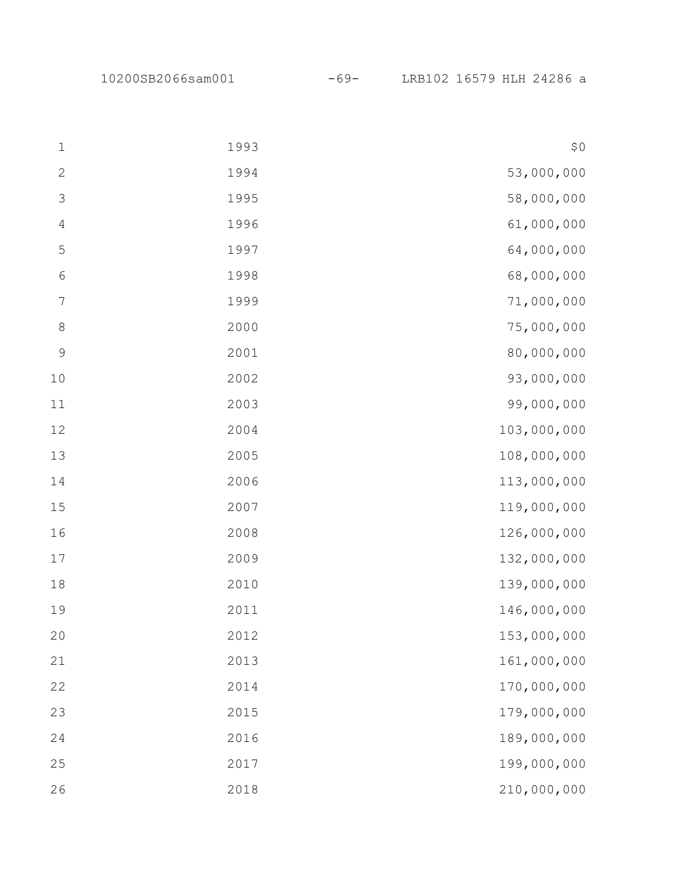10200SB2066sam001 -69- LRB102 16579 HLH 24286 a

| $\mathbf{1}$     | 1993 | \$0         |
|------------------|------|-------------|
| $\sqrt{2}$       | 1994 | 53,000,000  |
| $\mathfrak{Z}$   | 1995 | 58,000,000  |
| $\sqrt{4}$       | 1996 | 61,000,000  |
| $\mathsf S$      | 1997 | 64,000,000  |
| $\sqrt{6}$       | 1998 | 68,000,000  |
| $\boldsymbol{7}$ | 1999 | 71,000,000  |
| $\,8\,$          | 2000 | 75,000,000  |
| $\mathcal{G}$    | 2001 | 80,000,000  |
| $10$             | 2002 | 93,000,000  |
| 11               | 2003 | 99,000,000  |
| $12$             | 2004 | 103,000,000 |
| 13               | 2005 | 108,000,000 |
| 14               | 2006 | 113,000,000 |
| 15               | 2007 | 119,000,000 |
| 16               | 2008 | 126,000,000 |
| 17               | 2009 | 132,000,000 |
| 18               | 2010 | 139,000,000 |
| 19               | 2011 | 146,000,000 |
| 20               | 2012 | 153,000,000 |
| 21               | 2013 | 161,000,000 |
| 22               | 2014 | 170,000,000 |
| 23               | 2015 | 179,000,000 |
| 24               | 2016 | 189,000,000 |
| 25               | 2017 | 199,000,000 |
| 26               | 2018 | 210,000,000 |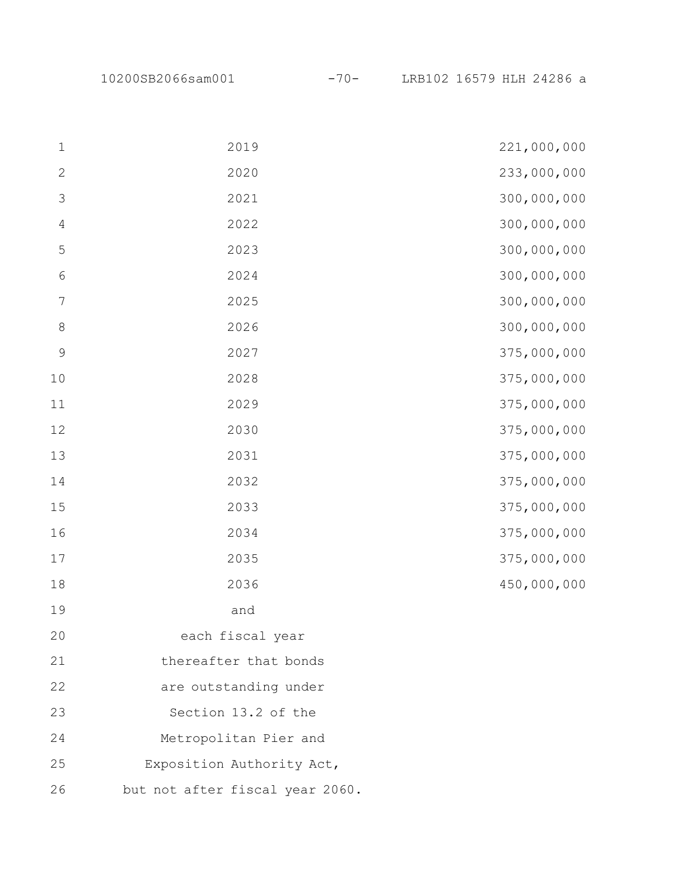10200SB2066sam001 -70- LRB102 16579 HLH 24286 a

| $\mathbf 1$    | 2019                            | 221,000,000 |
|----------------|---------------------------------|-------------|
| $\sqrt{2}$     | 2020                            | 233,000,000 |
| $\mathfrak{Z}$ | 2021                            | 300,000,000 |
| $\overline{4}$ | 2022                            | 300,000,000 |
| $\mathsf S$    | 2023                            | 300,000,000 |
| $\sqrt{6}$     | 2024                            | 300,000,000 |
| $\overline{7}$ | 2025                            | 300,000,000 |
| $\,8\,$        | 2026                            | 300,000,000 |
| $\mathsf 9$    | 2027                            | 375,000,000 |
| 10             | 2028                            | 375,000,000 |
| 11             | 2029                            | 375,000,000 |
| 12             | 2030                            | 375,000,000 |
| 13             | 2031                            | 375,000,000 |
| 14             | 2032                            | 375,000,000 |
| 15             | 2033                            | 375,000,000 |
| 16             | 2034                            | 375,000,000 |
| 17             | 2035                            | 375,000,000 |
| 18             | 2036                            | 450,000,000 |
| 19             | and                             |             |
| 20             | each fiscal year                |             |
| 21             | thereafter that bonds           |             |
| 22             | are outstanding under           |             |
| 23             | Section 13.2 of the             |             |
| 24             | Metropolitan Pier and           |             |
| 25             | Exposition Authority Act,       |             |
| 26             | but not after fiscal year 2060. |             |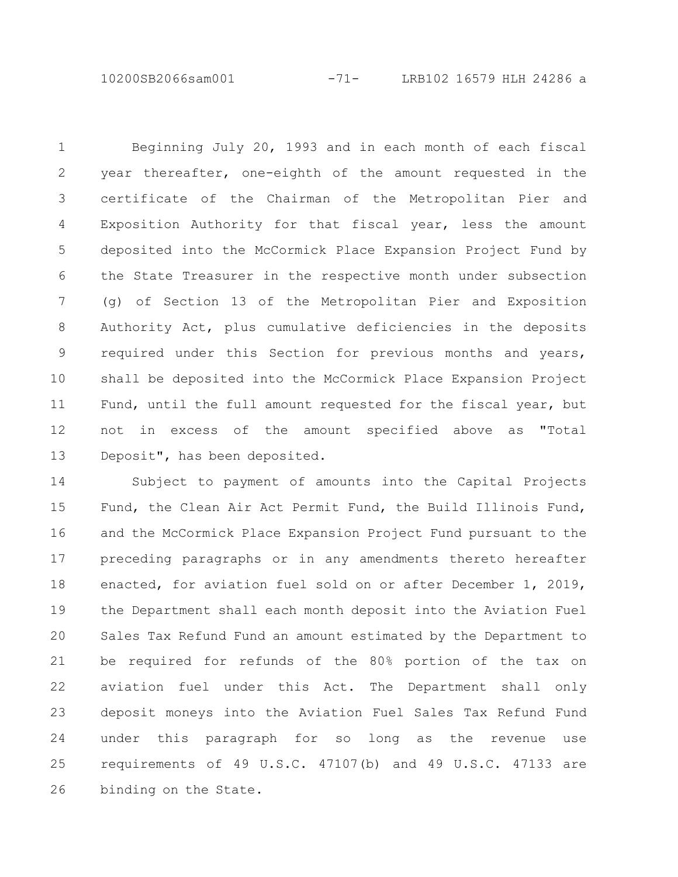10200SB2066sam001 -71- LRB102 16579 HLH 24286 a

Beginning July 20, 1993 and in each month of each fiscal year thereafter, one-eighth of the amount requested in the certificate of the Chairman of the Metropolitan Pier and Exposition Authority for that fiscal year, less the amount deposited into the McCormick Place Expansion Project Fund by the State Treasurer in the respective month under subsection (g) of Section 13 of the Metropolitan Pier and Exposition Authority Act, plus cumulative deficiencies in the deposits required under this Section for previous months and years, shall be deposited into the McCormick Place Expansion Project Fund, until the full amount requested for the fiscal year, but not in excess of the amount specified above as "Total Deposit", has been deposited. 1 2 3 4 5 6 7 8 9 10 11 12 13

Subject to payment of amounts into the Capital Projects Fund, the Clean Air Act Permit Fund, the Build Illinois Fund, and the McCormick Place Expansion Project Fund pursuant to the preceding paragraphs or in any amendments thereto hereafter enacted, for aviation fuel sold on or after December 1, 2019, the Department shall each month deposit into the Aviation Fuel Sales Tax Refund Fund an amount estimated by the Department to be required for refunds of the 80% portion of the tax on aviation fuel under this Act. The Department shall only deposit moneys into the Aviation Fuel Sales Tax Refund Fund under this paragraph for so long as the revenue use requirements of 49 U.S.C. 47107(b) and 49 U.S.C. 47133 are binding on the State. 14 15 16 17 18 19 20 21 22 23 24 25 26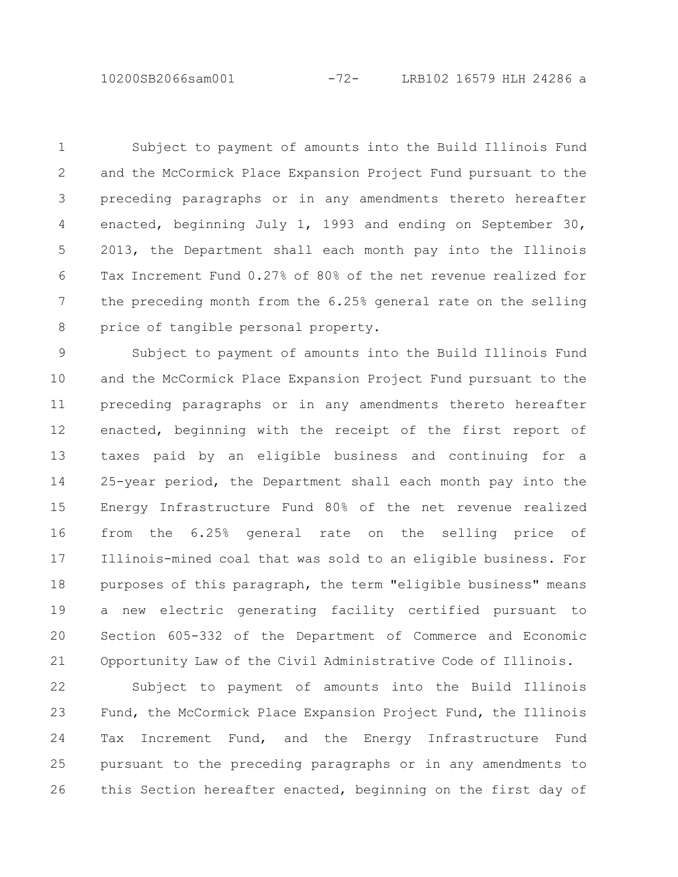10200SB2066sam001 -72- LRB102 16579 HLH 24286 a

Subject to payment of amounts into the Build Illinois Fund and the McCormick Place Expansion Project Fund pursuant to the preceding paragraphs or in any amendments thereto hereafter enacted, beginning July 1, 1993 and ending on September 30, 2013, the Department shall each month pay into the Illinois Tax Increment Fund 0.27% of 80% of the net revenue realized for the preceding month from the 6.25% general rate on the selling price of tangible personal property. 1 2 3 4 5 6 7 8

Subject to payment of amounts into the Build Illinois Fund and the McCormick Place Expansion Project Fund pursuant to the preceding paragraphs or in any amendments thereto hereafter enacted, beginning with the receipt of the first report of taxes paid by an eligible business and continuing for a 25-year period, the Department shall each month pay into the Energy Infrastructure Fund 80% of the net revenue realized from the 6.25% general rate on the selling price of Illinois-mined coal that was sold to an eligible business. For purposes of this paragraph, the term "eligible business" means a new electric generating facility certified pursuant to Section 605-332 of the Department of Commerce and Economic Opportunity Law of the Civil Administrative Code of Illinois. 9 10 11 12 13 14 15 16 17 18 19 20 21

Subject to payment of amounts into the Build Illinois Fund, the McCormick Place Expansion Project Fund, the Illinois Tax Increment Fund, and the Energy Infrastructure Fund pursuant to the preceding paragraphs or in any amendments to this Section hereafter enacted, beginning on the first day of 22 23 24 25 26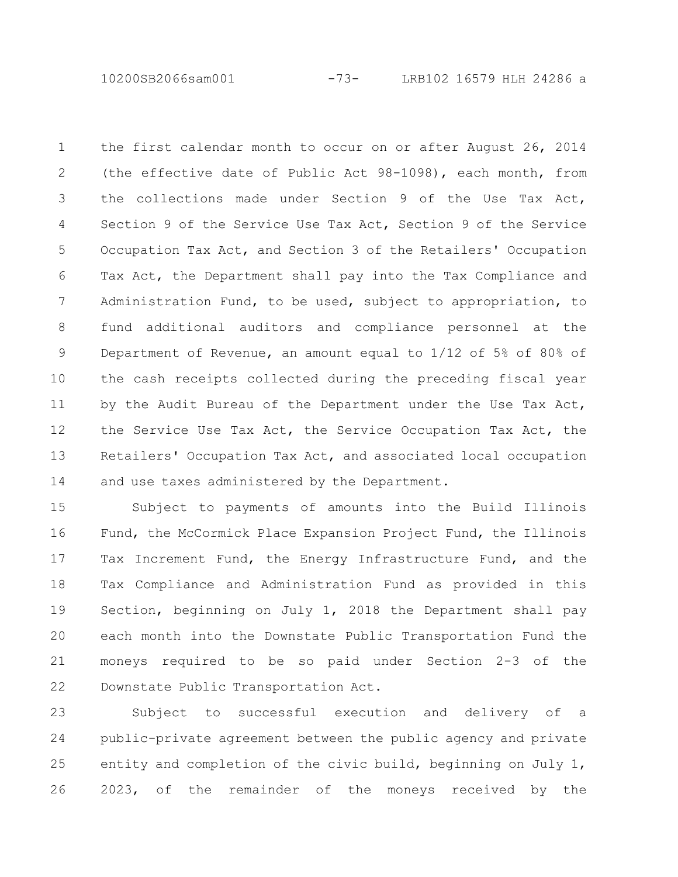10200SB2066sam001 -73- LRB102 16579 HLH 24286 a

the first calendar month to occur on or after August 26, 2014 (the effective date of Public Act 98-1098), each month, from the collections made under Section 9 of the Use Tax Act, Section 9 of the Service Use Tax Act, Section 9 of the Service Occupation Tax Act, and Section 3 of the Retailers' Occupation Tax Act, the Department shall pay into the Tax Compliance and Administration Fund, to be used, subject to appropriation, to fund additional auditors and compliance personnel at the Department of Revenue, an amount equal to 1/12 of 5% of 80% of the cash receipts collected during the preceding fiscal year by the Audit Bureau of the Department under the Use Tax Act, the Service Use Tax Act, the Service Occupation Tax Act, the Retailers' Occupation Tax Act, and associated local occupation and use taxes administered by the Department. 1 2 3 4 5 6 7 8 9 10 11 12 13 14

Subject to payments of amounts into the Build Illinois Fund, the McCormick Place Expansion Project Fund, the Illinois Tax Increment Fund, the Energy Infrastructure Fund, and the Tax Compliance and Administration Fund as provided in this Section, beginning on July 1, 2018 the Department shall pay each month into the Downstate Public Transportation Fund the moneys required to be so paid under Section 2-3 of the Downstate Public Transportation Act. 15 16 17 18 19 20 21 22

Subject to successful execution and delivery of a public-private agreement between the public agency and private entity and completion of the civic build, beginning on July 1, 2023, of the remainder of the moneys received by the 23 24 25 26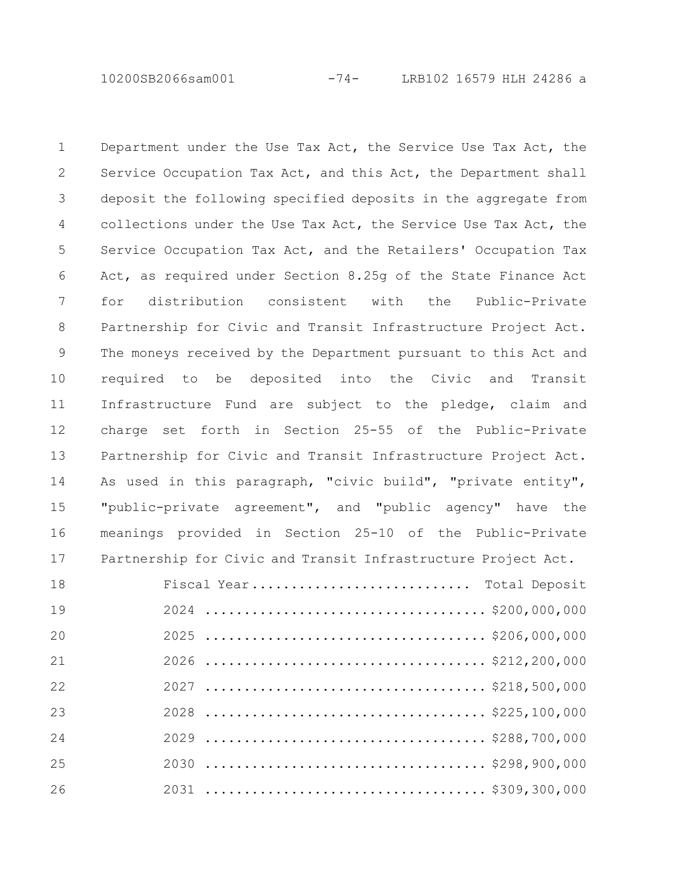10200SB2066sam001 -74- LRB102 16579 HLH 24286 a

Department under the Use Tax Act, the Service Use Tax Act, the Service Occupation Tax Act, and this Act, the Department shall deposit the following specified deposits in the aggregate from collections under the Use Tax Act, the Service Use Tax Act, the Service Occupation Tax Act, and the Retailers' Occupation Tax Act, as required under Section 8.25g of the State Finance Act for distribution consistent with the Public-Private Partnership for Civic and Transit Infrastructure Project Act. The moneys received by the Department pursuant to this Act and required to be deposited into the Civic and Transit Infrastructure Fund are subject to the pledge, claim and charge set forth in Section 25-55 of the Public-Private Partnership for Civic and Transit Infrastructure Project Act. As used in this paragraph, "civic build", "private entity", "public-private agreement", and "public agency" have the meanings provided in Section 25-10 of the Public-Private Partnership for Civic and Transit Infrastructure Project Act. 

| 18 | Fiscal Year Total Deposit |
|----|---------------------------|
| 19 |                           |
| 20 |                           |
| 21 |                           |
| 22 |                           |
| 23 |                           |
| 24 |                           |
| 25 |                           |
| 26 |                           |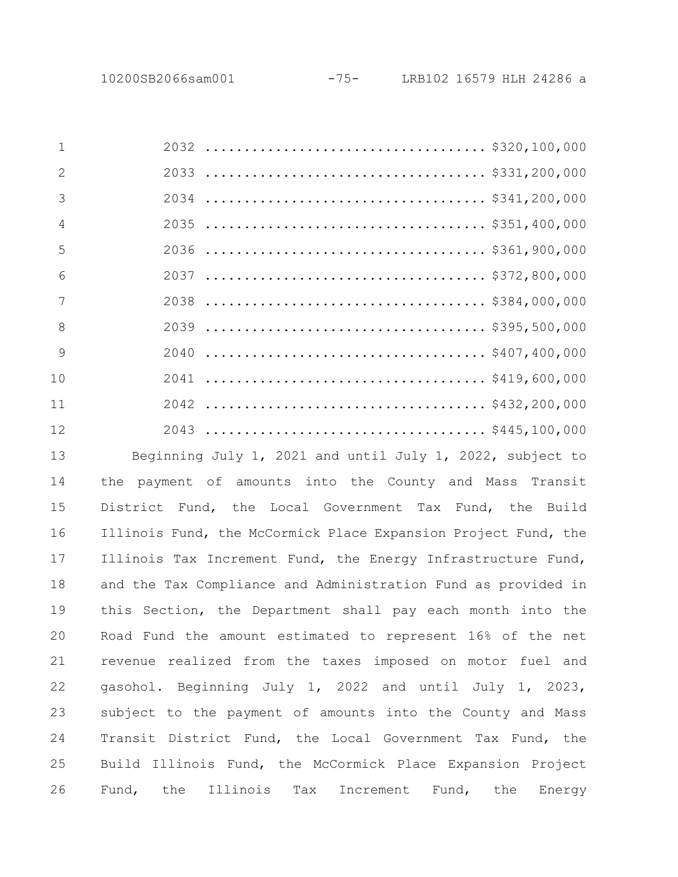| $\mathbf{1}$    |  |
|-----------------|--|
| $\mathcal{P}$   |  |
| 3               |  |
| $\overline{4}$  |  |
| 5               |  |
| $6\overline{6}$ |  |
| 7               |  |
| -8              |  |
| 9               |  |
| 10              |  |
| 11              |  |
| 12              |  |

Beginning July 1, 2021 and until July 1, 2022, subject to the payment of amounts into the County and Mass Transit District Fund, the Local Government Tax Fund, the Build Illinois Fund, the McCormick Place Expansion Project Fund, the Illinois Tax Increment Fund, the Energy Infrastructure Fund, and the Tax Compliance and Administration Fund as provided in this Section, the Department shall pay each month into the Road Fund the amount estimated to represent 16% of the net revenue realized from the taxes imposed on motor fuel and gasohol. Beginning July 1, 2022 and until July 1, 2023, subject to the payment of amounts into the County and Mass Transit District Fund, the Local Government Tax Fund, the Build Illinois Fund, the McCormick Place Expansion Project Fund, the Illinois Tax Increment Fund, the Energy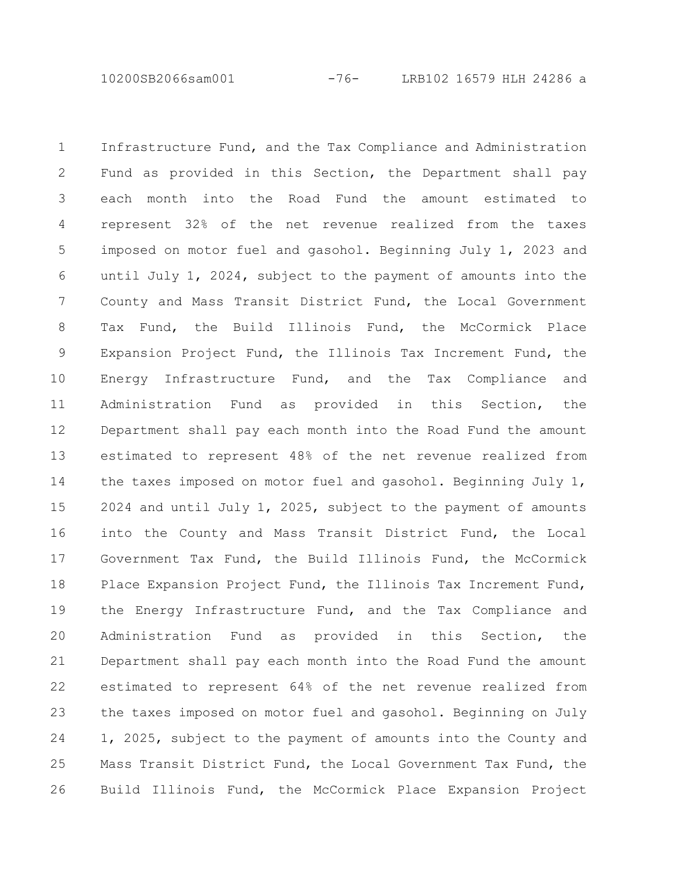10200SB2066sam001 -76- LRB102 16579 HLH 24286 a

Infrastructure Fund, and the Tax Compliance and Administration Fund as provided in this Section, the Department shall pay each month into the Road Fund the amount estimated to represent 32% of the net revenue realized from the taxes imposed on motor fuel and gasohol. Beginning July 1, 2023 and until July 1, 2024, subject to the payment of amounts into the County and Mass Transit District Fund, the Local Government Tax Fund, the Build Illinois Fund, the McCormick Place Expansion Project Fund, the Illinois Tax Increment Fund, the Energy Infrastructure Fund, and the Tax Compliance and Administration Fund as provided in this Section, the Department shall pay each month into the Road Fund the amount estimated to represent 48% of the net revenue realized from the taxes imposed on motor fuel and gasohol. Beginning July 1, 2024 and until July 1, 2025, subject to the payment of amounts into the County and Mass Transit District Fund, the Local Government Tax Fund, the Build Illinois Fund, the McCormick Place Expansion Project Fund, the Illinois Tax Increment Fund, the Energy Infrastructure Fund, and the Tax Compliance and Administration Fund as provided in this Section, the Department shall pay each month into the Road Fund the amount estimated to represent 64% of the net revenue realized from the taxes imposed on motor fuel and gasohol. Beginning on July 1, 2025, subject to the payment of amounts into the County and Mass Transit District Fund, the Local Government Tax Fund, the Build Illinois Fund, the McCormick Place Expansion Project 1 2 3 4 5 6 7 8 9 10 11 12 13 14 15 16 17 18 19 20 21 22 23 24 25 26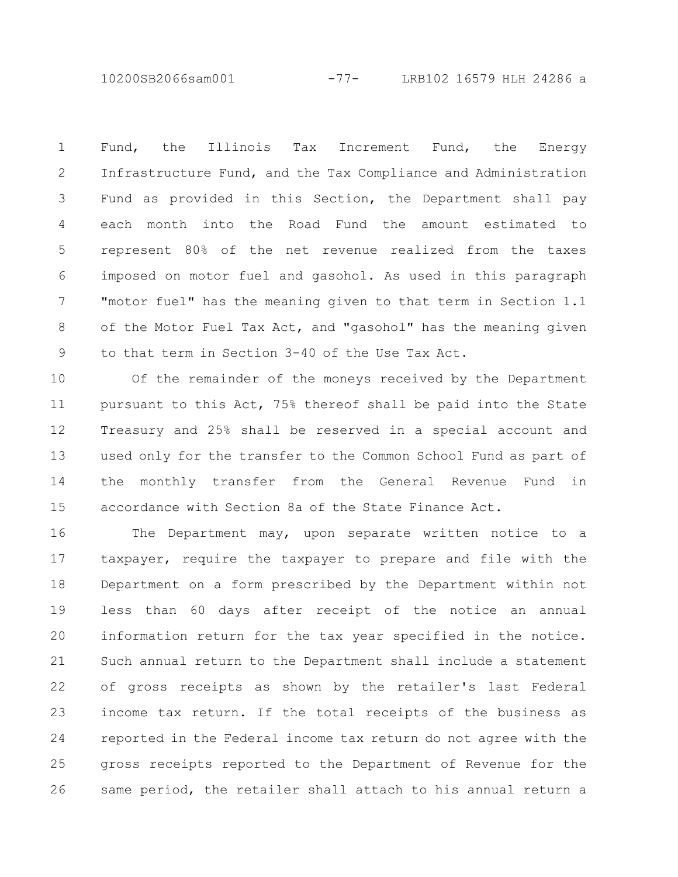10200SB2066sam001 -77- LRB102 16579 HLH 24286 a

Fund, the Illinois Tax Increment Fund, the Energy Infrastructure Fund, and the Tax Compliance and Administration Fund as provided in this Section, the Department shall pay each month into the Road Fund the amount estimated to represent 80% of the net revenue realized from the taxes imposed on motor fuel and gasohol. As used in this paragraph "motor fuel" has the meaning given to that term in Section 1.1 of the Motor Fuel Tax Act, and "gasohol" has the meaning given to that term in Section 3-40 of the Use Tax Act. 1 2 3 4 5 6 7 8 9

Of the remainder of the moneys received by the Department pursuant to this Act, 75% thereof shall be paid into the State Treasury and 25% shall be reserved in a special account and used only for the transfer to the Common School Fund as part of the monthly transfer from the General Revenue Fund in accordance with Section 8a of the State Finance Act. 10 11 12 13 14 15

The Department may, upon separate written notice to a taxpayer, require the taxpayer to prepare and file with the Department on a form prescribed by the Department within not less than 60 days after receipt of the notice an annual information return for the tax year specified in the notice. Such annual return to the Department shall include a statement of gross receipts as shown by the retailer's last Federal income tax return. If the total receipts of the business as reported in the Federal income tax return do not agree with the gross receipts reported to the Department of Revenue for the same period, the retailer shall attach to his annual return a 16 17 18 19 20 21 22 23 24 25 26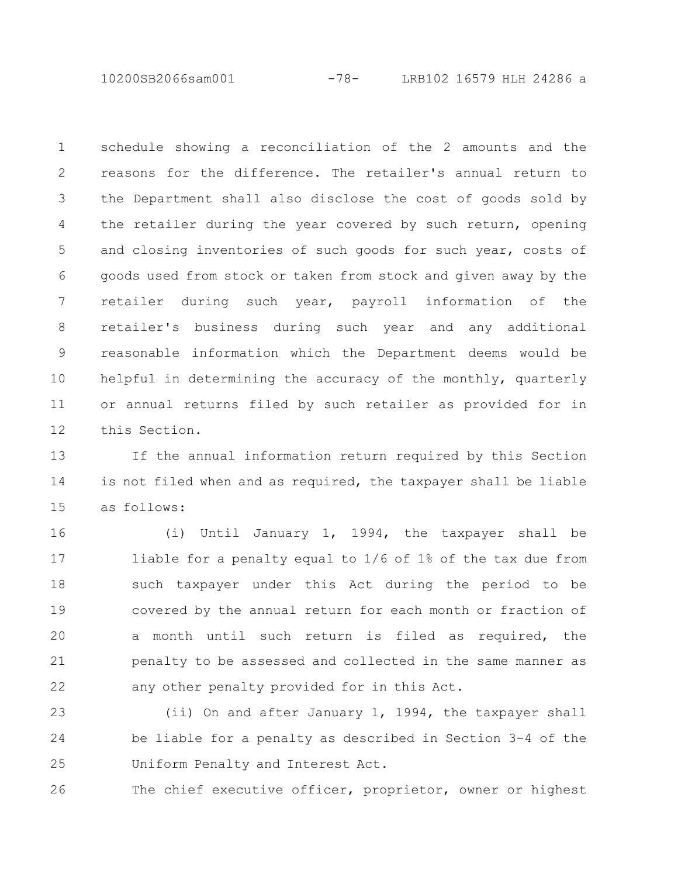10200SB2066sam001 -78- LRB102 16579 HLH 24286 a

schedule showing a reconciliation of the 2 amounts and the reasons for the difference. The retailer's annual return to the Department shall also disclose the cost of goods sold by the retailer during the year covered by such return, opening and closing inventories of such goods for such year, costs of goods used from stock or taken from stock and given away by the retailer during such year, payroll information of the retailer's business during such year and any additional reasonable information which the Department deems would be helpful in determining the accuracy of the monthly, quarterly or annual returns filed by such retailer as provided for in this Section. 1 2 3 4 5 6 7 8 9 10 11 12

If the annual information return required by this Section is not filed when and as required, the taxpayer shall be liable as follows: 13 14 15

(i) Until January 1, 1994, the taxpayer shall be liable for a penalty equal to 1/6 of 1% of the tax due from such taxpayer under this Act during the period to be covered by the annual return for each month or fraction of a month until such return is filed as required, the penalty to be assessed and collected in the same manner as any other penalty provided for in this Act. 16 17 18 19 20 21 22

(ii) On and after January 1, 1994, the taxpayer shall be liable for a penalty as described in Section 3-4 of the Uniform Penalty and Interest Act. 23 24 25

The chief executive officer, proprietor, owner or highest 26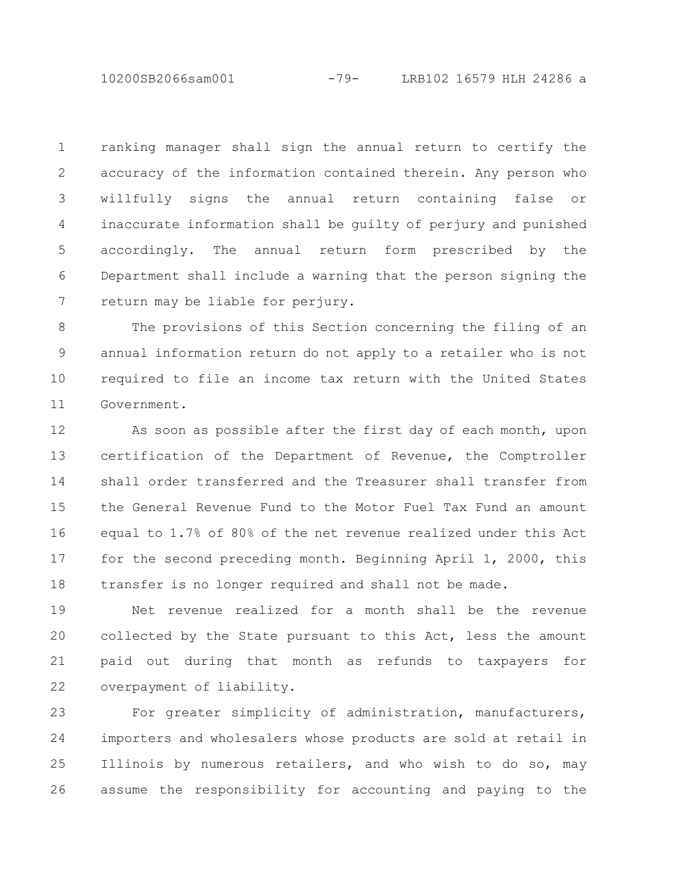10200SB2066sam001 -79- LRB102 16579 HLH 24286 a

ranking manager shall sign the annual return to certify the accuracy of the information contained therein. Any person who willfully signs the annual return containing false or inaccurate information shall be guilty of perjury and punished accordingly. The annual return form prescribed by the Department shall include a warning that the person signing the return may be liable for perjury. 1 2 3 4 5 6 7

The provisions of this Section concerning the filing of an annual information return do not apply to a retailer who is not required to file an income tax return with the United States Government. 8 9 10 11

As soon as possible after the first day of each month, upon certification of the Department of Revenue, the Comptroller shall order transferred and the Treasurer shall transfer from the General Revenue Fund to the Motor Fuel Tax Fund an amount equal to 1.7% of 80% of the net revenue realized under this Act for the second preceding month. Beginning April 1, 2000, this transfer is no longer required and shall not be made. 12 13 14 15 16 17 18

Net revenue realized for a month shall be the revenue collected by the State pursuant to this Act, less the amount paid out during that month as refunds to taxpayers for overpayment of liability. 19 20 21 22

For greater simplicity of administration, manufacturers, importers and wholesalers whose products are sold at retail in Illinois by numerous retailers, and who wish to do so, may assume the responsibility for accounting and paying to the 23 24 25 26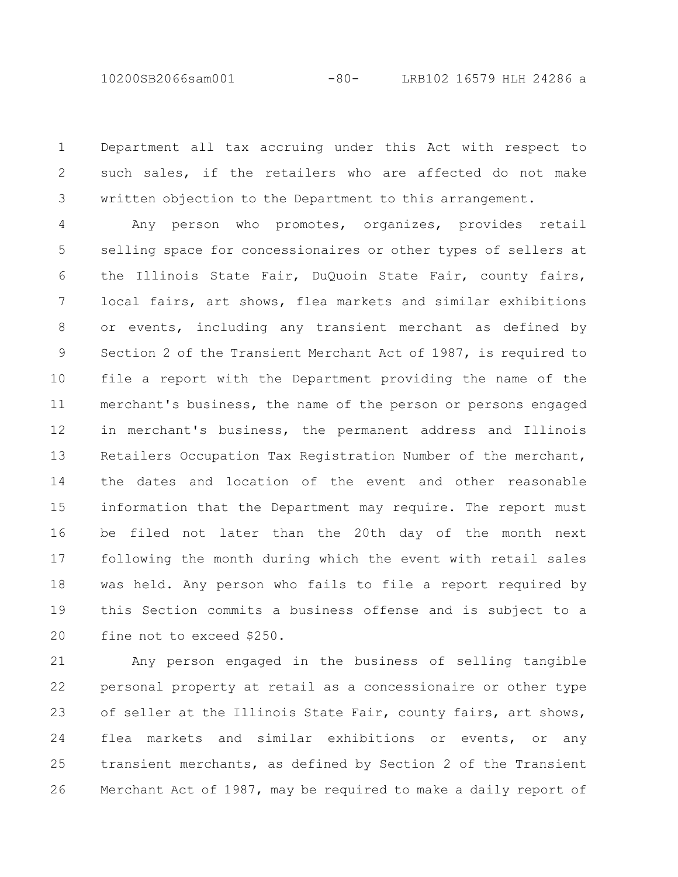10200SB2066sam001 -80- LRB102 16579 HLH 24286 a

Department all tax accruing under this Act with respect to such sales, if the retailers who are affected do not make written objection to the Department to this arrangement. 1 2 3

Any person who promotes, organizes, provides retail selling space for concessionaires or other types of sellers at the Illinois State Fair, DuQuoin State Fair, county fairs, local fairs, art shows, flea markets and similar exhibitions or events, including any transient merchant as defined by Section 2 of the Transient Merchant Act of 1987, is required to file a report with the Department providing the name of the merchant's business, the name of the person or persons engaged in merchant's business, the permanent address and Illinois Retailers Occupation Tax Registration Number of the merchant, the dates and location of the event and other reasonable information that the Department may require. The report must be filed not later than the 20th day of the month next following the month during which the event with retail sales was held. Any person who fails to file a report required by this Section commits a business offense and is subject to a fine not to exceed \$250. 4 5 6 7 8 9 10 11 12 13 14 15 16 17 18 19 20

Any person engaged in the business of selling tangible personal property at retail as a concessionaire or other type of seller at the Illinois State Fair, county fairs, art shows, flea markets and similar exhibitions or events, or any transient merchants, as defined by Section 2 of the Transient Merchant Act of 1987, may be required to make a daily report of 21 22 23 24 25 26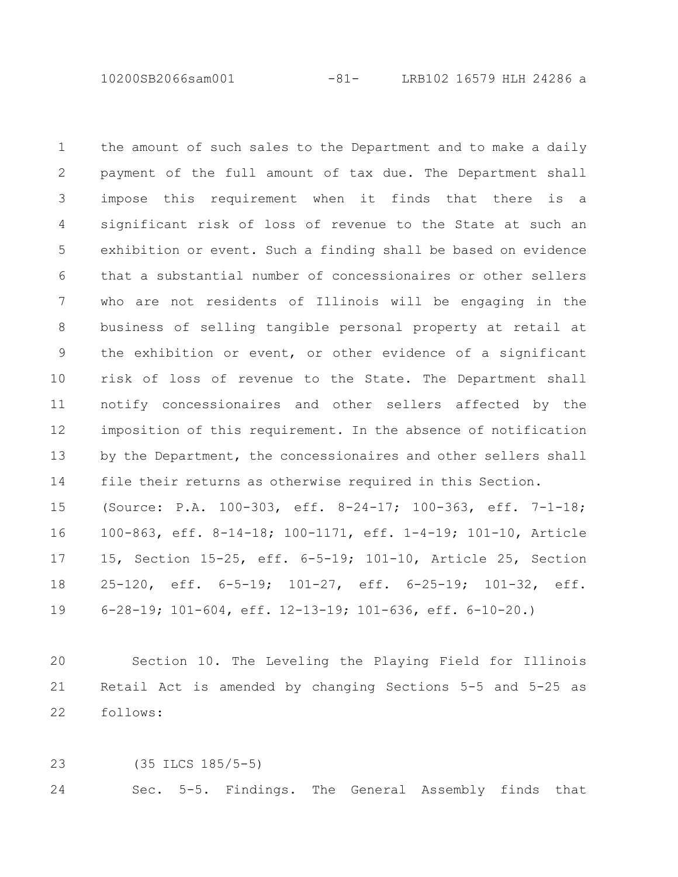10200SB2066sam001 -81- LRB102 16579 HLH 24286 a

the amount of such sales to the Department and to make a daily payment of the full amount of tax due. The Department shall impose this requirement when it finds that there is a significant risk of loss of revenue to the State at such an exhibition or event. Such a finding shall be based on evidence that a substantial number of concessionaires or other sellers who are not residents of Illinois will be engaging in the business of selling tangible personal property at retail at the exhibition or event, or other evidence of a significant risk of loss of revenue to the State. The Department shall notify concessionaires and other sellers affected by the imposition of this requirement. In the absence of notification by the Department, the concessionaires and other sellers shall file their returns as otherwise required in this Section. 1 2 3 4 5 6 7 8 9 10 11 12 13 14

(Source: P.A. 100-303, eff. 8-24-17; 100-363, eff. 7-1-18; 100-863, eff. 8-14-18; 100-1171, eff. 1-4-19; 101-10, Article 15, Section 15-25, eff. 6-5-19; 101-10, Article 25, Section 25-120, eff. 6-5-19; 101-27, eff. 6-25-19; 101-32, eff. 6-28-19; 101-604, eff. 12-13-19; 101-636, eff. 6-10-20.) 15 16 17 18 19

Section 10. The Leveling the Playing Field for Illinois Retail Act is amended by changing Sections 5-5 and 5-25 as follows:  $20$ 21 22

(35 ILCS 185/5-5) 23

Sec. 5-5. Findings. The General Assembly finds that 24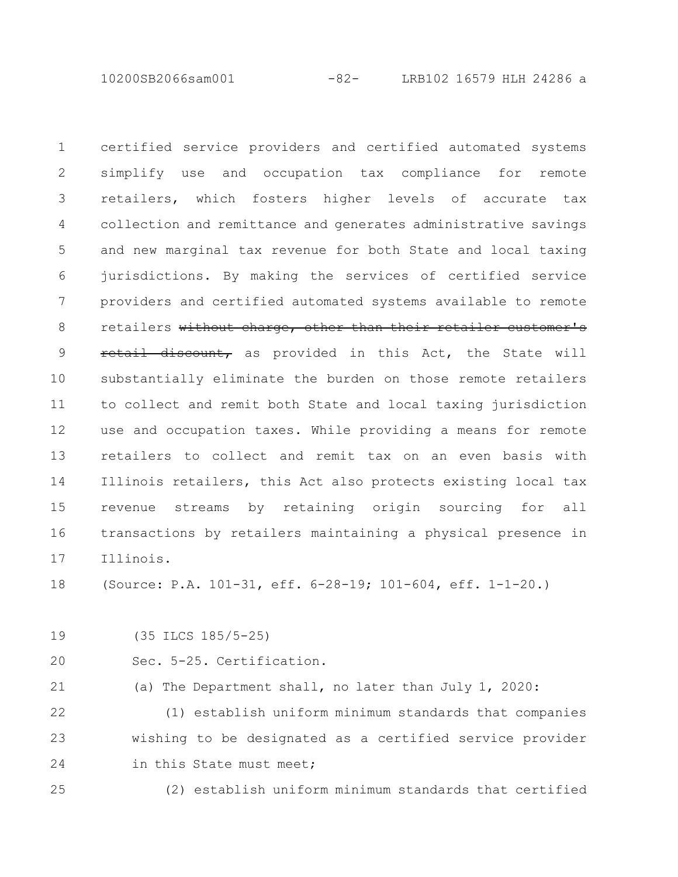10200SB2066sam001 -82- LRB102 16579 HLH 24286 a

certified service providers and certified automated systems simplify use and occupation tax compliance for remote retailers, which fosters higher levels of accurate tax collection and remittance and generates administrative savings and new marginal tax revenue for both State and local taxing jurisdictions. By making the services of certified service providers and certified automated systems available to remote retailers without charge, other than their retailer customer's retail discount, as provided in this Act, the State will substantially eliminate the burden on those remote retailers to collect and remit both State and local taxing jurisdiction use and occupation taxes. While providing a means for remote retailers to collect and remit tax on an even basis with Illinois retailers, this Act also protects existing local tax revenue streams by retaining origin sourcing for all transactions by retailers maintaining a physical presence in Illinois. 1 2 3 4 5 6 7 8 9 10 11 12 13 14 15 16 17

(Source: P.A. 101-31, eff. 6-28-19; 101-604, eff. 1-1-20.) 18

(35 ILCS 185/5-25) 19

Sec. 5-25. Certification.  $20$ 

(a) The Department shall, no later than July 1, 2020: 21

(1) establish uniform minimum standards that companies wishing to be designated as a certified service provider in this State must meet; 22 23 24

(2) establish uniform minimum standards that certified 25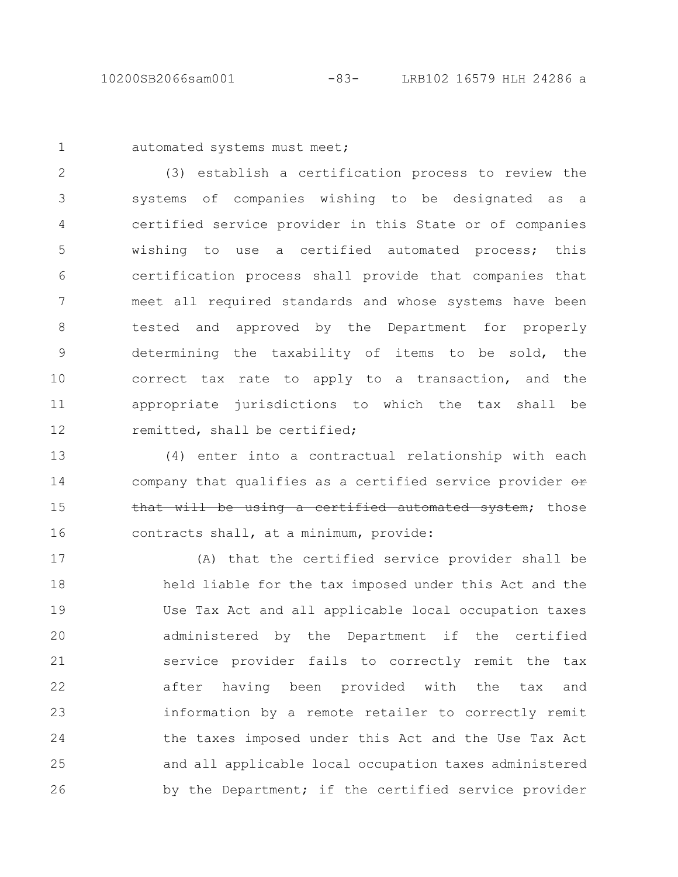1

automated systems must meet;

(3) establish a certification process to review the systems of companies wishing to be designated as a certified service provider in this State or of companies wishing to use a certified automated process; this certification process shall provide that companies that meet all required standards and whose systems have been tested and approved by the Department for properly determining the taxability of items to be sold, the correct tax rate to apply to a transaction, and the appropriate jurisdictions to which the tax shall be remitted, shall be certified; 2 3 4 5 6 7 8 9 10 11 12

(4) enter into a contractual relationship with each company that qualifies as a certified service provider or that will be using a certified automated system; those contracts shall, at a minimum, provide: 13 14 15 16

(A) that the certified service provider shall be held liable for the tax imposed under this Act and the Use Tax Act and all applicable local occupation taxes administered by the Department if the certified service provider fails to correctly remit the tax after having been provided with the tax and information by a remote retailer to correctly remit the taxes imposed under this Act and the Use Tax Act and all applicable local occupation taxes administered by the Department; if the certified service provider 17 18 19 20 21 22 23 24 25 26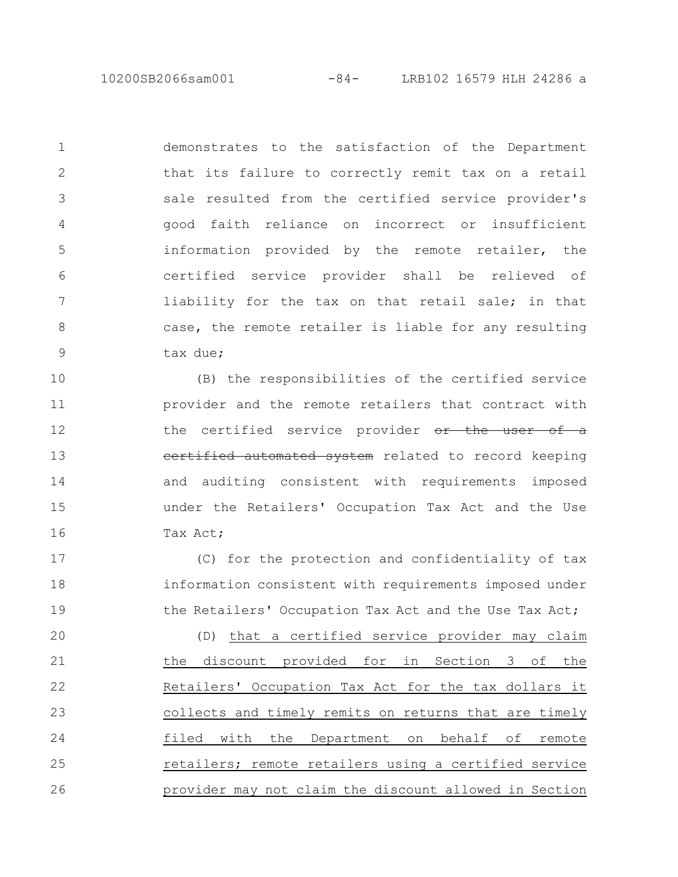10200SB2066sam001 -84- LRB102 16579 HLH 24286 a

demonstrates to the satisfaction of the Department that its failure to correctly remit tax on a retail sale resulted from the certified service provider's good faith reliance on incorrect or insufficient information provided by the remote retailer, the certified service provider shall be relieved of liability for the tax on that retail sale; in that case, the remote retailer is liable for any resulting tax due; 1 2 3 4 5 6 7 8 9

(B) the responsibilities of the certified service provider and the remote retailers that contract with the certified service provider or the user of a certified automated system related to record keeping and auditing consistent with requirements imposed under the Retailers' Occupation Tax Act and the Use Tax Act; 10 11 12 13 14 15 16

(C) for the protection and confidentiality of tax information consistent with requirements imposed under the Retailers' Occupation Tax Act and the Use Tax Act; 17 18 19

(D) that a certified service provider may claim the discount provided for in Section 3 of the Retailers' Occupation Tax Act for the tax dollars it collects and timely remits on returns that are timely filed with the Department on behalf of remote retailers; remote retailers using a certified service provider may not claim the discount allowed in Section 20 21 22 23 24 25 26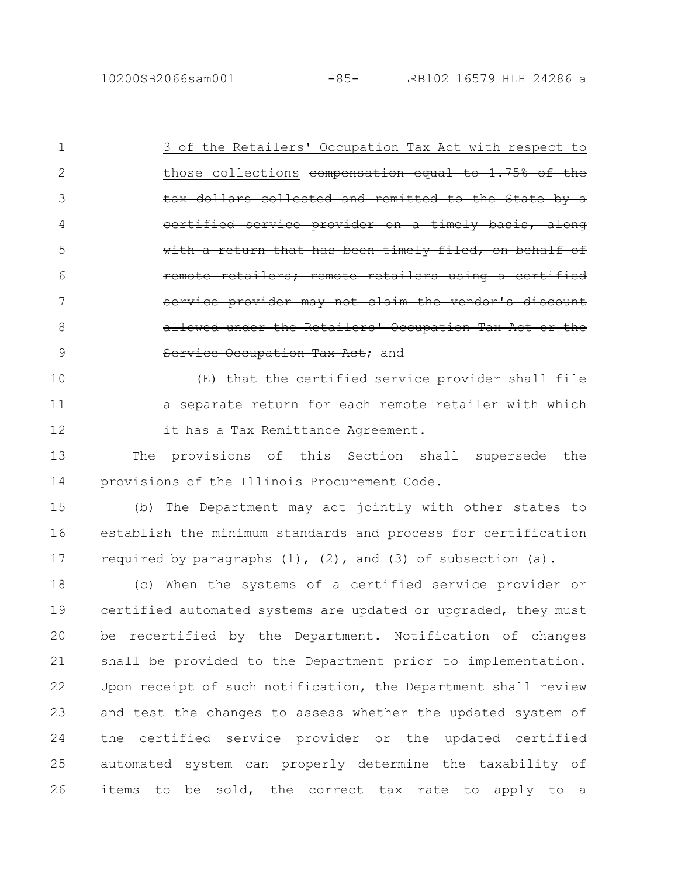3 of the Retailers' Occupation Tax Act with respect to those collections compensation equal to  $1.75%$  of the tax dollars collected and remitted certified service provider on a with a return that has been timely filed ilers: remote retailers using service provider may not claim the vendor's discount allowed under the Retailers' Occupation Tax Service Occupation Tax Act; and 1 2 3 4 5 6 7 8 9

(E) that the certified service provider shall file a separate return for each remote retailer with which it has a Tax Remittance Agreement. 10 11 12

The provisions of this Section shall supersede the provisions of the Illinois Procurement Code. 13 14

(b) The Department may act jointly with other states to establish the minimum standards and process for certification required by paragraphs  $(1)$ ,  $(2)$ , and  $(3)$  of subsection  $(a)$ . 15 16 17

(c) When the systems of a certified service provider or certified automated systems are updated or upgraded, they must be recertified by the Department. Notification of changes shall be provided to the Department prior to implementation. Upon receipt of such notification, the Department shall review and test the changes to assess whether the updated system of the certified service provider or the updated certified automated system can properly determine the taxability of items to be sold, the correct tax rate to apply to a 18 19 20 21 22 23 24 25 26